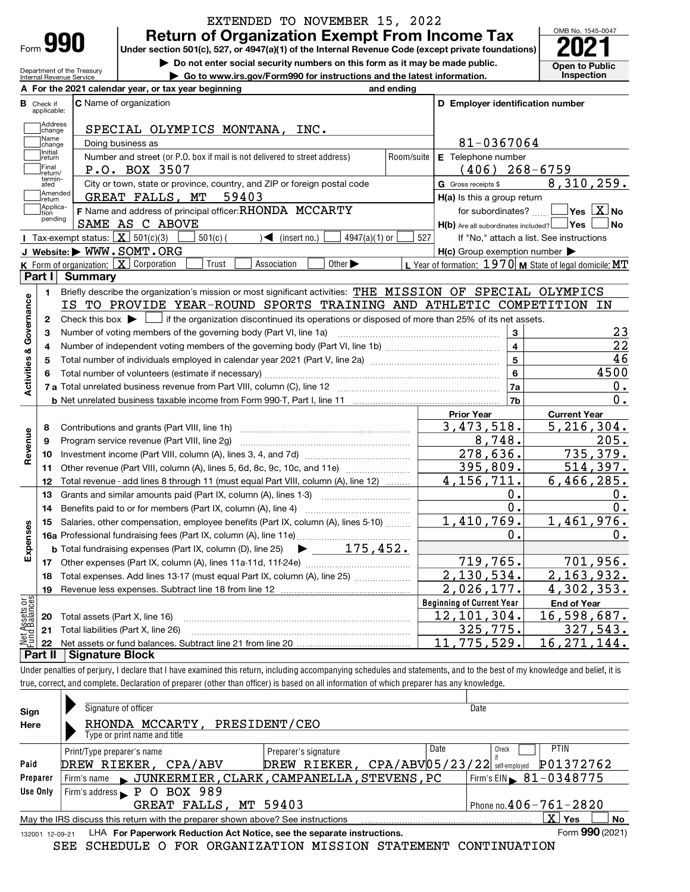Department of the Treasury Internal Revenue Service

# EXTENDED TO NOVEMBER 15, 2022<br>Return of Organization Exempt From Income Tax

**990** Return of Organization Exempt From Income Tax  $\frac{\text{OMB No. 1545-0047}}{2021}$ 

▶ Do not enter social security numbers on this form as it may be made public. <br>
inspection on the latest information. Inspection

▶ Go to www.irs.gov/Form990 for instructions and the latest information.



|               |                         | A For the 2021 calendar year, or tax year beginning                                                                                                                        | and ending                       |                                                     |                                                           |  |  |
|---------------|-------------------------|----------------------------------------------------------------------------------------------------------------------------------------------------------------------------|----------------------------------|-----------------------------------------------------|-----------------------------------------------------------|--|--|
| В             | Check if<br>applicable: | C Name of organization                                                                                                                                                     |                                  | D Employer identification number                    |                                                           |  |  |
|               | Address<br> change      | SPECIAL OLYMPICS MONTANA, INC.                                                                                                                                             |                                  |                                                     |                                                           |  |  |
|               | Name<br>change          | Doing business as                                                                                                                                                          |                                  | 81-0367064                                          |                                                           |  |  |
|               | Initial<br> return      | Number and street (or P.O. box if mail is not delivered to street address)                                                                                                 | Room/suite                       | E Telephone number                                  |                                                           |  |  |
|               | Final<br>return/        | P.O. BOX 3507                                                                                                                                                              |                                  | (406)                                               | $268 - 6759$                                              |  |  |
|               | termin-<br>ated         | City or town, state or province, country, and ZIP or foreign postal code                                                                                                   |                                  | G Gross receipts \$                                 | 8,310,259.                                                |  |  |
|               | Amended<br>return       | GREAT FALLS, MT<br>59403                                                                                                                                                   |                                  |                                                     | H(a) Is this a group return                               |  |  |
|               | Applica-<br>tion        | F Name and address of principal officer: RHONDA MCCARTY                                                                                                                    |                                  | for subordinates?                                   | $\Box$ Yes $\Box X$ No                                    |  |  |
|               | pending                 | SAME AS C ABOVE                                                                                                                                                            |                                  | H(b) Are all subordinates included? Ves             | ⊥No                                                       |  |  |
|               |                         | Tax-exempt status: $X \over 301(c)(3)$<br>$501(c)$ (<br>$\sqrt{\frac{1}{1}}$ (insert no.)<br>$4947(a)(1)$ or                                                               | 527                              |                                                     | If "No," attach a list. See instructions                  |  |  |
|               |                         | J Website: WWW.SOMT.ORG                                                                                                                                                    |                                  | $H(c)$ Group exemption number $\blacktriangleright$ |                                                           |  |  |
|               |                         | K Form of organization: X Corporation<br>Trust<br>Association<br>Other $\blacktriangleright$                                                                               |                                  |                                                     | L Year of formation: $1970$ M State of legal domicile: MT |  |  |
|               | Part I                  | <b>Summary</b>                                                                                                                                                             |                                  |                                                     |                                                           |  |  |
|               | 1                       | Briefly describe the organization's mission or most significant activities: THE MISSION OF SPECIAL OLYMPICS                                                                |                                  |                                                     |                                                           |  |  |
| Governance    |                         | IS TO PROVIDE YEAR-ROUND SPORTS TRAINING AND ATHLETIC COMPETITION IN                                                                                                       |                                  |                                                     |                                                           |  |  |
|               | $\mathbf{2}$            | Check this box $\blacktriangleright \Box$ if the organization discontinued its operations or disposed of more than 25% of its net assets.                                  |                                  |                                                     |                                                           |  |  |
|               | 3                       | Number of voting members of the governing body (Part VI, line 1a)                                                                                                          |                                  | 3                                                   | 23<br>22                                                  |  |  |
|               | 4                       |                                                                                                                                                                            | $\overline{4}$<br>$\overline{5}$ | 46                                                  |                                                           |  |  |
|               | 5                       | Total number of individuals employed in calendar year 2021 (Part V, line 2a) manufacture controller to the 20                                                              |                                  | $6\phantom{a}$                                      | 4500                                                      |  |  |
| Activities &  | 6                       |                                                                                                                                                                            |                                  | 7a                                                  | 0.                                                        |  |  |
|               |                         |                                                                                                                                                                            |                                  | 7b                                                  | 0.                                                        |  |  |
|               |                         |                                                                                                                                                                            |                                  | <b>Prior Year</b>                                   | <b>Current Year</b>                                       |  |  |
|               | 8                       |                                                                                                                                                                            |                                  | 3,473,518.                                          | 5, 216, 304.                                              |  |  |
|               | 9                       | Program service revenue (Part VIII, line 2g)                                                                                                                               |                                  | 8,748.                                              | 205.                                                      |  |  |
| Revenue       | 10                      |                                                                                                                                                                            |                                  | 278,636.                                            | 735,379.                                                  |  |  |
|               | 11                      | Other revenue (Part VIII, column (A), lines 5, 6d, 8c, 9c, 10c, and 11e)                                                                                                   |                                  | 395,809.                                            | 514,397.                                                  |  |  |
|               | 12                      | Total revenue - add lines 8 through 11 (must equal Part VIII, column (A), line 12)                                                                                         |                                  | 4, 156, 711.                                        | 6,466,285.                                                |  |  |
|               | 13                      | Grants and similar amounts paid (Part IX, column (A), lines 1-3) <i>manumanononononon</i>                                                                                  |                                  | о.                                                  | 0.                                                        |  |  |
|               | 14                      |                                                                                                                                                                            |                                  | 0.                                                  | 0.                                                        |  |  |
|               | 15                      | Salaries, other compensation, employee benefits (Part IX, column (A), lines 5-10)                                                                                          |                                  | 1,410,769.                                          | 1,461,976.                                                |  |  |
|               |                         |                                                                                                                                                                            |                                  | 0.                                                  | 0.                                                        |  |  |
| Expenses      |                         | <b>b</b> Total fundraising expenses (Part IX, column (D), line 25) $\rightarrow$ 175, 452.                                                                                 |                                  |                                                     |                                                           |  |  |
|               | 17                      |                                                                                                                                                                            |                                  | 719,765.                                            | 701,956.                                                  |  |  |
|               | 18                      | Total expenses. Add lines 13-17 (must equal Part IX, column (A), line 25) <i></i>                                                                                          |                                  | 2, 130, 534.                                        | 2, 163, 932.                                              |  |  |
|               | 19                      |                                                                                                                                                                            |                                  | 2,026,177.                                          | 4,302,353.                                                |  |  |
| Net Assets or |                         |                                                                                                                                                                            |                                  | <b>Beginning of Current Year</b>                    | <b>End of Year</b>                                        |  |  |
|               | 20                      | Total assets (Part X, line 16)                                                                                                                                             |                                  | <u>12,101,304.</u>                                  | <u>16,598,687.</u>                                        |  |  |
|               | 21                      | Total liabilities (Part X, line 26)                                                                                                                                        |                                  | 325,775.                                            | 327,543.                                                  |  |  |
|               | 22                      |                                                                                                                                                                            |                                  | 775,529<br>11                                       | 16, 271, 144.                                             |  |  |
|               | Part II                 | <b>Signature Block</b>                                                                                                                                                     |                                  |                                                     |                                                           |  |  |
|               |                         | Under penalties of perjury, I declare that I have examined this return, including accompanying schedules and statements, and to the best of my knowledge and belief, it is |                                  |                                                     |                                                           |  |  |
|               |                         | true, correct, and complete. Declaration of preparer (other than officer) is based on all information of which preparer has any knowledge.                                 |                                  |                                                     |                                                           |  |  |
|               |                         | Signature of officer                                                                                                                                                       |                                  | Date                                                |                                                           |  |  |
| Sign          |                         |                                                                                                                                                                            |                                  |                                                     |                                                           |  |  |

| Sign            | Signature of officer                                                            |                                            | Dale                                                 |
|-----------------|---------------------------------------------------------------------------------|--------------------------------------------|------------------------------------------------------|
| Here            | MCCARTY,<br>RHONDA                                                              | PRESIDENT/CEO                              |                                                      |
|                 | Type or print name and title                                                    |                                            |                                                      |
|                 | Print/Type preparer's name                                                      | Preparer's signature                       | <b>PTIN</b><br>Date<br>Check                         |
| Paid            | DREW RIEKER,<br>CPA/ABV                                                         | DREW RIEKER,                               | P01372762<br>$CPA/ABV$ 0 5 / 2 3 / 2 2 self-employed |
| Preparer        | Firm's name                                                                     | JUNKERMIER, CLARK, CAMPANELLA, STEVENS, PC | Firm's EIN $\, 81 - 0348775$                         |
| Use Only        | P O BOX 989<br>Firm's address                                                   |                                            |                                                      |
|                 | GREAT FALLS, MT 59403                                                           |                                            | Phone no. $406 - 761 - 2820$                         |
|                 | May the IRS discuss this return with the preparer shown above? See instructions |                                            | $\mathbf{X}$<br><b>No</b><br>Yes                     |
| 132001 12-09-21 | LHA For Paperwork Reduction Act Notice, see the separate instructions.          |                                            | Form 990 (2021)                                      |

132001 12-09-21 SEE SCHEDULE O FOR ORGANIZATION MISSION STATEMENT CONTINUATION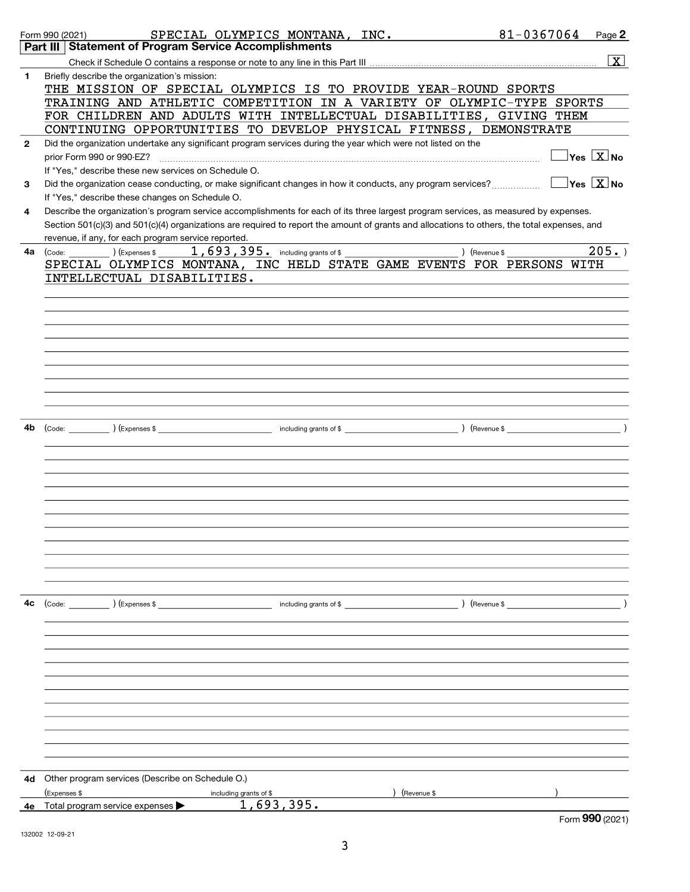|              | SPECIAL OLYMPICS MONTANA, INC.<br>Form 990 (2021)                                                                                            | 81-0367064 | Page 2                                        |
|--------------|----------------------------------------------------------------------------------------------------------------------------------------------|------------|-----------------------------------------------|
|              | Part III Statement of Program Service Accomplishments                                                                                        |            |                                               |
|              |                                                                                                                                              |            | $\boxed{\text{X}}$                            |
| 1.           | Briefly describe the organization's mission:                                                                                                 |            |                                               |
|              | THE MISSION OF SPECIAL OLYMPICS IS TO PROVIDE YEAR-ROUND SPORTS                                                                              |            |                                               |
|              | TRAINING AND ATHLETIC COMPETITION IN A VARIETY OF OLYMPIC-TYPE SPORTS                                                                        |            |                                               |
|              | FOR CHILDREN AND ADULTS WITH INTELLECTUAL DISABILITIES, GIVING THEM                                                                          |            |                                               |
|              | CONTINUING OPPORTUNITIES TO DEVELOP PHYSICAL FITNESS, DEMONSTRATE                                                                            |            |                                               |
| $\mathbf{2}$ | Did the organization undertake any significant program services during the year which were not listed on the                                 |            |                                               |
|              | prior Form 990 or 990-EZ?                                                                                                                    |            | $\overline{\ }$ Yes $\overline{\rm \bf X}$ No |
|              | If "Yes," describe these new services on Schedule O.                                                                                         |            |                                               |
| 3            | Did the organization cease conducting, or make significant changes in how it conducts, any program services?                                 |            | $\exists$ Yes $\boxed{\text{X}}$ No           |
|              | If "Yes," describe these changes on Schedule O.                                                                                              |            |                                               |
| 4            | Describe the organization's program service accomplishments for each of its three largest program services, as measured by expenses.         |            |                                               |
|              | Section 501(c)(3) and 501(c)(4) organizations are required to report the amount of grants and allocations to others, the total expenses, and |            |                                               |
|              | revenue, if any, for each program service reported.<br>and the control of the control of the                                                 |            |                                               |
| 4a           | $1,693,395$ a including grants of \$<br>) (Revenue \$<br>$\left(\text{Code:}\right)$ $\left(\text{Expenses \$}\right)$                       |            | 205.                                          |
|              | SPECIAL OLYMPICS MONTANA, INC HELD STATE GAME EVENTS FOR PERSONS WITH                                                                        |            |                                               |
|              | INTELLECTUAL DISABILITIES.                                                                                                                   |            |                                               |
|              |                                                                                                                                              |            |                                               |
|              |                                                                                                                                              |            |                                               |
|              |                                                                                                                                              |            |                                               |
|              |                                                                                                                                              |            |                                               |
|              |                                                                                                                                              |            |                                               |
|              |                                                                                                                                              |            |                                               |
|              |                                                                                                                                              |            |                                               |
|              |                                                                                                                                              |            |                                               |
|              |                                                                                                                                              |            |                                               |
|              |                                                                                                                                              |            |                                               |
|              |                                                                                                                                              |            |                                               |
| 4b           |                                                                                                                                              |            |                                               |
|              |                                                                                                                                              |            |                                               |
|              |                                                                                                                                              |            |                                               |
|              |                                                                                                                                              |            |                                               |
|              |                                                                                                                                              |            |                                               |
|              |                                                                                                                                              |            |                                               |
|              |                                                                                                                                              |            |                                               |
|              |                                                                                                                                              |            |                                               |
|              |                                                                                                                                              |            |                                               |
|              |                                                                                                                                              |            |                                               |
|              |                                                                                                                                              |            |                                               |
|              |                                                                                                                                              |            |                                               |
|              |                                                                                                                                              |            |                                               |
| 4c           | (Code: ) (Expenses \$<br>$\blacksquare$ including grants of $\$\hspace{0.5cm}\blacksquare$                                                   |            |                                               |
|              |                                                                                                                                              |            |                                               |
|              |                                                                                                                                              |            |                                               |
|              |                                                                                                                                              |            |                                               |
|              |                                                                                                                                              |            |                                               |
|              |                                                                                                                                              |            |                                               |
|              |                                                                                                                                              |            |                                               |
|              |                                                                                                                                              |            |                                               |
|              |                                                                                                                                              |            |                                               |
|              |                                                                                                                                              |            |                                               |
|              |                                                                                                                                              |            |                                               |
|              |                                                                                                                                              |            |                                               |
|              |                                                                                                                                              |            |                                               |
|              |                                                                                                                                              |            |                                               |
| 4d           | Other program services (Describe on Schedule O.)                                                                                             |            |                                               |
|              | (Expenses \$<br>(Revenue \$<br>including grants of \$                                                                                        |            |                                               |
| 4е           | 1,693,395.<br>Total program service expenses $\blacktriangleright$                                                                           |            |                                               |
|              |                                                                                                                                              |            | Form 990 (2021)                               |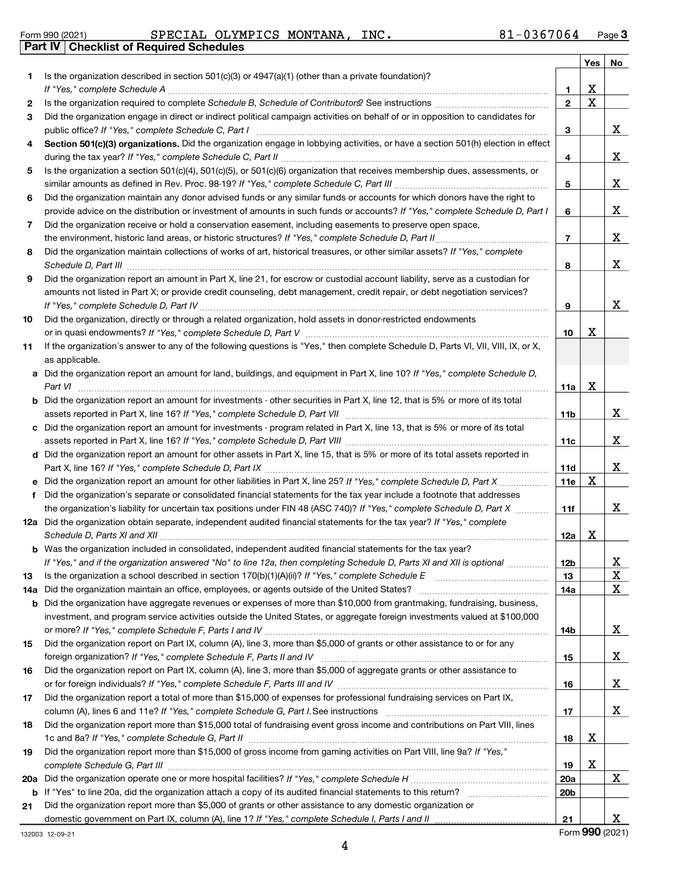|  | Form 990 (2021) |
|--|-----------------|
|  |                 |

#### Form 990 (2021) **Page 19 SPECIAL OLYMPICS MONTANA, INC.** 81-0367064 Page **Part IV Checklist of Required Schedules**

|     |                                                                                                                                                                                                                                                   |                 | Yes $ $ | No |
|-----|---------------------------------------------------------------------------------------------------------------------------------------------------------------------------------------------------------------------------------------------------|-----------------|---------|----|
| 1   | Is the organization described in section $501(c)(3)$ or $4947(a)(1)$ (other than a private foundation)?                                                                                                                                           |                 |         |    |
|     | If "Yes," complete Schedule A                                                                                                                                                                                                                     | 1               | х       |    |
| 2   |                                                                                                                                                                                                                                                   | $\mathbf{2}$    | X       |    |
| 3   | Did the organization engage in direct or indirect political campaign activities on behalf of or in opposition to candidates for                                                                                                                   |                 |         |    |
|     |                                                                                                                                                                                                                                                   | 3               |         | X  |
| 4   | Section 501(c)(3) organizations. Did the organization engage in lobbying activities, or have a section 501(h) election in effect                                                                                                                  | 4               |         | X  |
| 5   | Is the organization a section 501(c)(4), 501(c)(5), or 501(c)(6) organization that receives membership dues, assessments, or                                                                                                                      |                 |         |    |
|     |                                                                                                                                                                                                                                                   | 5               |         | X  |
| 6   | Did the organization maintain any donor advised funds or any similar funds or accounts for which donors have the right to                                                                                                                         |                 |         |    |
|     | provide advice on the distribution or investment of amounts in such funds or accounts? If "Yes," complete Schedule D, Part I                                                                                                                      | 6               |         | X  |
| 7   | Did the organization receive or hold a conservation easement, including easements to preserve open space,                                                                                                                                         |                 |         |    |
|     |                                                                                                                                                                                                                                                   | $\overline{7}$  |         | X  |
| 8   | Did the organization maintain collections of works of art, historical treasures, or other similar assets? If "Yes," complete<br>Schedule D, Part III <b>www.community.community.community.community.community.community.com</b>                   | 8               |         | X  |
| 9   | Did the organization report an amount in Part X, line 21, for escrow or custodial account liability, serve as a custodian for                                                                                                                     |                 |         |    |
|     | amounts not listed in Part X; or provide credit counseling, debt management, credit repair, or debt negotiation services?                                                                                                                         |                 |         |    |
|     |                                                                                                                                                                                                                                                   | 9               |         | X  |
| 10  | Did the organization, directly or through a related organization, hold assets in donor-restricted endowments                                                                                                                                      |                 |         |    |
|     |                                                                                                                                                                                                                                                   | 10              | х       |    |
| 11  | If the organization's answer to any of the following questions is "Yes," then complete Schedule D, Parts VI, VII, VIII, IX, or X,                                                                                                                 |                 |         |    |
|     | as applicable.                                                                                                                                                                                                                                    |                 |         |    |
| a   | Did the organization report an amount for land, buildings, and equipment in Part X, line 10? If "Yes," complete Schedule D,                                                                                                                       |                 |         |    |
|     | Part VI                                                                                                                                                                                                                                           | 11a             | х       |    |
|     | Did the organization report an amount for investments - other securities in Part X, line 12, that is 5% or more of its total                                                                                                                      |                 |         |    |
|     |                                                                                                                                                                                                                                                   | 11b             |         | X  |
| c   | Did the organization report an amount for investments - program related in Part X, line 13, that is 5% or more of its total                                                                                                                       |                 |         |    |
|     |                                                                                                                                                                                                                                                   | 11c             |         | X  |
|     | d Did the organization report an amount for other assets in Part X, line 15, that is 5% or more of its total assets reported in                                                                                                                   |                 |         |    |
|     |                                                                                                                                                                                                                                                   | 11d             | х       | X  |
|     |                                                                                                                                                                                                                                                   | 11e             |         |    |
| f   | Did the organization's separate or consolidated financial statements for the tax year include a footnote that addresses<br>the organization's liability for uncertain tax positions under FIN 48 (ASC 740)? If "Yes," complete Schedule D, Part X |                 |         | X  |
|     | 12a Did the organization obtain separate, independent audited financial statements for the tax year? If "Yes," complete                                                                                                                           | 11f             |         |    |
|     |                                                                                                                                                                                                                                                   | 12a             | x       |    |
|     | <b>b</b> Was the organization included in consolidated, independent audited financial statements for the tax year?                                                                                                                                |                 |         |    |
|     | If "Yes," and if the organization answered "No" to line 12a, then completing Schedule D, Parts XI and XII is optional                                                                                                                             | 12 <sub>b</sub> |         | Δ. |
| 13  | Is the organization a school described in section $170(b)(1)(A)(ii)?$ If "Yes," complete Schedule E                                                                                                                                               | 13              |         | x  |
| 14a | Did the organization maintain an office, employees, or agents outside of the United States?                                                                                                                                                       | 14a             |         | X  |
| b   | Did the organization have aggregate revenues or expenses of more than \$10,000 from grantmaking, fundraising, business,                                                                                                                           |                 |         |    |
|     | investment, and program service activities outside the United States, or aggregate foreign investments valued at \$100,000                                                                                                                        |                 |         |    |
|     |                                                                                                                                                                                                                                                   | 14b             |         | X  |
| 15  | Did the organization report on Part IX, column (A), line 3, more than \$5,000 of grants or other assistance to or for any                                                                                                                         |                 |         |    |
|     |                                                                                                                                                                                                                                                   | 15              |         | X  |
| 16  | Did the organization report on Part IX, column (A), line 3, more than \$5,000 of aggregate grants or other assistance to                                                                                                                          |                 |         |    |
|     | or for foreign individuals? If "Yes," complete Schedule F, Parts III and IV [11] marries and intermal contains the subset of the Schedule F, Parts III and IV [11] matter successfully and the subset of the subset of the sub                    | 16              |         | X  |
| 17  | Did the organization report a total of more than \$15,000 of expenses for professional fundraising services on Part IX,                                                                                                                           |                 |         |    |
|     |                                                                                                                                                                                                                                                   | 17              |         | X  |
| 18  | Did the organization report more than \$15,000 total of fundraising event gross income and contributions on Part VIII, lines                                                                                                                      |                 |         |    |
|     |                                                                                                                                                                                                                                                   | 18              | х       |    |
| 19  | Did the organization report more than \$15,000 of gross income from gaming activities on Part VIII, line 9a? If "Yes,"                                                                                                                            |                 |         |    |
|     |                                                                                                                                                                                                                                                   | 19              | х       |    |
| 20a |                                                                                                                                                                                                                                                   | 20a             |         | X  |
| b   |                                                                                                                                                                                                                                                   | 20 <sub>b</sub> |         |    |
| 21  | Did the organization report more than \$5,000 of grants or other assistance to any domestic organization or                                                                                                                                       |                 |         |    |
|     |                                                                                                                                                                                                                                                   | 21              |         | X  |

132003 12-09-21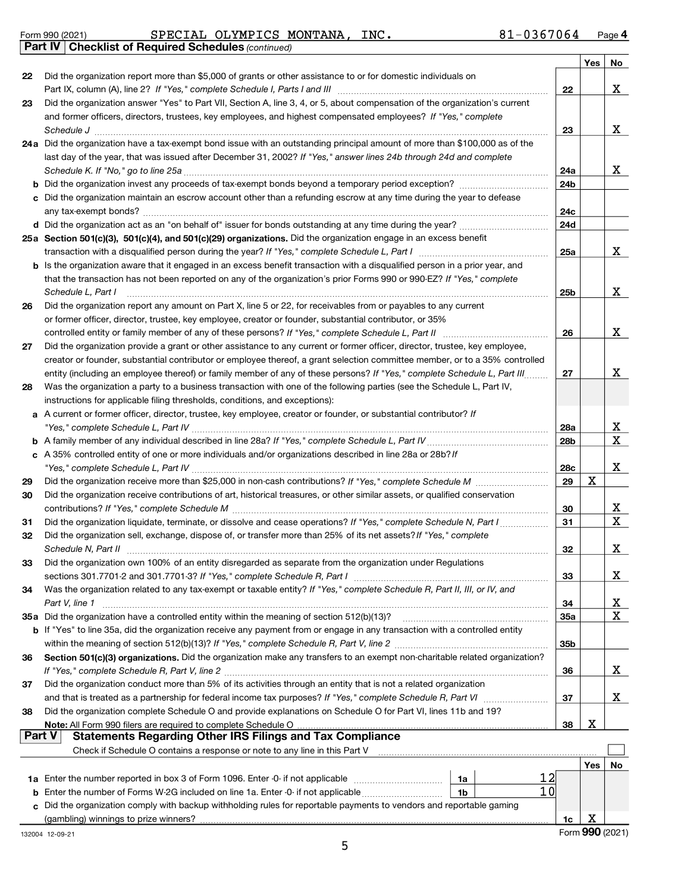|  | Form 990 (2021) |
|--|-----------------|
|  |                 |

### Form 990 (2021) **Page 19 SPECIAL OLYMPICS MONTANA, INC.** 81-0367064 Page

Part IV | Checklist of Required Schedules (continued)

|        |                                                                                                                                                                                                                                                       |                 | Yes | No              |
|--------|-------------------------------------------------------------------------------------------------------------------------------------------------------------------------------------------------------------------------------------------------------|-----------------|-----|-----------------|
| 22     | Did the organization report more than \$5,000 of grants or other assistance to or for domestic individuals on                                                                                                                                         |                 |     |                 |
|        | Part IX, column (A), line 2? If "Yes," complete Schedule I, Parts I and III [11]] [11]] [11] [11] [11] [11] [1                                                                                                                                        | 22              |     | X               |
| 23     | Did the organization answer "Yes" to Part VII, Section A, line 3, 4, or 5, about compensation of the organization's current                                                                                                                           |                 |     |                 |
|        | and former officers, directors, trustees, key employees, and highest compensated employees? If "Yes," complete                                                                                                                                        |                 |     |                 |
|        | Schedule J [11] March 1998 (12] March 1998 (13] March 1998 (13] March 1998 (13] March 1998 (13] March 1998 (13] March 1998 (13] March 1998 (13] March 1998 (13] March 1998 (13] March 1998 (13] March 1998 (13] March 1998 (13                        | 23              |     | X               |
|        | 24a Did the organization have a tax-exempt bond issue with an outstanding principal amount of more than \$100,000 as of the                                                                                                                           |                 |     |                 |
|        | last day of the year, that was issued after December 31, 2002? If "Yes," answer lines 24b through 24d and complete                                                                                                                                    |                 |     |                 |
|        |                                                                                                                                                                                                                                                       | 24a             |     | X               |
|        |                                                                                                                                                                                                                                                       | 24b             |     |                 |
|        | c Did the organization maintain an escrow account other than a refunding escrow at any time during the year to defease                                                                                                                                |                 |     |                 |
|        |                                                                                                                                                                                                                                                       | 24c             |     |                 |
|        |                                                                                                                                                                                                                                                       | 24d             |     |                 |
|        | 25a Section 501(c)(3), 501(c)(4), and 501(c)(29) organizations. Did the organization engage in an excess benefit                                                                                                                                      |                 |     | x               |
|        |                                                                                                                                                                                                                                                       | 25a             |     |                 |
|        | b Is the organization aware that it engaged in an excess benefit transaction with a disqualified person in a prior year, and<br>that the transaction has not been reported on any of the organization's prior Forms 990 or 990-EZ? If "Yes," complete |                 |     |                 |
|        | Schedule L, Part I                                                                                                                                                                                                                                    | 25b             |     | X               |
| 26     | Did the organization report any amount on Part X, line 5 or 22, for receivables from or payables to any current                                                                                                                                       |                 |     |                 |
|        | or former officer, director, trustee, key employee, creator or founder, substantial contributor, or 35%                                                                                                                                               |                 |     |                 |
|        | controlled entity or family member of any of these persons? If "Yes," complete Schedule L, Part II                                                                                                                                                    | 26              |     | X               |
| 27     | Did the organization provide a grant or other assistance to any current or former officer, director, trustee, key employee,                                                                                                                           |                 |     |                 |
|        | creator or founder, substantial contributor or employee thereof, a grant selection committee member, or to a 35% controlled                                                                                                                           |                 |     |                 |
|        | entity (including an employee thereof) or family member of any of these persons? If "Yes," complete Schedule L, Part III                                                                                                                              | 27              |     | X               |
| 28     | Was the organization a party to a business transaction with one of the following parties (see the Schedule L, Part IV,                                                                                                                                |                 |     |                 |
|        | instructions for applicable filing thresholds, conditions, and exceptions):                                                                                                                                                                           |                 |     |                 |
|        | a A current or former officer, director, trustee, key employee, creator or founder, or substantial contributor? If                                                                                                                                    |                 |     |                 |
|        |                                                                                                                                                                                                                                                       | 28a             |     | X               |
|        |                                                                                                                                                                                                                                                       | 28 <sub>b</sub> |     | X               |
|        | c A 35% controlled entity of one or more individuals and/or organizations described in line 28a or 28b? If                                                                                                                                            |                 |     |                 |
|        |                                                                                                                                                                                                                                                       | 28c             |     | X               |
| 29     |                                                                                                                                                                                                                                                       | 29              | X   |                 |
| 30     | Did the organization receive contributions of art, historical treasures, or other similar assets, or qualified conservation                                                                                                                           |                 |     |                 |
|        |                                                                                                                                                                                                                                                       | 30              |     | X               |
| 31     | Did the organization liquidate, terminate, or dissolve and cease operations? If "Yes," complete Schedule N, Part I                                                                                                                                    | 31              |     | X               |
| 32     | Did the organization sell, exchange, dispose of, or transfer more than 25% of its net assets? If "Yes," complete                                                                                                                                      |                 |     |                 |
|        |                                                                                                                                                                                                                                                       | 32              |     | X               |
| 33     | Did the organization own 100% of an entity disregarded as separate from the organization under Regulations                                                                                                                                            |                 |     |                 |
|        | sections 301.7701-2 and 301.7701-3? If "Yes," complete Schedule R, Part I                                                                                                                                                                             | 33              |     | x               |
| 34     | Was the organization related to any tax-exempt or taxable entity? If "Yes," complete Schedule R, Part II, III, or IV, and                                                                                                                             |                 |     |                 |
|        | Part V, line 1                                                                                                                                                                                                                                        | 34              |     | x               |
|        | 35a Did the organization have a controlled entity within the meaning of section 512(b)(13)?                                                                                                                                                           | 35a             |     | X               |
|        | b If "Yes" to line 35a, did the organization receive any payment from or engage in any transaction with a controlled entity                                                                                                                           |                 |     |                 |
|        |                                                                                                                                                                                                                                                       | 35b             |     |                 |
| 36     | Section 501(c)(3) organizations. Did the organization make any transfers to an exempt non-charitable related organization?                                                                                                                            | 36              |     | X               |
| 37     | Did the organization conduct more than 5% of its activities through an entity that is not a related organization                                                                                                                                      |                 |     |                 |
|        |                                                                                                                                                                                                                                                       | 37              |     | x               |
| 38     | Did the organization complete Schedule O and provide explanations on Schedule O for Part VI, lines 11b and 19?                                                                                                                                        |                 |     |                 |
|        | Note: All Form 990 filers are required to complete Schedule O                                                                                                                                                                                         | 38              | х   |                 |
| Part V | <b>Statements Regarding Other IRS Filings and Tax Compliance</b>                                                                                                                                                                                      |                 |     |                 |
|        | Check if Schedule O contains a response or note to any line in this Part V                                                                                                                                                                            |                 |     |                 |
|        |                                                                                                                                                                                                                                                       |                 | Yes | No              |
|        | 12<br>1a                                                                                                                                                                                                                                              |                 |     |                 |
| b      | 10<br>Enter the number of Forms W-2G included on line 1a. Enter -0- if not applicable<br>1 <sub>b</sub>                                                                                                                                               |                 |     |                 |
| C.     | Did the organization comply with backup withholding rules for reportable payments to vendors and reportable gaming                                                                                                                                    |                 |     |                 |
|        | (gambling) winnings to prize winners?                                                                                                                                                                                                                 | 1c              | х   |                 |
|        | 132004 12-09-21                                                                                                                                                                                                                                       |                 |     | Form 990 (2021) |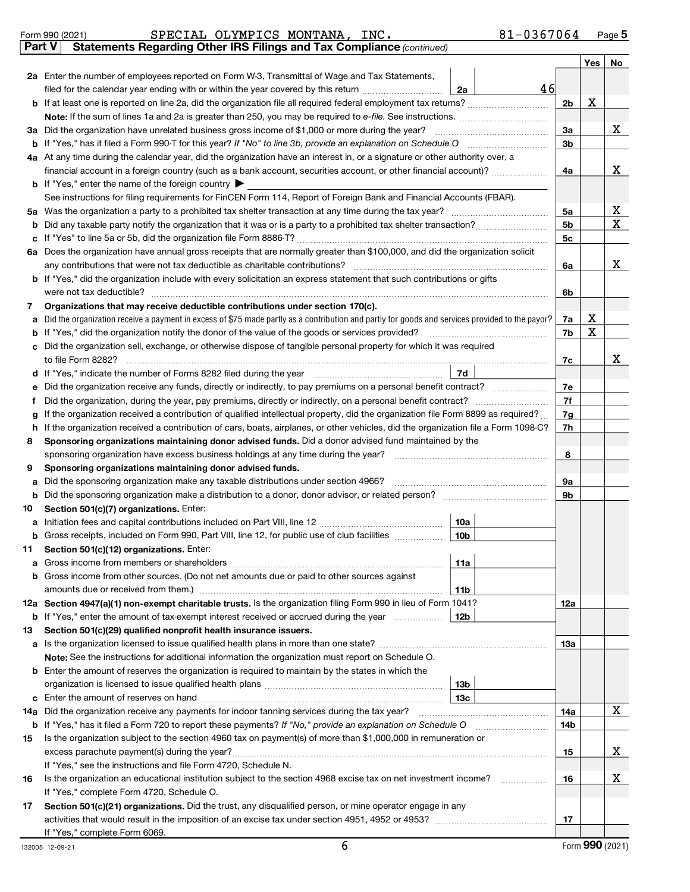|               | Form 990 (2021)                                                                                                                                                                                                                            | SPECIAL OLYMPICS MONTANA, INC.                                                                                                                                                                                |                 | $81 - 0367064$ |                |         | Page 5 |
|---------------|--------------------------------------------------------------------------------------------------------------------------------------------------------------------------------------------------------------------------------------------|---------------------------------------------------------------------------------------------------------------------------------------------------------------------------------------------------------------|-----------------|----------------|----------------|---------|--------|
| <b>Part V</b> |                                                                                                                                                                                                                                            | Statements Regarding Other IRS Filings and Tax Compliance (continued)                                                                                                                                         |                 |                |                |         |        |
|               |                                                                                                                                                                                                                                            |                                                                                                                                                                                                               |                 |                |                | Yes $ $ | No     |
|               |                                                                                                                                                                                                                                            | 2a Enter the number of employees reported on Form W-3, Transmittal of Wage and Tax Statements,                                                                                                                |                 |                |                |         |        |
|               |                                                                                                                                                                                                                                            | filed for the calendar year ending with or within the year covered by this return <i>manumumumum</i>                                                                                                          | 2a              | 46             |                |         |        |
|               |                                                                                                                                                                                                                                            |                                                                                                                                                                                                               |                 |                | 2 <sub>b</sub> | x       |        |
|               |                                                                                                                                                                                                                                            | Note: If the sum of lines 1a and 2a is greater than 250, you may be required to e-file. See instructions.                                                                                                     |                 |                |                |         |        |
|               |                                                                                                                                                                                                                                            | 3a Did the organization have unrelated business gross income of \$1,000 or more during the year?                                                                                                              |                 |                | 3a             |         | X      |
|               |                                                                                                                                                                                                                                            |                                                                                                                                                                                                               |                 |                | 3 <sub>b</sub> |         |        |
|               |                                                                                                                                                                                                                                            | 4a At any time during the calendar year, did the organization have an interest in, or a signature or other authority over, a                                                                                  |                 |                |                |         |        |
|               |                                                                                                                                                                                                                                            | financial account in a foreign country (such as a bank account, securities account, or other financial account)?                                                                                              |                 |                | 4a             |         | X      |
|               |                                                                                                                                                                                                                                            | <b>b</b> If "Yes," enter the name of the foreign country $\blacktriangleright$                                                                                                                                |                 |                |                |         |        |
|               |                                                                                                                                                                                                                                            | See instructions for filing requirements for FinCEN Form 114, Report of Foreign Bank and Financial Accounts (FBAR).                                                                                           |                 |                |                |         |        |
|               |                                                                                                                                                                                                                                            |                                                                                                                                                                                                               |                 |                | 5a             |         | x      |
| b             |                                                                                                                                                                                                                                            |                                                                                                                                                                                                               |                 |                | 5 <sub>b</sub> |         | X      |
|               |                                                                                                                                                                                                                                            |                                                                                                                                                                                                               |                 |                | 5 <sub>c</sub> |         |        |
|               |                                                                                                                                                                                                                                            | 6a Does the organization have annual gross receipts that are normally greater than \$100,000, and did the organization solicit<br>any contributions that were not tax deductible as charitable contributions? |                 |                | 6a             |         | X      |
|               |                                                                                                                                                                                                                                            | b If "Yes," did the organization include with every solicitation an express statement that such contributions or gifts                                                                                        |                 |                |                |         |        |
|               |                                                                                                                                                                                                                                            | were not tax deductible?                                                                                                                                                                                      |                 |                | 6b             |         |        |
| 7             |                                                                                                                                                                                                                                            | Organizations that may receive deductible contributions under section 170(c).                                                                                                                                 |                 |                |                |         |        |
| a             |                                                                                                                                                                                                                                            | Did the organization receive a payment in excess of \$75 made partly as a contribution and partly for goods and services provided to the payor?                                                               |                 |                | 7a             | х       |        |
| b             |                                                                                                                                                                                                                                            |                                                                                                                                                                                                               |                 |                | 7b             | X       |        |
| с             |                                                                                                                                                                                                                                            | Did the organization sell, exchange, or otherwise dispose of tangible personal property for which it was required                                                                                             |                 |                |                |         |        |
|               |                                                                                                                                                                                                                                            | to file Form 8282?                                                                                                                                                                                            |                 |                | 7c             |         | x      |
| d             |                                                                                                                                                                                                                                            | If "Yes," indicate the number of Forms 8282 filed during the year manufactured in the water of the number of Forms 8282 filed during the year manufactured in the number of Forms 8282 filed during the year. | 7d              |                |                |         |        |
| е             |                                                                                                                                                                                                                                            |                                                                                                                                                                                                               |                 |                | 7e             |         |        |
| f             |                                                                                                                                                                                                                                            | Did the organization, during the year, pay premiums, directly or indirectly, on a personal benefit contract?                                                                                                  |                 |                | 7f             |         |        |
| g             |                                                                                                                                                                                                                                            | If the organization received a contribution of qualified intellectual property, did the organization file Form 8899 as required?                                                                              |                 |                | 7g<br>7h       |         |        |
| h<br>8        | If the organization received a contribution of cars, boats, airplanes, or other vehicles, did the organization file a Form 1098-C?<br>Sponsoring organizations maintaining donor advised funds. Did a donor advised fund maintained by the |                                                                                                                                                                                                               |                 |                |                |         |        |
|               |                                                                                                                                                                                                                                            | sponsoring organization have excess business holdings at any time during the year?                                                                                                                            |                 |                | 8              |         |        |
| 9             |                                                                                                                                                                                                                                            | Sponsoring organizations maintaining donor advised funds.                                                                                                                                                     |                 |                |                |         |        |
| а             |                                                                                                                                                                                                                                            | Did the sponsoring organization make any taxable distributions under section 4966?                                                                                                                            |                 |                | 9а             |         |        |
| b             |                                                                                                                                                                                                                                            | Did the sponsoring organization make a distribution to a donor, donor advisor, or related person? [111] Did the sponsoring organization make a distribution to a donor, donor advisor, or related person?     |                 |                | 9b             |         |        |
| 10            |                                                                                                                                                                                                                                            | Section 501(c)(7) organizations. Enter:                                                                                                                                                                       |                 |                |                |         |        |
| a             |                                                                                                                                                                                                                                            |                                                                                                                                                                                                               | 10a             |                |                |         |        |
|               |                                                                                                                                                                                                                                            | <b>b</b> Gross receipts, included on Form 990, Part VIII, line 12, for public use of club facilities <i>managerecipts</i> ,                                                                                   | ∣ 10b           |                |                |         |        |
| 11            |                                                                                                                                                                                                                                            | Section 501(c)(12) organizations. Enter:                                                                                                                                                                      |                 |                |                |         |        |
| a             |                                                                                                                                                                                                                                            |                                                                                                                                                                                                               | 11a             |                |                |         |        |
|               |                                                                                                                                                                                                                                            | Gross income from other sources. (Do not net amounts due or paid to other sources against                                                                                                                     |                 |                |                |         |        |
|               |                                                                                                                                                                                                                                            |                                                                                                                                                                                                               | 11b             |                |                |         |        |
|               |                                                                                                                                                                                                                                            | 12a Section 4947(a)(1) non-exempt charitable trusts. Is the organization filing Form 990 in lieu of Form 1041?                                                                                                |                 |                | 12a            |         |        |
|               |                                                                                                                                                                                                                                            | <b>b</b> If "Yes," enter the amount of tax-exempt interest received or accrued during the year                                                                                                                | 12b             |                |                |         |        |
| 13            |                                                                                                                                                                                                                                            | Section 501(c)(29) qualified nonprofit health insurance issuers.                                                                                                                                              |                 |                |                |         |        |
|               |                                                                                                                                                                                                                                            | a Is the organization licensed to issue qualified health plans in more than one state?                                                                                                                        |                 |                | 13а            |         |        |
|               |                                                                                                                                                                                                                                            | Note: See the instructions for additional information the organization must report on Schedule O.                                                                                                             |                 |                |                |         |        |
|               |                                                                                                                                                                                                                                            | <b>b</b> Enter the amount of reserves the organization is required to maintain by the states in which the                                                                                                     |                 |                |                |         |        |
|               |                                                                                                                                                                                                                                            |                                                                                                                                                                                                               | 13 <sub>b</sub> |                |                |         |        |
| c             |                                                                                                                                                                                                                                            |                                                                                                                                                                                                               | 13с             |                |                |         | x      |
|               |                                                                                                                                                                                                                                            | 14a Did the organization receive any payments for indoor tanning services during the tax year?                                                                                                                |                 |                | 14a            |         |        |
|               |                                                                                                                                                                                                                                            |                                                                                                                                                                                                               |                 |                | 14b            |         |        |
| 15            |                                                                                                                                                                                                                                            | Is the organization subject to the section 4960 tax on payment(s) of more than \$1,000,000 in remuneration or                                                                                                 |                 |                |                |         | x      |
|               |                                                                                                                                                                                                                                            | If "Yes," see the instructions and file Form 4720, Schedule N.                                                                                                                                                |                 |                | 15             |         |        |
| 16            |                                                                                                                                                                                                                                            | Is the organization an educational institution subject to the section 4968 excise tax on net investment income?                                                                                               |                 |                | 16             |         | X      |
|               |                                                                                                                                                                                                                                            | If "Yes," complete Form 4720, Schedule O.                                                                                                                                                                     |                 |                |                |         |        |
| 17            |                                                                                                                                                                                                                                            | Section 501(c)(21) organizations. Did the trust, any disqualified person, or mine operator engage in any                                                                                                      |                 |                |                |         |        |
|               |                                                                                                                                                                                                                                            |                                                                                                                                                                                                               |                 |                | 17             |         |        |
|               |                                                                                                                                                                                                                                            | If "Yes," complete Form 6069.                                                                                                                                                                                 |                 |                |                |         |        |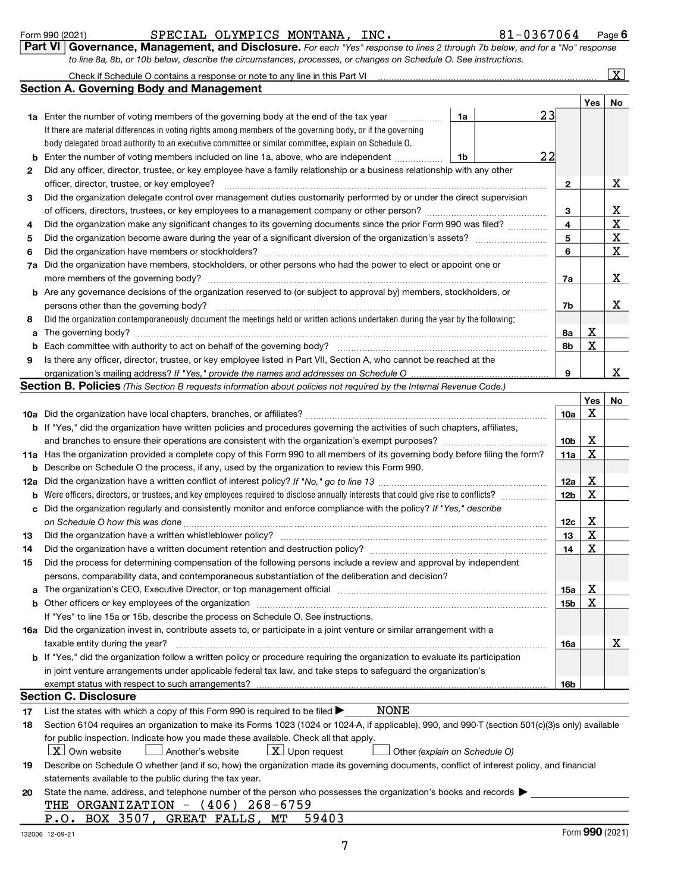|  | Form 990 (2021) |
|--|-----------------|
|  |                 |

Form 990 (2021) **Page 19 SPECIAL OLYMPICS MONTANA, INC.** 81-0367064 Page

Page 6

Check if Schedule O contains a response or note to any line in this Part VI

| LOITTI AAN (COCT) |                                                                                                                              | OF BULLE UPINE ICS MONIANA, INC. |  | r aye |
|-------------------|------------------------------------------------------------------------------------------------------------------------------|----------------------------------|--|-------|
|                   | Part VI Governance, Management, and Disclosure. For each "Yes" response to lines 2 through 7b below, and for a "No" response |                                  |  |       |
|                   | to line 8a, 8b, or 10b below, describe the circumstances, processes, or changes on Schedule O. See instructions.             |                                  |  |       |

| Check if Schedule O contains a response or note to any line in this Part VI | . |
|-----------------------------------------------------------------------------|---|
| <b>Section A. Governing Body and Management</b>                             |   |

 $\lfloor x \rfloor$ 

|     |                                                                                                                                                                                                                                |                 | Yes | No |
|-----|--------------------------------------------------------------------------------------------------------------------------------------------------------------------------------------------------------------------------------|-----------------|-----|----|
|     | 23<br><b>1a</b> Enter the number of voting members of the governing body at the end of the tax year <i>manumum</i><br>1a                                                                                                       |                 |     |    |
|     | If there are material differences in voting rights among members of the governing body, or if the governing                                                                                                                    |                 |     |    |
|     | body delegated broad authority to an executive committee or similar committee, explain on Schedule O.                                                                                                                          |                 |     |    |
| b   | 22<br>Enter the number of voting members included on line 1a, above, who are independent<br>1b                                                                                                                                 |                 |     |    |
| 2   | Did any officer, director, trustee, or key employee have a family relationship or a business relationship with any other                                                                                                       |                 |     |    |
|     | officer, director, trustee, or key employee?                                                                                                                                                                                   | $\mathbf{2}$    |     | x  |
| 3   | Did the organization delegate control over management duties customarily performed by or under the direct supervision                                                                                                          |                 |     |    |
|     |                                                                                                                                                                                                                                | 3               |     | х  |
| 4   | Did the organization make any significant changes to its governing documents since the prior Form 990 was filed?                                                                                                               | 4               |     | X  |
| 5   |                                                                                                                                                                                                                                | 5               |     | х  |
| 6   | Did the organization have members or stockholders?                                                                                                                                                                             | 6               |     | X  |
| 7a  | Did the organization have members, stockholders, or other persons who had the power to elect or appoint one or                                                                                                                 |                 |     |    |
|     | more members of the governing body?                                                                                                                                                                                            | 7a              |     | x  |
|     | <b>b</b> Are any governance decisions of the organization reserved to (or subject to approval by) members, stockholders, or                                                                                                    |                 |     |    |
|     | persons other than the governing body?                                                                                                                                                                                         | 7b              |     | X  |
| 8   | Did the organization contemporaneously document the meetings held or written actions undertaken during the year by the following:                                                                                              |                 |     |    |
| a   |                                                                                                                                                                                                                                | 8a              | х   |    |
| b   |                                                                                                                                                                                                                                | 8b              | X   |    |
| 9   | Is there any officer, director, trustee, or key employee listed in Part VII, Section A, who cannot be reached at the                                                                                                           |                 |     |    |
|     |                                                                                                                                                                                                                                | 9               |     | X  |
|     | Section B. Policies (This Section B requests information about policies not required by the Internal Revenue Code.)                                                                                                            |                 |     |    |
|     |                                                                                                                                                                                                                                |                 | Yes | No |
|     |                                                                                                                                                                                                                                | <b>10a</b>      | х   |    |
|     | b If "Yes," did the organization have written policies and procedures governing the activities of such chapters, affiliates,                                                                                                   |                 |     |    |
|     |                                                                                                                                                                                                                                | 10 <sub>b</sub> | х   |    |
|     | 11a Has the organization provided a complete copy of this Form 990 to all members of its governing body before filing the form?                                                                                                | 11a             | х   |    |
| b   | Describe on Schedule O the process, if any, used by the organization to review this Form 990.                                                                                                                                  |                 |     |    |
| 12a |                                                                                                                                                                                                                                | 12a             | х   |    |
| b   |                                                                                                                                                                                                                                | 12 <sub>b</sub> | х   |    |
| c   | Did the organization regularly and consistently monitor and enforce compliance with the policy? If "Yes," describe                                                                                                             |                 |     |    |
|     |                                                                                                                                                                                                                                | 12c             | х   |    |
| 13  |                                                                                                                                                                                                                                | 13              | х   |    |
| 14  | Did the organization have a written document retention and destruction policy? [11] manufaction manufaction in                                                                                                                 | 14              | х   |    |
| 15  | Did the process for determining compensation of the following persons include a review and approval by independent                                                                                                             |                 |     |    |
|     | persons, comparability data, and contemporaneous substantiation of the deliberation and decision?                                                                                                                              |                 |     |    |
|     | a The organization's CEO, Executive Director, or top management official                                                                                                                                                       | 15a             | х   |    |
|     | b Other officers or key employees of the organization manufactured content to the organization of the organization manufactured content of the organization manufactured content of the organization manufactured content of t | 15b             | х   |    |
|     | If "Yes" to line 15a or 15b, describe the process on Schedule O. See instructions.                                                                                                                                             |                 |     |    |
|     | 16a Did the organization invest in, contribute assets to, or participate in a joint venture or similar arrangement with a                                                                                                      |                 |     |    |
|     | taxable entity during the year?                                                                                                                                                                                                | 16a             |     | X  |
|     | <b>b</b> If "Yes," did the organization follow a written policy or procedure requiring the organization to evaluate its participation                                                                                          |                 |     |    |
|     | in joint venture arrangements under applicable federal tax law, and take steps to safeguard the organization's                                                                                                                 |                 |     |    |
|     |                                                                                                                                                                                                                                | 16b             |     |    |
|     | <b>Section C. Disclosure</b>                                                                                                                                                                                                   |                 |     |    |
| 17  | <b>NONE</b><br>List the states with which a copy of this Form 990 is required to be filed $\blacktriangleright$                                                                                                                |                 |     |    |
| 18  | Section 6104 requires an organization to make its Forms 1023 (1024 or 1024-A, if applicable), 990, and 990-T (section 501(c)(3)s only) available                                                                               |                 |     |    |
|     | for public inspection. Indicate how you made these available. Check all that apply.<br>$X$ Own website<br>$X$ Upon request                                                                                                     |                 |     |    |
|     | Another's website<br>Other (explain on Schedule O)                                                                                                                                                                             |                 |     |    |
| 19  | Describe on Schedule O whether (and if so, how) the organization made its governing documents, conflict of interest policy, and financial                                                                                      |                 |     |    |
|     |                                                                                                                                                                                                                                |                 |     |    |
|     | statements available to the public during the tax year.                                                                                                                                                                        |                 |     |    |
| 20  | State the name, address, and telephone number of the person who possesses the organization's books and records<br>THE ORGANIZATION - (406) 268-6759                                                                            |                 |     |    |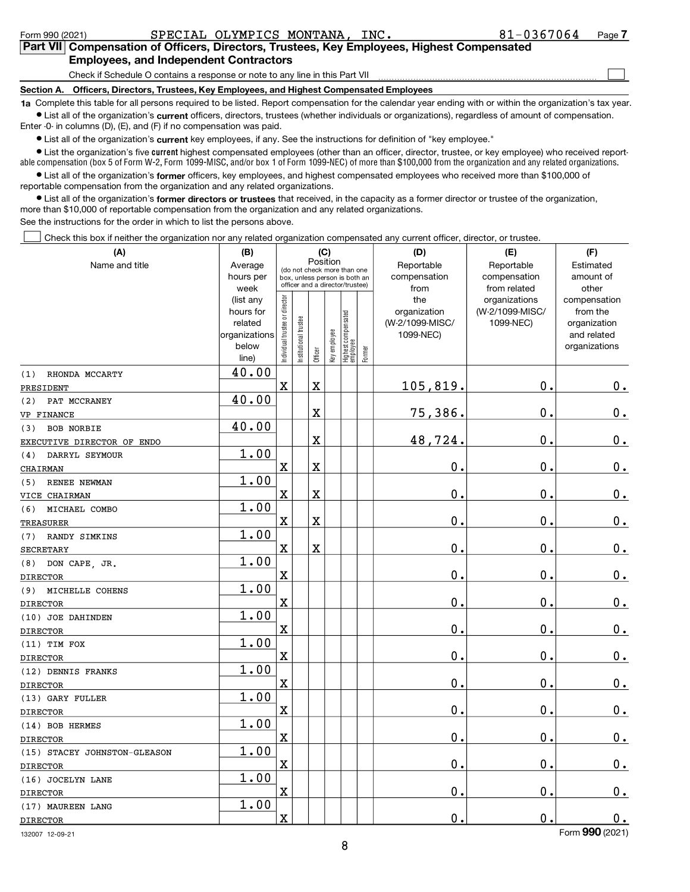| Form 990 (2021) | SPECIAL OLYMPICS MONTANA, INC.                                                                                                                             | 81-0367064<br>Page 7 |  |  |  |  |  |  |
|-----------------|------------------------------------------------------------------------------------------------------------------------------------------------------------|----------------------|--|--|--|--|--|--|
|                 | Part VII Compensation of Officers, Directors, Trustees, Key Employees, Highest Compensated                                                                 |                      |  |  |  |  |  |  |
|                 | <b>Employees, and Independent Contractors</b>                                                                                                              |                      |  |  |  |  |  |  |
|                 | Check if Schedule O contains a response or note to any line in this Part VII                                                                               |                      |  |  |  |  |  |  |
|                 | Section A. Officers, Directors, Trustees, Key Employees, and Highest Compensated Employees                                                                 |                      |  |  |  |  |  |  |
|                 | 1a Complete this table for all persons required to be listed. Report compensation for the calendar year ending with or within the organization's tax year. |                      |  |  |  |  |  |  |
|                 | • List all of the organization's current officers, directors, trustees (whether individuals or organizations), regardless of amount of compensation.       |                      |  |  |  |  |  |  |
|                 | Enter -0- in columns (D), (E), and (F) if no compensation was paid.                                                                                        |                      |  |  |  |  |  |  |
|                 | • List all of the organization's current key employees, if any. See the instructions for definition of "key employee."                                     |                      |  |  |  |  |  |  |

current ● List all of the organization's **current** key employees, if any. See the instructions for definition of "key employee."

 current able compensation (box 5 of Form W-2, Form 1099-MISC, and/or box 1 of Form 1099-NEC) of more than \$100,000 from the organization and any related organizations. • List the organization's five current highest compensated employees (other than an officer, director, trustee, or key employee) who received report-

List all of the organization's former officers, key employees, and highest compensated employees who received more than \$100,000 of reportable compensation from the organization and any related organizations.

• List all of the organization's former directors or trustees that received, in the capacity as a former director or trustee of the organization, more than \$10,000 of reportable compensation from the organization and any related organizations. See the instructions for the order in which to list the persons above.

Check this box if neither the organization nor any related organization compensated any current officer, director, or trustee.

| (A)                          | (B)                    |                                |                                 | (C)         |              |                                 |        | (D)              | (E)             | (F)                          |
|------------------------------|------------------------|--------------------------------|---------------------------------|-------------|--------------|---------------------------------|--------|------------------|-----------------|------------------------------|
| Name and title               | Average                |                                | (do not check more than one     |             | Position     |                                 |        | Reportable       | Reportable      | Estimated                    |
|                              | hours per              |                                | box, unless person is both an   |             |              |                                 |        | compensation     | compensation    | amount of                    |
|                              | week                   |                                | officer and a director/trustee) |             |              |                                 |        | from             | from related    | other                        |
|                              | (list any              |                                |                                 |             |              |                                 |        | the              | organizations   | compensation                 |
|                              | hours for              |                                |                                 |             |              |                                 |        | organization     | (W-2/1099-MISC/ | from the                     |
|                              | related                |                                |                                 |             |              |                                 |        | (W-2/1099-MISC/  | 1099-NEC)       | organization                 |
|                              | organizations<br>below |                                |                                 |             |              |                                 |        | 1099-NEC)        |                 | and related<br>organizations |
|                              | line)                  | Individual trustee or director | Institutional trustee           | Officer     | key employee | Highest compensated<br>employee | Former |                  |                 |                              |
| RHONDA MCCARTY<br>(1)        | 40.00                  |                                |                                 |             |              |                                 |        |                  |                 |                              |
| PRESIDENT                    |                        | X                              |                                 | $\mathbf X$ |              |                                 |        | 105,819.         | $\mathbf 0$ .   | $0_{.}$                      |
| PAT MCCRANEY<br>(2)          | 40.00                  |                                |                                 |             |              |                                 |        |                  |                 |                              |
| VP FINANCE                   |                        |                                |                                 | X           |              |                                 |        | 75,386.          | $\mathbf 0$ .   | 0.                           |
| <b>BOB NORBIE</b><br>(3)     | 40.00                  |                                |                                 |             |              |                                 |        |                  |                 |                              |
| EXECUTIVE DIRECTOR OF ENDO   |                        |                                |                                 | $\mathbf X$ |              |                                 |        | 48,724           | $\mathbf 0$ .   | $0_{.}$                      |
| DARRYL SEYMOUR<br>(4)        | 1.00                   |                                |                                 |             |              |                                 |        |                  |                 |                              |
| CHAIRMAN                     |                        | X                              |                                 | X           |              |                                 |        | $\mathbf 0$ .    | $\mathbf 0$ .   | $\mathbf 0$ .                |
| RENEE NEWMAN<br>(5)          | 1.00                   |                                |                                 |             |              |                                 |        |                  |                 |                              |
| VICE CHAIRMAN                |                        | X                              |                                 | X           |              |                                 |        | 0.               | $\mathbf 0$ .   | $\mathbf 0$ .                |
| MICHAEL COMBO<br>(6)         | 1.00                   |                                |                                 |             |              |                                 |        |                  |                 |                              |
| <b>TREASURER</b>             |                        | X                              |                                 | $\rm X$     |              |                                 |        | $\mathbf 0$ .    | 0.              | $0_{\cdot}$                  |
| (7)<br>RANDY SIMKINS         | 1.00                   |                                |                                 |             |              |                                 |        |                  |                 |                              |
| <b>SECRETARY</b>             |                        | X                              |                                 | $\mathbf X$ |              |                                 |        | $\mathbf 0$ .    | $\mathbf 0$ .   | $\mathbf 0$ .                |
| DON CAPE, JR.<br>(8)         | 1.00                   |                                |                                 |             |              |                                 |        |                  |                 |                              |
| <b>DIRECTOR</b>              |                        | X                              |                                 |             |              |                                 |        | 0.               | $\mathbf 0$ .   | 0.                           |
| MICHELLE COHENS<br>(9)       | 1.00                   |                                |                                 |             |              |                                 |        |                  |                 |                              |
| <b>DIRECTOR</b>              |                        | X                              |                                 |             |              |                                 |        | $\mathbf 0$ .    | $\mathbf 0$ .   | 0.                           |
| (10) JOE DAHINDEN            | 1.00                   |                                |                                 |             |              |                                 |        |                  |                 |                              |
| <b>DIRECTOR</b>              |                        | X                              |                                 |             |              |                                 |        | $\mathbf 0$ .    | 0.              | $0_{.}$                      |
| $(11)$ TIM FOX               | 1.00                   |                                |                                 |             |              |                                 |        |                  |                 |                              |
| <b>DIRECTOR</b>              |                        | X                              |                                 |             |              |                                 |        | $\mathbf 0$ .    | $\mathbf 0$ .   | $0_{\cdot}$                  |
| (12) DENNIS FRANKS           | 1.00                   |                                |                                 |             |              |                                 |        |                  |                 |                              |
| <b>DIRECTOR</b>              |                        | X                              |                                 |             |              |                                 |        | $\mathbf 0$ .    | $\mathbf 0$ .   | $0_{.}$                      |
| (13) GARY FULLER             | 1.00                   |                                |                                 |             |              |                                 |        |                  |                 |                              |
| <b>DIRECTOR</b>              |                        | X                              |                                 |             |              |                                 |        | О.               | $\mathbf 0$ .   | $\mathbf 0$ .                |
| (14) BOB HERMES              | 1.00                   |                                |                                 |             |              |                                 |        |                  |                 |                              |
| <b>DIRECTOR</b>              |                        | X                              |                                 |             |              |                                 |        | $\overline{0}$ . | $\mathbf 0$ .   | $0_{.}$                      |
| (15) STACEY JOHNSTON-GLEASON | 1.00                   |                                |                                 |             |              |                                 |        |                  |                 |                              |
| <b>DIRECTOR</b>              |                        | X                              |                                 |             |              |                                 |        | 0.               | $\mathbf 0$ .   | $0_{.}$                      |
| (16) JOCELYN LANE            | 1.00                   |                                |                                 |             |              |                                 |        |                  |                 |                              |
| <b>DIRECTOR</b>              |                        | X                              |                                 |             |              |                                 |        | $\mathbf 0$ .    | $\mathbf 0$ .   | $\mathbf 0$ .                |
| (17) MAUREEN LANG            | 1.00                   |                                |                                 |             |              |                                 |        |                  |                 |                              |
| <b>DIRECTOR</b>              |                        | X                              |                                 |             |              |                                 |        | $\mathbf 0$ .    | $\mathbf 0$ .   | 0.                           |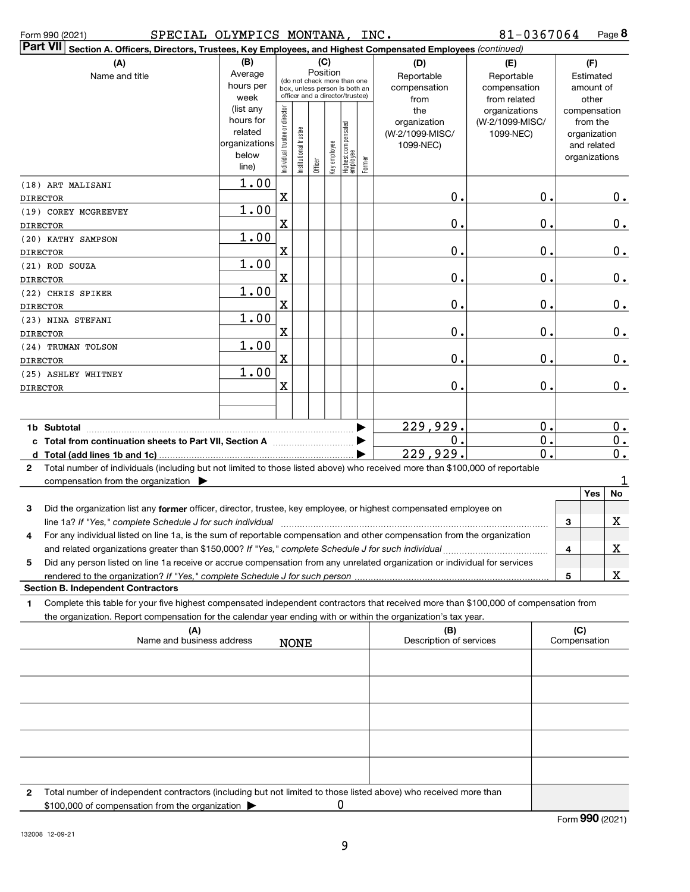| SPECIAL OLYMPICS MONTANA, INC.<br>Form 990 (2021)                                                                                            |                        |                               |                       |          |              |                                                                  |        |                         | 81-0367064                   |   |                        | Page 8        |
|----------------------------------------------------------------------------------------------------------------------------------------------|------------------------|-------------------------------|-----------------------|----------|--------------|------------------------------------------------------------------|--------|-------------------------|------------------------------|---|------------------------|---------------|
| Part VII<br>Section A. Officers, Directors, Trustees, Key Employees, and Highest Compensated Employees (continued)                           |                        |                               |                       |          |              |                                                                  |        |                         |                              |   |                        |               |
| (A)                                                                                                                                          | (B)                    |                               |                       | Position | (C)          |                                                                  |        | (D)                     | (E)                          |   | (F)                    |               |
| Name and title                                                                                                                               | Average<br>hours per   |                               |                       |          |              | (do not check more than one                                      |        | Reportable              | Reportable                   |   | Estimated<br>amount of |               |
|                                                                                                                                              | week                   |                               |                       |          |              | box, unless person is both an<br>officer and a director/trustee) |        | compensation<br>from    | compensation<br>from related |   | other                  |               |
|                                                                                                                                              | (list any              |                               |                       |          |              |                                                                  |        | the                     | organizations                |   | compensation           |               |
|                                                                                                                                              | hours for              |                               |                       |          |              |                                                                  |        | organization            | (W-2/1099-MISC/              |   | from the               |               |
|                                                                                                                                              | related                |                               |                       |          |              |                                                                  |        | (W-2/1099-MISC/         | 1099-NEC)                    |   | organization           |               |
|                                                                                                                                              | organizations<br>below |                               |                       |          |              |                                                                  |        | 1099-NEC)               |                              |   | and related            |               |
|                                                                                                                                              | line)                  | ndividual trustee or director | Institutional trustee | Officer  | Key employee | Highest compensated<br>employee                                  | Former |                         |                              |   | organizations          |               |
| (18) ART MALISANI                                                                                                                            | 1.00                   |                               |                       |          |              |                                                                  |        |                         |                              |   |                        |               |
| <b>DIRECTOR</b>                                                                                                                              |                        | X                             |                       |          |              |                                                                  |        | 0.                      | 0.                           |   |                        | $0_{.}$       |
| (19) COREY MCGREEVEY                                                                                                                         | 1.00                   |                               |                       |          |              |                                                                  |        |                         |                              |   |                        |               |
| <b>DIRECTOR</b>                                                                                                                              |                        | X                             |                       |          |              |                                                                  |        | 0.                      | $\mathbf 0$ .                |   |                        | $0_{.}$       |
| (20) KATHY SAMPSON                                                                                                                           | 1.00                   |                               |                       |          |              |                                                                  |        |                         |                              |   |                        |               |
| <b>DIRECTOR</b>                                                                                                                              |                        | X                             |                       |          |              |                                                                  |        | 0.                      | 0.                           |   |                        | $0_{.}$       |
| (21) ROD SOUZA                                                                                                                               | 1.00                   |                               |                       |          |              |                                                                  |        |                         |                              |   |                        |               |
| <b>DIRECTOR</b>                                                                                                                              |                        | X                             |                       |          |              |                                                                  |        | 0.                      | 0.                           |   |                        | $\mathbf 0$ . |
| (22) CHRIS SPIKER                                                                                                                            | 1.00                   |                               |                       |          |              |                                                                  |        |                         |                              |   |                        |               |
| <b>DIRECTOR</b>                                                                                                                              |                        | X                             |                       |          |              |                                                                  |        | 0.                      | 0.                           |   |                        | $\mathbf 0$ . |
| (23) NINA STEFANI                                                                                                                            | 1.00                   |                               |                       |          |              |                                                                  |        |                         |                              |   |                        |               |
| <b>DIRECTOR</b>                                                                                                                              |                        | X                             |                       |          |              |                                                                  |        | $\mathbf 0$ .           | $\mathbf 0$ .                |   |                        | $\mathbf 0$ . |
| (24) TRUMAN TOLSON                                                                                                                           | 1.00                   |                               |                       |          |              |                                                                  |        |                         |                              |   |                        |               |
| <b>DIRECTOR</b>                                                                                                                              |                        | X                             |                       |          |              |                                                                  |        | $\mathbf 0$ .           | $\mathbf 0$ .                |   |                        | $\mathbf 0$ . |
| (25) ASHLEY WHITNEY                                                                                                                          | 1.00                   |                               |                       |          |              |                                                                  |        |                         |                              |   |                        |               |
| <b>DIRECTOR</b>                                                                                                                              |                        | X                             |                       |          |              |                                                                  |        | 0.                      | 0.                           |   |                        | $\mathbf 0$ . |
|                                                                                                                                              |                        |                               |                       |          |              |                                                                  |        |                         |                              |   |                        |               |
| 1b Subtotal                                                                                                                                  |                        |                               |                       |          |              |                                                                  |        | 229,929.                | 0.                           |   |                        | 0.            |
|                                                                                                                                              |                        |                               |                       |          |              |                                                                  |        | 0.                      | 0.                           |   |                        | $\mathbf 0$ . |
|                                                                                                                                              |                        |                               |                       |          |              |                                                                  |        | 229,929.                | 0.                           |   |                        | $\mathbf 0$ . |
| Total number of individuals (including but not limited to those listed above) who received more than \$100,000 of reportable<br>$\mathbf{2}$ |                        |                               |                       |          |              |                                                                  |        |                         |                              |   |                        |               |
| compensation from the organization >                                                                                                         |                        |                               |                       |          |              |                                                                  |        |                         |                              |   |                        | 1             |
|                                                                                                                                              |                        |                               |                       |          |              |                                                                  |        |                         |                              |   | Yes                    | No            |
| Did the organization list any former officer, director, trustee, key employee, or highest compensated employee on<br>3                       |                        |                               |                       |          |              |                                                                  |        |                         |                              |   |                        |               |
|                                                                                                                                              |                        |                               |                       |          |              |                                                                  |        |                         |                              | 3 |                        | X             |
| 4<br>For any individual listed on line 1a, is the sum of reportable compensation and other compensation from the organization                |                        |                               |                       |          |              |                                                                  |        |                         |                              |   |                        |               |
| and related organizations greater than \$150,000? If "Yes," complete Schedule J for such individual                                          |                        |                               |                       |          |              |                                                                  |        |                         |                              | 4 |                        | X             |
| Did any person listed on line 1a receive or accrue compensation from any unrelated organization or individual for services<br>5              |                        |                               |                       |          |              |                                                                  |        |                         |                              |   |                        |               |
| <b>Section B. Independent Contractors</b>                                                                                                    |                        |                               |                       |          |              |                                                                  |        |                         |                              | 5 |                        | X             |
| Complete this table for your five highest compensated independent contractors that received more than \$100,000 of compensation from<br>1    |                        |                               |                       |          |              |                                                                  |        |                         |                              |   |                        |               |
| the organization. Report compensation for the calendar year ending with or within the organization's tax year.                               |                        |                               |                       |          |              |                                                                  |        |                         |                              |   |                        |               |
| (A)                                                                                                                                          |                        |                               |                       |          |              |                                                                  |        | (B)                     |                              |   | (C)                    |               |
| Name and business address                                                                                                                    |                        |                               | NONE                  |          |              |                                                                  |        | Description of services |                              |   | Compensation           |               |
|                                                                                                                                              |                        |                               |                       |          |              |                                                                  |        |                         |                              |   |                        |               |
|                                                                                                                                              |                        |                               |                       |          |              |                                                                  |        |                         |                              |   |                        |               |
|                                                                                                                                              |                        |                               |                       |          |              |                                                                  |        |                         |                              |   |                        |               |
|                                                                                                                                              |                        |                               |                       |          |              |                                                                  |        |                         |                              |   |                        |               |
|                                                                                                                                              |                        |                               |                       |          |              |                                                                  |        |                         |                              |   |                        |               |
|                                                                                                                                              |                        |                               |                       |          |              |                                                                  |        |                         |                              |   |                        |               |
|                                                                                                                                              |                        |                               |                       |          |              |                                                                  |        |                         |                              |   |                        |               |
|                                                                                                                                              |                        |                               |                       |          |              |                                                                  |        |                         |                              |   |                        |               |

| Total number of independent contractors (including but not limited to those listed above) who received more than |  |
|------------------------------------------------------------------------------------------------------------------|--|
| \$100,000 of compensation from the organization                                                                  |  |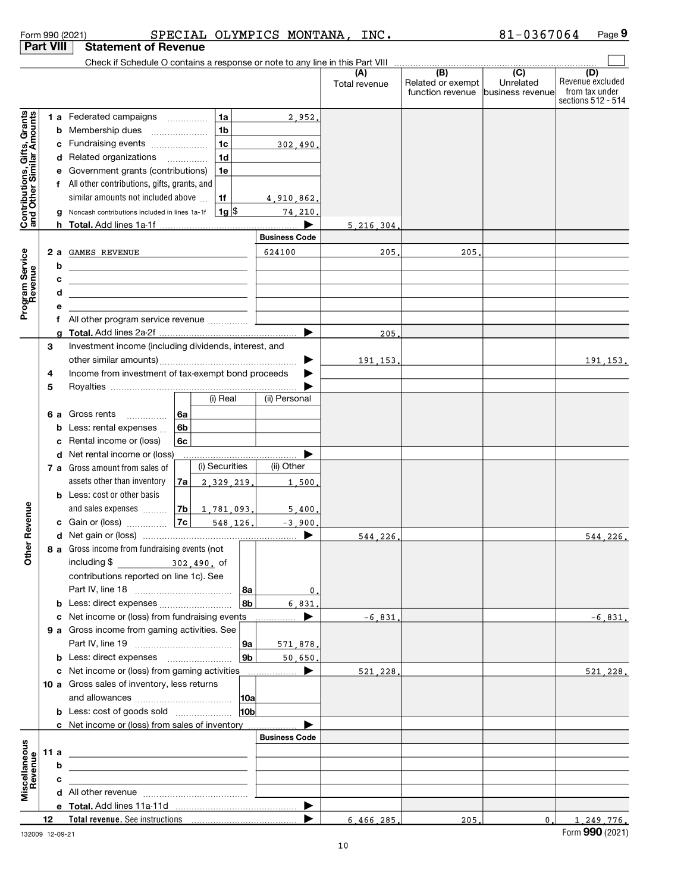| (B)<br>(C)<br>(A)<br>Related or exempt<br>Unrelated<br>Total revenue                                                                                                                                                                      | (D)                                                      |
|-------------------------------------------------------------------------------------------------------------------------------------------------------------------------------------------------------------------------------------------|----------------------------------------------------------|
|                                                                                                                                                                                                                                           |                                                          |
| function revenue<br>business revenue                                                                                                                                                                                                      | Revenue excluded<br>from tax under<br>sections 512 - 514 |
| 1a<br>1 a Federated campaigns<br>2,952.                                                                                                                                                                                                   |                                                          |
| <b>b</b> Membership dues<br>1b                                                                                                                                                                                                            |                                                          |
| 1 <sub>c</sub><br>c Fundraising events<br>302,490.                                                                                                                                                                                        |                                                          |
| d Related organizations<br>1 <sub>d</sub><br>$\overline{\phantom{a}}$                                                                                                                                                                     |                                                          |
| e Government grants (contributions)<br>1e                                                                                                                                                                                                 |                                                          |
| f All other contributions, gifts, grants, and                                                                                                                                                                                             |                                                          |
| similar amounts not included above<br>1f<br>4,910,862.                                                                                                                                                                                    |                                                          |
| Contributions, Gifts, Grants<br>and Other Similar Amounts<br>∣ 1g  \$<br>g Noncash contributions included in lines 1a-1f<br>74,210.                                                                                                       |                                                          |
| 5.216.304                                                                                                                                                                                                                                 |                                                          |
| <b>Business Code</b>                                                                                                                                                                                                                      |                                                          |
| 624100<br>2 a GAMES REVENUE<br>205.<br>205                                                                                                                                                                                                |                                                          |
| Program Service<br>b                                                                                                                                                                                                                      |                                                          |
| c<br><u>and the state of the state of the state of the state of the state of the state of the state of the state of the state of the state of the state of the state of the state of the state of the state of the state of the state</u> |                                                          |
| d                                                                                                                                                                                                                                         |                                                          |
| е                                                                                                                                                                                                                                         |                                                          |
| f All other program service revenue<br>205<br>a                                                                                                                                                                                           |                                                          |
| Investment income (including dividends, interest, and<br>3                                                                                                                                                                                |                                                          |
| 191.153.                                                                                                                                                                                                                                  | 191, 153.                                                |
| Income from investment of tax-exempt bond proceeds<br>4                                                                                                                                                                                   |                                                          |
| 5                                                                                                                                                                                                                                         |                                                          |
| (i) Real<br>(ii) Personal                                                                                                                                                                                                                 |                                                          |
| Gross rents<br>6a<br>6а<br>$\cdots$                                                                                                                                                                                                       |                                                          |
| Less: rental expenses<br>6b                                                                                                                                                                                                               |                                                          |
| c Rental income or (loss)<br>6c                                                                                                                                                                                                           |                                                          |
| d Net rental income or (loss)                                                                                                                                                                                                             |                                                          |
| (i) Securities<br>(ii) Other<br>7 a Gross amount from sales of                                                                                                                                                                            |                                                          |
| assets other than inventory<br>2.329.219.<br>7a<br>1,500,                                                                                                                                                                                 |                                                          |
| <b>b</b> Less: cost or other basis                                                                                                                                                                                                        |                                                          |
| and sales expenses<br> 7b <br>1,781,093.<br>5.400.                                                                                                                                                                                        |                                                          |
| Revenue<br>548,126.<br>$-3,900$<br>▶<br>544,226,                                                                                                                                                                                          | 544.226.                                                 |
| 8 a Gross income from fundraising events (not                                                                                                                                                                                             |                                                          |
| $\tilde{5}$<br>including \$<br>302,490. of                                                                                                                                                                                                |                                                          |
| contributions reported on line 1c). See                                                                                                                                                                                                   |                                                          |
| 8a<br>0.                                                                                                                                                                                                                                  |                                                          |
| 8b<br>6.831                                                                                                                                                                                                                               |                                                          |
| c Net income or (loss) from fundraising events<br>▶<br>$-6.831.$<br>.                                                                                                                                                                     | $-6.831.$                                                |
| 9 a Gross income from gaming activities. See                                                                                                                                                                                              |                                                          |
| 9a<br>571,878.                                                                                                                                                                                                                            |                                                          |
| 9 <sub>b</sub><br><b>b</b> Less: direct expenses <b>manually</b><br>50,650,                                                                                                                                                               |                                                          |
| c Net income or (loss) from gaming activities<br>▶<br>521.228.                                                                                                                                                                            | 521,228.                                                 |
| 10 a Gross sales of inventory, less returns                                                                                                                                                                                               |                                                          |
| <b>10a</b>                                                                                                                                                                                                                                |                                                          |
| 10 <sub>b</sub><br><b>b</b> Less: cost of goods sold<br>▶                                                                                                                                                                                 |                                                          |
| c Net income or (loss) from sales of inventory<br><b>Business Code</b>                                                                                                                                                                    |                                                          |
| 11 a<br><u> 1989 - Johann Barn, fransk politik amerikansk politik (</u>                                                                                                                                                                   |                                                          |
| b                                                                                                                                                                                                                                         |                                                          |
| Miscellaneous<br>Revenue<br>с                                                                                                                                                                                                             |                                                          |
|                                                                                                                                                                                                                                           |                                                          |
|                                                                                                                                                                                                                                           |                                                          |
| ▶<br>12<br>6.466.285.<br>205.                                                                                                                                                                                                             | 0.<br>1.249.776.                                         |

Form 990 (2021) SPECIAL OLYMPICS MONTANA, INC. 81-0367064 Page<sup>1</sup>

132009 12-09-21

 $81 - 0367064$  Page 9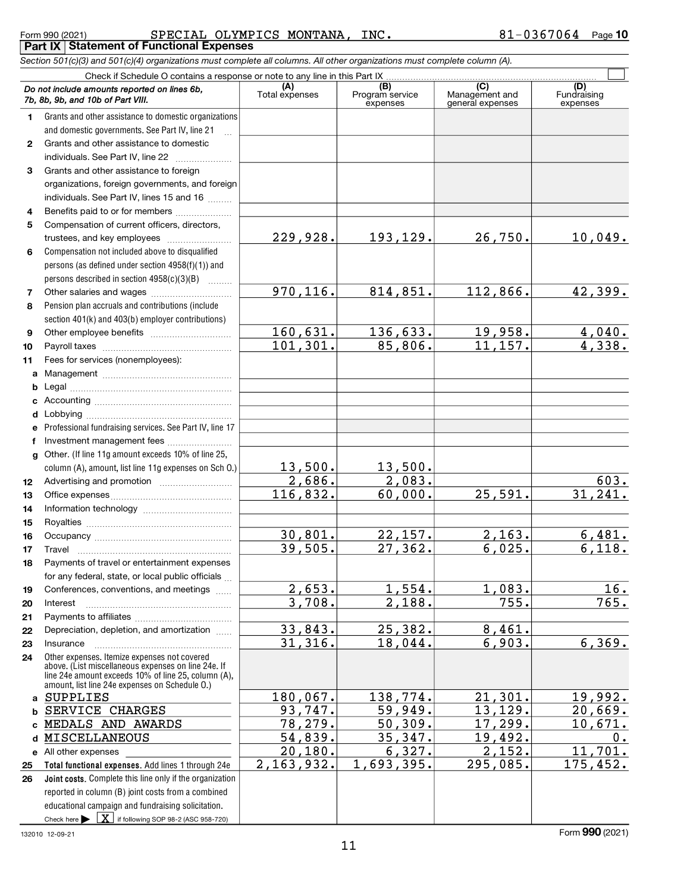#### Form 990 (2021) **SPECIAL OLYMPICS MONTANA, INC.** 81-0367064 Page **Part IX Statement of Functional Expenses**

ī

Section 501(c)(3) and 501(c)(4) organizations must complete all columns. All other organizations must complete column (A).

Check if Schedule O contains a response or note to any line in this Part IX Do not include amounts reported on lines 6b,

|                | Do not include amounts reported on lines 6b,<br>7b, 8b, 9b, and 10b of Part VIII.                                                                                                                            | (A)<br>Total expenses | (B)<br>Program service<br>expenses | (C)<br>Management and<br>general expenses | (D)<br>Fundraising<br>expenses |
|----------------|--------------------------------------------------------------------------------------------------------------------------------------------------------------------------------------------------------------|-----------------------|------------------------------------|-------------------------------------------|--------------------------------|
| $\mathbf 1$    | Grants and other assistance to domestic organizations                                                                                                                                                        |                       |                                    |                                           |                                |
|                | and domestic governments. See Part IV, line 21                                                                                                                                                               |                       |                                    |                                           |                                |
| $\mathbf{2}$   | Grants and other assistance to domestic                                                                                                                                                                      |                       |                                    |                                           |                                |
|                | individuals. See Part IV, line 22                                                                                                                                                                            |                       |                                    |                                           |                                |
| 3              | Grants and other assistance to foreign                                                                                                                                                                       |                       |                                    |                                           |                                |
|                | organizations, foreign governments, and foreign                                                                                                                                                              |                       |                                    |                                           |                                |
|                | individuals. See Part IV, lines 15 and 16                                                                                                                                                                    |                       |                                    |                                           |                                |
| 4              | Benefits paid to or for members                                                                                                                                                                              |                       |                                    |                                           |                                |
| 5              | Compensation of current officers, directors,                                                                                                                                                                 |                       |                                    |                                           |                                |
|                | trustees, and key employees                                                                                                                                                                                  | 229, 928.             | 193,129.                           | 26,750.                                   | 10,049.                        |
| 6              | Compensation not included above to disqualified                                                                                                                                                              |                       |                                    |                                           |                                |
|                | persons (as defined under section 4958(f)(1)) and                                                                                                                                                            |                       |                                    |                                           |                                |
|                | persons described in section 4958(c)(3)(B)                                                                                                                                                                   |                       |                                    |                                           |                                |
| $\overline{7}$ | Other salaries and wages                                                                                                                                                                                     | 970,116.              | 814,851.                           | 112,866.                                  | 42,399.                        |
| 8              | Pension plan accruals and contributions (include<br>section 401(k) and 403(b) employer contributions)                                                                                                        |                       |                                    |                                           |                                |
| 9              |                                                                                                                                                                                                              | 160,631.              | 136,633.                           | 19,958.                                   | 4,040.                         |
| 10             |                                                                                                                                                                                                              | 101, 301.             | 85,806.                            | 11,157.                                   | 4,338.                         |
| 11             | Fees for services (nonemployees):                                                                                                                                                                            |                       |                                    |                                           |                                |
|                |                                                                                                                                                                                                              |                       |                                    |                                           |                                |
|                |                                                                                                                                                                                                              |                       |                                    |                                           |                                |
|                |                                                                                                                                                                                                              |                       |                                    |                                           |                                |
| d              |                                                                                                                                                                                                              |                       |                                    |                                           |                                |
| e              | Professional fundraising services. See Part IV, line 17                                                                                                                                                      |                       |                                    |                                           |                                |
| f              | Investment management fees                                                                                                                                                                                   |                       |                                    |                                           |                                |
|                | g Other. (If line 11g amount exceeds 10% of line 25,                                                                                                                                                         |                       |                                    |                                           |                                |
|                | column (A), amount, list line 11g expenses on Sch O.)                                                                                                                                                        | 13,500.               | 13,500.                            |                                           |                                |
| 12             |                                                                                                                                                                                                              | 2,686.                | 2,083.                             |                                           | 603.                           |
| 13             |                                                                                                                                                                                                              | 116,832.              | 60,000.                            | 25,591.                                   | 31,241.                        |
| 14             |                                                                                                                                                                                                              |                       |                                    |                                           |                                |
| 15             |                                                                                                                                                                                                              |                       |                                    |                                           |                                |
| 16             |                                                                                                                                                                                                              | 30,801.               | 22,157.                            | 2,163.                                    | 6,481.<br>6,118.               |
| 17             | Travel                                                                                                                                                                                                       | 39,505.               | 27,362.                            | 6,025.                                    |                                |
| 18             | Payments of travel or entertainment expenses<br>for any federal, state, or local public officials                                                                                                            |                       |                                    |                                           |                                |
|                | Conferences, conventions, and meetings                                                                                                                                                                       | 2,653.                | 1,554.                             | 1,083.                                    | 16.                            |
| 19<br>20       | Interest                                                                                                                                                                                                     | 3,708.                | 2,188.                             | 755.                                      | 765.                           |
| 21             |                                                                                                                                                                                                              |                       |                                    |                                           |                                |
| 22             | Depreciation, depletion, and amortization                                                                                                                                                                    | 33,843.               | 25,382.                            | 8,461.                                    |                                |
| 23             | Insurance                                                                                                                                                                                                    | 31,316.               | 18,044.                            | 6,903.                                    | 6, 369.                        |
| 24             | Other expenses. Itemize expenses not covered<br>above. (List miscellaneous expenses on line 24e. If<br>line 24e amount exceeds 10% of line 25, column (A),<br>amount, list line 24e expenses on Schedule O.) |                       |                                    |                                           |                                |
|                | a SUPPLIES                                                                                                                                                                                                   | $180,067$ .           | 138,774.                           | 21,301.                                   | 19,992.                        |
| b              | SERVICE CHARGES                                                                                                                                                                                              | 93,747.               | 59,949.                            | 13,129.                                   | 20,669.                        |
| c              | MEDALS AND AWARDS                                                                                                                                                                                            | 78,279.               | 50,309.                            | 17,299.                                   | 10,671.                        |
| d              | MISCELLANEOUS                                                                                                                                                                                                | 54,839.               | 35,347.                            | 19,492.                                   | 0.                             |
|                | e All other expenses                                                                                                                                                                                         | 20,180.               | 6,327.                             | 2,152.                                    | 11,701.                        |
| 25             | Total functional expenses. Add lines 1 through 24e                                                                                                                                                           | 2, 163, 932.          | 1,693,395.                         | 295,085.                                  | 175,452.                       |
| 26             | Joint costs. Complete this line only if the organization                                                                                                                                                     |                       |                                    |                                           |                                |
|                | reported in column (B) joint costs from a combined                                                                                                                                                           |                       |                                    |                                           |                                |
|                | educational campaign and fundraising solicitation.                                                                                                                                                           |                       |                                    |                                           |                                |
|                | Check here $\blacktriangleright \boxed{\textbf{X}}$ if following SOP 98-2 (ASC 958-720)                                                                                                                      |                       |                                    |                                           |                                |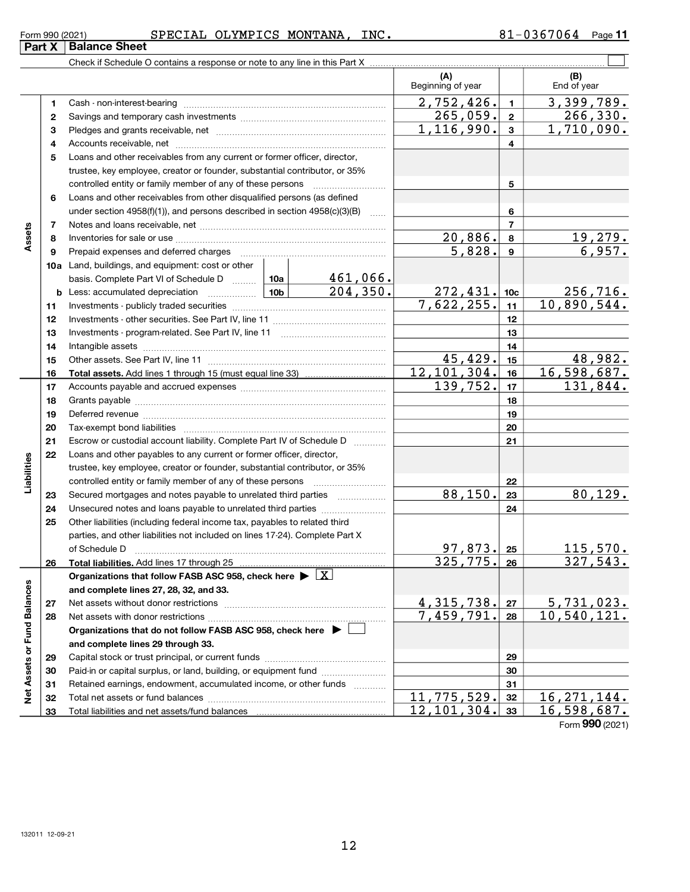|                 | $\mathbf{D}$ and $\mathbf{V}$ is $\mathbf{D}$ and $\mathbf{D}$ and $\mathbf{D}$ |         |          |                |      |               |      |
|-----------------|---------------------------------------------------------------------------------|---------|----------|----------------|------|---------------|------|
| Form 990 (2021) |                                                                                 | SPECIAL | OLYMPICS | <b>MONTANA</b> | INC. | 57064<br>י סכ | Page |

#### $(A)$   $\qquad \qquad$   $\qquad \qquad$   $(B)$ 1 2 3 4 5 6 7 8 9 10a Land, buildings, and equipment: cost or other 11 12 13 14 15 16 17 18 19 20 21 22 23 24 25 26 27 28 29 30 31 32 33 1 2 3 4 5 6 7 8 9 10c 11 12 13 14 15 16 17 18 19 20 21 22 23 24 25 26 **b** Less: accumulated depreciation ................... 10a 10b Assets Total assets. Add lines 1 through 15 (must equal line 33) Liabilities controlled entity or family member of any of these persons ~~~~~~~~~ Total liabilities. Add lines 17 through 25 Organizations that follow FASB ASC 958, check here  $\blacktriangleright\lfloor \text{\textnormal{X}} \rfloor$ and complete lines 27, 28, 32, and 33. 27 28 Organizations that do not follow FASB ASC 958, check here  $\;\blacktriangleright\;\square\;$ and complete lines 29 through 33. 29 30 31 32 and complete lines 27, 28, 32, and 33.<br>
27 Net assets without donor restrictions<br>
28 Net assets with donor restrictions<br>
28 Organizations that do not follow FASB ASC 958, check here  $\overline{)$ <br>
29 Organizations that do not fo Check if Schedule O contains a response or note to any line in this Part X (A) (B)<br>Beginning of year End of year Cash - non-interest-bearing ~~~~~~~~~~~~~~~~~~~~~~~~~ Savings and temporary cash investments *www.community.community.com* Pledges and grants receivable, net ~~~~~~~~~~~~~~~~~~~~~ Accounts receivable, net ~~~~~~~~~~~~~~~~~~~~~~~~~~ Loans and other receivables from any current or former officer, director, trustee, key employee, creator or founder, substantial contributor, or 35% controlled entity or family member of any of these persons ~~~~~~~~~ Loans and other receivables from other disqualified persons (as defined under section  $4958(f)(1)$ , and persons described in section  $4958(c)(3)(B)$ Notes and loans receivable, net **with the contract of the contract of the contract of the contract of the contra** Inventories for sale or use ~~~~~~~~~~~~~~~~~~~~~~~~~~ Prepaid expenses and deferred charges ~~~~~~~~~~~~~~~~~~ basis. Complete Part VI of Schedule D ........ Investments - publicly traded securities ~~~~~~~~~~~~~~~~~~~ Investments - other securities. See Part IV, line 11 ~~~~~~~~~~~~~~ Investments - program-related. See Part IV, line 11 [2000] [2000] [2000] [2000] [2000] [2000] [2000] [2000] [2 Intangible assets ~~~~~~~~~~~~~~~~~~~~~~~~~~~~~~ Other assets. See Part IV, line 11 ~~~~~~~~~~~~~~~~~~~~~~ Accounts payable and accrued expenses *www.community.community.com* Grants payable <u>mand contract and the contract of the series of the series of the series of the series of the se</u> Deferred revenue <u>manual communications are construed</u> Tax-exempt bond liabilities ~~~~~~~~~~~~~~~~~~~~~~~~~ Escrow or custodial account liability. Complete Part IV of Schedule D [ \\timm\] Loans and other payables to any current or former officer, director, trustee, key employee, creator or founder, substantial contributor, or 35% Secured mortgages and notes payable to unrelated third parties  $\ldots$  ................. Unsecured notes and loans payable to unrelated third parties ~~~~~~~~ Other liabilities (including federal income tax, payables to related third parties, and other liabilities not included on lines 17-24). Complete Part X of Schedule D ~~~~~~~~~~~~~~~~~~~~~~~~~~~~~~~ Net assets without donor restrictions ~~~~~~~~~~~~~~~~~~~~ Net assets with donor restrictions ~~~~~~~~~~~~~~~~~~~~~~ Capital stock or trust principal, or current funds ~~~~~~~~~~~~~~~ Paid-in or capital surplus, or land, building, or equipment fund *witterstanding* Retained earnings, endowment, accumulated income, or other funds *www.* Total net assets or fund balances ~~~~~~~~~~~~~~~~~~~~~~ Total liabilities and net assets/fund balances Part  $X$  Balance Sheet  $\mathcal{L}(\mathcal{A})$  $2,752,426.$  1 3,399,789.  $265,059$ .  $2 \mid 2 \mid 266,330$ .  $1,116,990. | 3 | 1,710,090.$  $20,886.$  8 19,279.  $5,828.$  9 6,957. 461,066.  $204,350.$  272, 431. 10c 256, 716.  $7,622,255.$  11  $10,890,544.$  $45,429.$   $15$   $48,982.$ 12,101,304. 16,598,687.  $139,752.$  17 131,844. 88,150. 23 80,129.  $97,873.$  25 115,570.  $325.775.$   $26$  327.543.  $4,315,738.$   $27$  5,731,023. 7,459,791. 10,540,121.  $11,775,529.$  32 | 16,271,144. 12,101,304. 16,598,687.

Form 990 (2021)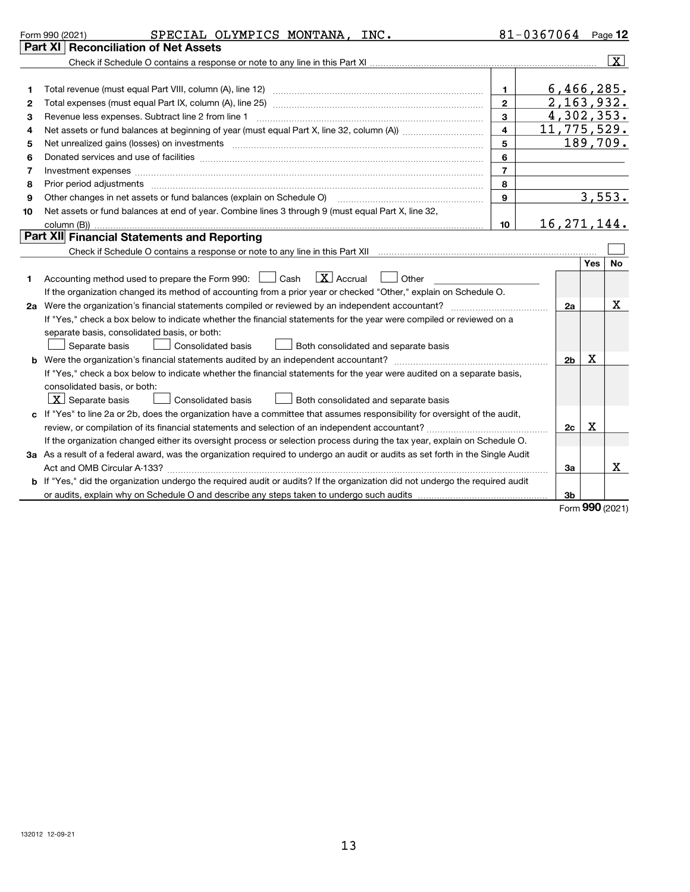|    | SPECIAL OLYMPICS MONTANA, INC.<br>Form 990 (2021)                                                                                                                                                                                                           |                  | $81 - 0367064$ Page 12 |                 |                     |
|----|-------------------------------------------------------------------------------------------------------------------------------------------------------------------------------------------------------------------------------------------------------------|------------------|------------------------|-----------------|---------------------|
|    | Part XI   Reconciliation of Net Assets                                                                                                                                                                                                                      |                  |                        |                 |                     |
|    |                                                                                                                                                                                                                                                             |                  |                        |                 | $\lfloor x \rfloor$ |
|    |                                                                                                                                                                                                                                                             |                  |                        |                 |                     |
| 1  |                                                                                                                                                                                                                                                             | $\mathbf 1$      |                        | 6,466,285.      |                     |
| 2  |                                                                                                                                                                                                                                                             | $\mathbf{2}$     |                        | 2, 163, 932.    |                     |
| З  |                                                                                                                                                                                                                                                             | 3                |                        | 4,302,353.      |                     |
| 4  |                                                                                                                                                                                                                                                             | $\overline{4}$   | 11,775,529.            |                 |                     |
| 5  | Net unrealized gains (losses) on investments [111] www.martime.community.community.community.community.communi                                                                                                                                              | 5                |                        | 189,709.        |                     |
| 6  | Donated services and use of facilities [[111] matter contracts and all the services and use of facilities [[11                                                                                                                                              | 6                |                        |                 |                     |
| 7  | Investment expenses www.communication.com/www.communication.com/www.communication.com/www.com                                                                                                                                                               | $\overline{7}$   |                        |                 |                     |
| 8  | Prior period adjustments www.communication.communication.com/news/communication.com/news/communication.com/news/                                                                                                                                            | 8                |                        |                 |                     |
| 9  | Other changes in net assets or fund balances (explain on Schedule O) [11] [11] contract contracts in net assets or fund balances (explain on Schedule O)                                                                                                    | 9                |                        | 3,553.          |                     |
| 10 | Net assets or fund balances at end of year. Combine lines 3 through 9 (must equal Part X, line 32,                                                                                                                                                          |                  |                        |                 |                     |
|    |                                                                                                                                                                                                                                                             | 10 <sup>10</sup> | 16, 271, 144.          |                 |                     |
|    | Part XII Financial Statements and Reporting                                                                                                                                                                                                                 |                  |                        |                 |                     |
|    |                                                                                                                                                                                                                                                             |                  |                        |                 |                     |
| 1  | $\lfloor$ X $\rfloor$ Accrual<br>Accounting method used to prepare the Form 990: [16] Cash<br>Other<br>If the organization changed its method of accounting from a prior year or checked "Other," explain on Schedule O.                                    |                  |                        |                 |                     |
|    |                                                                                                                                                                                                                                                             |                  | 2a                     |                 | х                   |
|    | If "Yes," check a box below to indicate whether the financial statements for the year were compiled or reviewed on a<br>separate basis, consolidated basis, or both:                                                                                        |                  |                        |                 |                     |
|    | Separate basis<br>Consolidated basis<br>Both consolidated and separate basis                                                                                                                                                                                |                  |                        |                 |                     |
|    |                                                                                                                                                                                                                                                             |                  | 2 <sub>b</sub>         | x               |                     |
|    | If "Yes," check a box below to indicate whether the financial statements for the year were audited on a separate basis,<br>consolidated basis, or both:<br>$\lfloor x \rfloor$ Separate basis<br>Consolidated basis<br>Both consolidated and separate basis |                  |                        |                 |                     |
|    | c If "Yes" to line 2a or 2b, does the organization have a committee that assumes responsibility for oversight of the audit,                                                                                                                                 |                  |                        |                 |                     |
|    | review, or compilation of its financial statements and selection of an independent accountant?                                                                                                                                                              |                  | 2c                     | x               |                     |
|    | If the organization changed either its oversight process or selection process during the tax year, explain on Schedule O.                                                                                                                                   |                  |                        |                 |                     |
|    | 3a As a result of a federal award, was the organization required to undergo an audit or audits as set forth in the Single Audit                                                                                                                             |                  |                        |                 |                     |
|    |                                                                                                                                                                                                                                                             |                  | За                     |                 | x                   |
|    | b If "Yes," did the organization undergo the required audit or audits? If the organization did not undergo the required audit                                                                                                                               |                  |                        |                 |                     |
|    |                                                                                                                                                                                                                                                             |                  | 3b                     |                 |                     |
|    |                                                                                                                                                                                                                                                             |                  |                        | Form 990 (2021) |                     |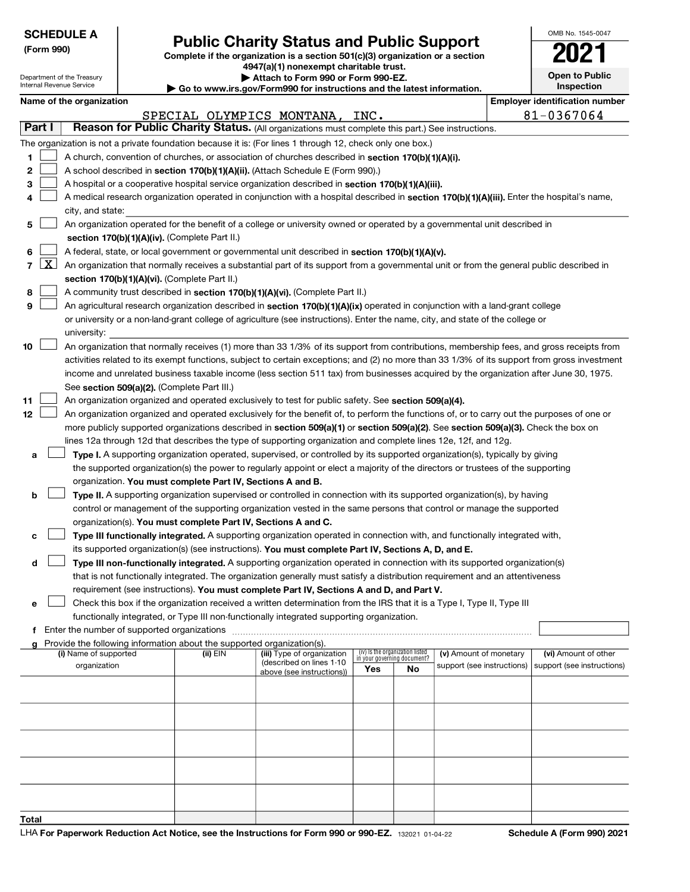|                | <b>SCHEDULE A</b>          |                                             |                                                                                    |                                                                                                                                              |     |                                   |                            |  | OMB No. 1545-0047                     |  |
|----------------|----------------------------|---------------------------------------------|------------------------------------------------------------------------------------|----------------------------------------------------------------------------------------------------------------------------------------------|-----|-----------------------------------|----------------------------|--|---------------------------------------|--|
| (Form 990)     |                            |                                             | <b>Public Charity Status and Public Support</b>                                    |                                                                                                                                              |     |                                   |                            |  |                                       |  |
|                |                            |                                             |                                                                                    | Complete if the organization is a section 501(c)(3) organization or a section<br>4947(a)(1) nonexempt charitable trust.                      |     |                                   |                            |  |                                       |  |
|                | Department of the Treasury |                                             |                                                                                    | Attach to Form 990 or Form 990-EZ.                                                                                                           |     |                                   |                            |  | <b>Open to Public</b>                 |  |
|                | Internal Revenue Service   |                                             |                                                                                    | Go to www.irs.gov/Form990 for instructions and the latest information.                                                                       |     |                                   |                            |  | <b>Inspection</b>                     |  |
|                |                            | Name of the organization                    |                                                                                    |                                                                                                                                              |     |                                   |                            |  | <b>Employer identification number</b> |  |
|                |                            |                                             |                                                                                    | SPECIAL OLYMPICS MONTANA, INC.                                                                                                               |     |                                   |                            |  | 81-0367064                            |  |
| Part I         |                            |                                             |                                                                                    | Reason for Public Charity Status. (All organizations must complete this part.) See instructions.                                             |     |                                   |                            |  |                                       |  |
|                |                            |                                             |                                                                                    | The organization is not a private foundation because it is: (For lines 1 through 12, check only one box.)                                    |     |                                   |                            |  |                                       |  |
| 1              |                            |                                             |                                                                                    | A church, convention of churches, or association of churches described in section 170(b)(1)(A)(i).                                           |     |                                   |                            |  |                                       |  |
| 2              |                            |                                             |                                                                                    | A school described in section 170(b)(1)(A)(ii). (Attach Schedule E (Form 990).)                                                              |     |                                   |                            |  |                                       |  |
| з              |                            |                                             |                                                                                    | A hospital or a cooperative hospital service organization described in section 170(b)(1)(A)(iii).                                            |     |                                   |                            |  |                                       |  |
| 4              |                            |                                             |                                                                                    | A medical research organization operated in conjunction with a hospital described in section 170(b)(1)(A)(iii). Enter the hospital's name,   |     |                                   |                            |  |                                       |  |
|                |                            | city, and state:                            |                                                                                    | An organization operated for the benefit of a college or university owned or operated by a governmental unit described in                    |     |                                   |                            |  |                                       |  |
| 5              |                            |                                             | section 170(b)(1)(A)(iv). (Complete Part II.)                                      |                                                                                                                                              |     |                                   |                            |  |                                       |  |
| 6              |                            |                                             |                                                                                    | A federal, state, or local government or governmental unit described in section 170(b)(1)(A)(v).                                             |     |                                   |                            |  |                                       |  |
| $\overline{7}$ | $\lfloor x \rfloor$        |                                             |                                                                                    | An organization that normally receives a substantial part of its support from a governmental unit or from the general public described in    |     |                                   |                            |  |                                       |  |
|                |                            |                                             | section 170(b)(1)(A)(vi). (Complete Part II.)                                      |                                                                                                                                              |     |                                   |                            |  |                                       |  |
| 8              |                            |                                             |                                                                                    | A community trust described in section 170(b)(1)(A)(vi). (Complete Part II.)                                                                 |     |                                   |                            |  |                                       |  |
| 9              |                            |                                             |                                                                                    | An agricultural research organization described in section 170(b)(1)(A)(ix) operated in conjunction with a land-grant college                |     |                                   |                            |  |                                       |  |
|                |                            |                                             |                                                                                    | or university or a non-land-grant college of agriculture (see instructions). Enter the name, city, and state of the college or               |     |                                   |                            |  |                                       |  |
|                |                            | university:                                 |                                                                                    |                                                                                                                                              |     |                                   |                            |  |                                       |  |
| 10             |                            |                                             |                                                                                    | An organization that normally receives (1) more than 33 1/3% of its support from contributions, membership fees, and gross receipts from     |     |                                   |                            |  |                                       |  |
|                |                            |                                             |                                                                                    | activities related to its exempt functions, subject to certain exceptions; and (2) no more than 33 1/3% of its support from gross investment |     |                                   |                            |  |                                       |  |
|                |                            |                                             |                                                                                    | income and unrelated business taxable income (less section 511 tax) from businesses acquired by the organization after June 30, 1975.        |     |                                   |                            |  |                                       |  |
|                |                            | See section 509(a)(2). (Complete Part III.) |                                                                                    |                                                                                                                                              |     |                                   |                            |  |                                       |  |
| 11             |                            |                                             |                                                                                    | An organization organized and operated exclusively to test for public safety. See section 509(a)(4).                                         |     |                                   |                            |  |                                       |  |
| 12             |                            |                                             |                                                                                    | An organization organized and operated exclusively for the benefit of, to perform the functions of, or to carry out the purposes of one or   |     |                                   |                            |  |                                       |  |
|                |                            |                                             |                                                                                    | more publicly supported organizations described in section 509(a)(1) or section 509(a)(2). See section 509(a)(3). Check the box on           |     |                                   |                            |  |                                       |  |
|                |                            |                                             |                                                                                    | lines 12a through 12d that describes the type of supporting organization and complete lines 12e, 12f, and 12g.                               |     |                                   |                            |  |                                       |  |
| a              |                            |                                             |                                                                                    | Type I. A supporting organization operated, supervised, or controlled by its supported organization(s), typically by giving                  |     |                                   |                            |  |                                       |  |
|                |                            |                                             |                                                                                    | the supported organization(s) the power to regularly appoint or elect a majority of the directors or trustees of the supporting              |     |                                   |                            |  |                                       |  |
|                |                            |                                             | organization. You must complete Part IV, Sections A and B.                         |                                                                                                                                              |     |                                   |                            |  |                                       |  |
| b              |                            |                                             |                                                                                    | Type II. A supporting organization supervised or controlled in connection with its supported organization(s), by having                      |     |                                   |                            |  |                                       |  |
|                |                            |                                             |                                                                                    | control or management of the supporting organization vested in the same persons that control or manage the supported                         |     |                                   |                            |  |                                       |  |
|                |                            |                                             | organization(s). You must complete Part IV, Sections A and C.                      |                                                                                                                                              |     |                                   |                            |  |                                       |  |
| с              |                            |                                             |                                                                                    | Type III functionally integrated. A supporting organization operated in connection with, and functionally integrated with,                   |     |                                   |                            |  |                                       |  |
|                |                            |                                             |                                                                                    | its supported organization(s) (see instructions). You must complete Part IV, Sections A, D, and E.                                           |     |                                   |                            |  |                                       |  |
| d              |                            |                                             |                                                                                    | Type III non-functionally integrated. A supporting organization operated in connection with its supported organization(s)                    |     |                                   |                            |  |                                       |  |
|                |                            |                                             |                                                                                    | that is not functionally integrated. The organization generally must satisfy a distribution requirement and an attentiveness                 |     |                                   |                            |  |                                       |  |
|                |                            |                                             |                                                                                    | requirement (see instructions). You must complete Part IV, Sections A and D, and Part V.                                                     |     |                                   |                            |  |                                       |  |
| e              |                            |                                             |                                                                                    | Check this box if the organization received a written determination from the IRS that it is a Type I, Type II, Type III                      |     |                                   |                            |  |                                       |  |
|                |                            |                                             |                                                                                    | functionally integrated, or Type III non-functionally integrated supporting organization.                                                    |     |                                   |                            |  |                                       |  |
| f              |                            |                                             |                                                                                    |                                                                                                                                              |     |                                   |                            |  |                                       |  |
|                |                            | (i) Name of supported                       | Provide the following information about the supported organization(s).<br>(ii) EIN | (iii) Type of organization                                                                                                                   |     | (iv) Is the organization listed   | (v) Amount of monetary     |  | (vi) Amount of other                  |  |
|                |                            | organization                                |                                                                                    | (described on lines 1-10                                                                                                                     | Yes | in your governing document?<br>No | support (see instructions) |  | support (see instructions)            |  |
|                |                            |                                             |                                                                                    | above (see instructions))                                                                                                                    |     |                                   |                            |  |                                       |  |
|                |                            |                                             |                                                                                    |                                                                                                                                              |     |                                   |                            |  |                                       |  |
|                |                            |                                             |                                                                                    |                                                                                                                                              |     |                                   |                            |  |                                       |  |
|                |                            |                                             |                                                                                    |                                                                                                                                              |     |                                   |                            |  |                                       |  |
|                |                            |                                             |                                                                                    |                                                                                                                                              |     |                                   |                            |  |                                       |  |
|                |                            |                                             |                                                                                    |                                                                                                                                              |     |                                   |                            |  |                                       |  |
|                |                            |                                             |                                                                                    |                                                                                                                                              |     |                                   |                            |  |                                       |  |
|                |                            |                                             |                                                                                    |                                                                                                                                              |     |                                   |                            |  |                                       |  |
|                |                            |                                             |                                                                                    |                                                                                                                                              |     |                                   |                            |  |                                       |  |
|                |                            |                                             |                                                                                    |                                                                                                                                              |     |                                   |                            |  |                                       |  |
| Total          |                            |                                             |                                                                                    |                                                                                                                                              |     |                                   |                            |  |                                       |  |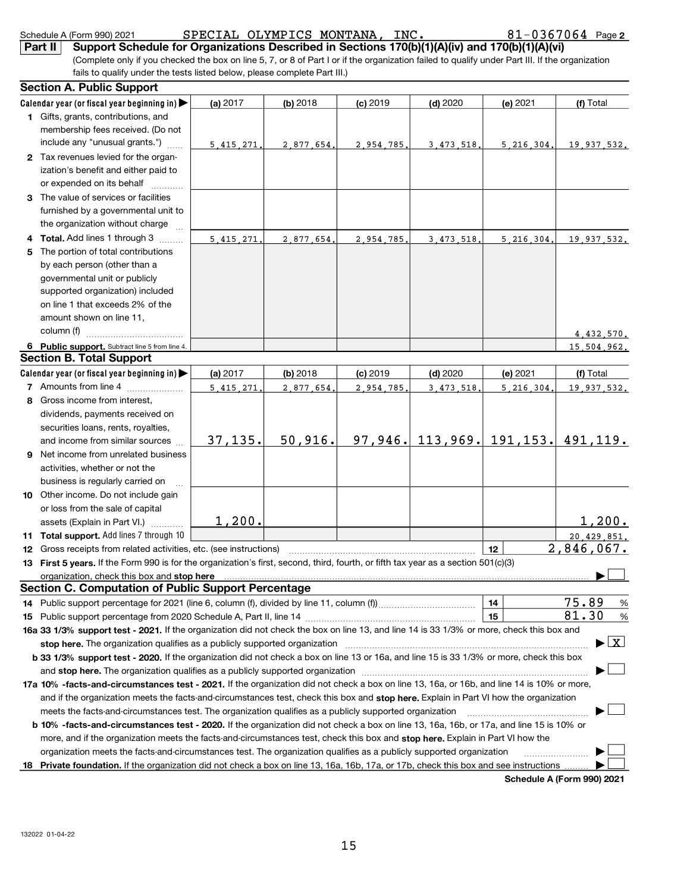|    | Schedule A (Form 990) 2021                                                                                                                                                                                                     |            | SPECIAL OLYMPICS MONTANA, INC. |            |              |                                      | $81 - 0367064$ Page 2                     |
|----|--------------------------------------------------------------------------------------------------------------------------------------------------------------------------------------------------------------------------------|------------|--------------------------------|------------|--------------|--------------------------------------|-------------------------------------------|
|    | Support Schedule for Organizations Described in Sections 170(b)(1)(A)(iv) and 170(b)(1)(A)(vi)<br>Part II                                                                                                                      |            |                                |            |              |                                      |                                           |
|    | (Complete only if you checked the box on line 5, 7, or 8 of Part I or if the organization failed to qualify under Part III. If the organization                                                                                |            |                                |            |              |                                      |                                           |
|    | fails to qualify under the tests listed below, please complete Part III.)                                                                                                                                                      |            |                                |            |              |                                      |                                           |
|    | <b>Section A. Public Support</b>                                                                                                                                                                                               |            |                                |            |              |                                      |                                           |
|    | Calendar year (or fiscal year beginning in)                                                                                                                                                                                    | (a) $2017$ | $(b)$ 2018                     | $(c)$ 2019 | $(d)$ 2020   | (e) 2021                             | (f) Total                                 |
|    | 1 Gifts, grants, contributions, and                                                                                                                                                                                            |            |                                |            |              |                                      |                                           |
|    | membership fees received. (Do not                                                                                                                                                                                              |            |                                |            |              |                                      |                                           |
|    | include any "unusual grants.")                                                                                                                                                                                                 | 5.415.271. | 2,877,654.                     | 2,954,785. | 3.473.518.   | 5,216,304.                           | 19,937,532.                               |
|    | 2 Tax revenues levied for the organ-                                                                                                                                                                                           |            |                                |            |              |                                      |                                           |
|    | ization's benefit and either paid to                                                                                                                                                                                           |            |                                |            |              |                                      |                                           |
|    | or expended on its behalf                                                                                                                                                                                                      |            |                                |            |              |                                      |                                           |
|    | 3 The value of services or facilities                                                                                                                                                                                          |            |                                |            |              |                                      |                                           |
|    | furnished by a governmental unit to                                                                                                                                                                                            |            |                                |            |              |                                      |                                           |
|    | the organization without charge                                                                                                                                                                                                |            |                                |            |              |                                      |                                           |
| 4  | Total. Add lines 1 through 3                                                                                                                                                                                                   | 5,415,271  | 2,877,654.                     | 2,954,785. | 3.473.518.   | 5, 216, 304.                         | 19,937,532.                               |
| 5  | The portion of total contributions                                                                                                                                                                                             |            |                                |            |              |                                      |                                           |
|    | by each person (other than a                                                                                                                                                                                                   |            |                                |            |              |                                      |                                           |
|    | governmental unit or publicly                                                                                                                                                                                                  |            |                                |            |              |                                      |                                           |
|    | supported organization) included                                                                                                                                                                                               |            |                                |            |              |                                      |                                           |
|    | on line 1 that exceeds 2% of the                                                                                                                                                                                               |            |                                |            |              |                                      |                                           |
|    | amount shown on line 11,                                                                                                                                                                                                       |            |                                |            |              |                                      |                                           |
|    | column (f)                                                                                                                                                                                                                     |            |                                |            |              |                                      | 4,432,570.                                |
|    | 6 Public support. Subtract line 5 from line 4.                                                                                                                                                                                 |            |                                |            |              |                                      | 15,504,962.                               |
|    | <b>Section B. Total Support</b>                                                                                                                                                                                                |            |                                |            |              |                                      |                                           |
|    | Calendar year (or fiscal year beginning in)                                                                                                                                                                                    | (a) 2017   | $(b)$ 2018                     | $(c)$ 2019 | $(d)$ 2020   | (e) 2021                             | (f) Total                                 |
|    | 7 Amounts from line 4                                                                                                                                                                                                          | 5,415,271  | 2,877,654.                     | 2,954,785. | 3, 473, 518. | 5,216,304.                           | 19,937,532.                               |
| 8  | Gross income from interest,                                                                                                                                                                                                    |            |                                |            |              |                                      |                                           |
|    | dividends, payments received on                                                                                                                                                                                                |            |                                |            |              |                                      |                                           |
|    | securities loans, rents, royalties,                                                                                                                                                                                            |            |                                |            |              |                                      |                                           |
|    | and income from similar sources                                                                                                                                                                                                | 37, 135.   | 50,916.                        |            |              | $97,946.$ 113,969. 191,153. 491,119. |                                           |
| 9  | Net income from unrelated business                                                                                                                                                                                             |            |                                |            |              |                                      |                                           |
|    | activities, whether or not the                                                                                                                                                                                                 |            |                                |            |              |                                      |                                           |
|    | business is regularly carried on                                                                                                                                                                                               |            |                                |            |              |                                      |                                           |
|    | 10 Other income. Do not include gain                                                                                                                                                                                           |            |                                |            |              |                                      |                                           |
|    | or loss from the sale of capital                                                                                                                                                                                               |            |                                |            |              |                                      |                                           |
|    |                                                                                                                                                                                                                                | 1,200.     |                                |            |              |                                      | <u>1,200.</u>                             |
|    | assets (Explain in Part VI.)                                                                                                                                                                                                   |            |                                |            |              |                                      |                                           |
| 11 | <b>Total support.</b> Add lines 7 through 10                                                                                                                                                                                   |            |                                |            |              | 12                                   | 20,429,851.<br>2,846,067.                 |
| 12 | Gross receipts from related activities, etc. (see instructions)<br>First 5 years. If the Form 990 is for the organization's first, second, third, fourth, or fifth tax year as a section 501(c)(3)                             |            |                                |            |              |                                      |                                           |
| 13 | organization, check this box and stop here manufactured and content to the state of the state of the state of the state of the state of the state of the state of the state of the state of the state of the state of the stat |            |                                |            |              |                                      |                                           |
|    | Section C. Computation of Public Support Percentage                                                                                                                                                                            |            |                                |            |              |                                      |                                           |
| 14 |                                                                                                                                                                                                                                |            |                                |            |              | 14                                   | 75.89<br>%                                |
| 15 |                                                                                                                                                                                                                                |            |                                |            |              | 15                                   | 81.30<br>%                                |
|    | 16a 33 1/3% support test - 2021. If the organization did not check the box on line 13, and line 14 is 33 1/3% or more, check this box and                                                                                      |            |                                |            |              |                                      |                                           |
|    | stop here. The organization qualifies as a publicly supported organization manufaction manufacture content and the state of the state of the state of the state of the state of the state of the state of the state of the sta |            |                                |            |              |                                      | $\blacktriangleright$ $\lfloor x \rfloor$ |
|    | b 33 1/3% support test - 2020. If the organization did not check a box on line 13 or 16a, and line 15 is 33 1/3% or more, check this box                                                                                       |            |                                |            |              |                                      |                                           |
|    |                                                                                                                                                                                                                                |            |                                |            |              |                                      |                                           |
|    |                                                                                                                                                                                                                                |            |                                |            |              |                                      |                                           |
|    | 17a 10% -facts-and-circumstances test - 2021. If the organization did not check a box on line 13, 16a, or 16b, and line 14 is 10% or more,                                                                                     |            |                                |            |              |                                      |                                           |
|    | and if the organization meets the facts-and-circumstances test, check this box and stop here. Explain in Part VI how the organization                                                                                          |            |                                |            |              |                                      |                                           |
|    | meets the facts-and-circumstances test. The organization qualifies as a publicly supported organization                                                                                                                        |            |                                |            |              |                                      |                                           |
|    | <b>b 10% -facts-and-circumstances test - 2020.</b> If the organization did not check a box on line 13, 16a, 16b, or 17a, and line 15 is 10% or                                                                                 |            |                                |            |              |                                      |                                           |
|    | more, and if the organization meets the facts-and-circumstances test, check this box and <b>stop here.</b> Explain in Part VI how the                                                                                          |            |                                |            |              |                                      |                                           |
|    | organization meets the facts-and-circumstances test. The organization qualifies as a publicly supported organization                                                                                                           |            |                                |            |              |                                      |                                           |
|    | 18 Private foundation. If the organization did not check a box on line 13, 16a, 16b, 17a, or 17b, check this box and see instructions                                                                                          |            |                                |            |              |                                      |                                           |
|    |                                                                                                                                                                                                                                |            |                                |            |              |                                      | Schedule A (Form 990) 2021                |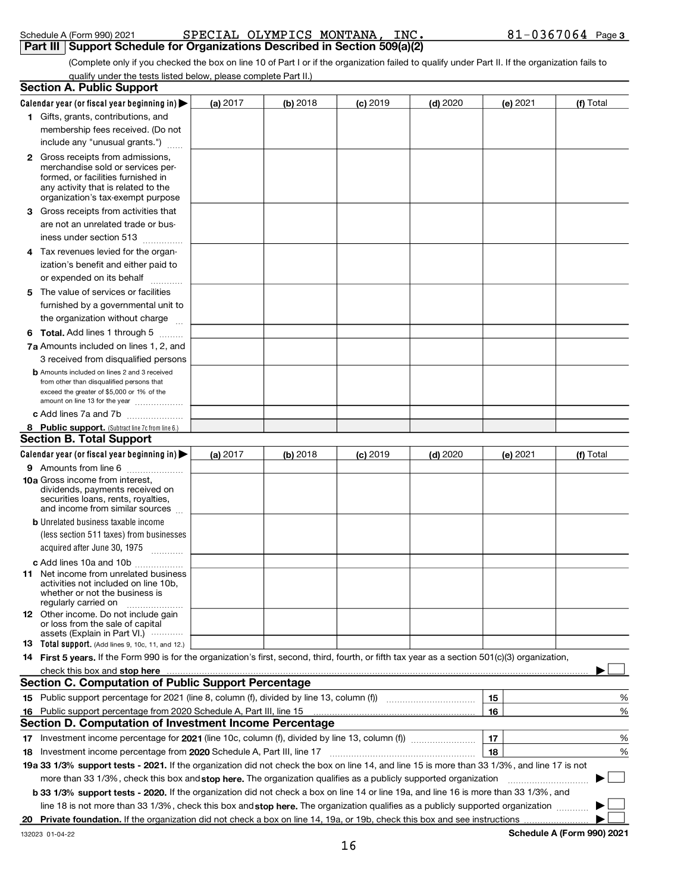|    | membership fees received. (Do not                                                                                                                                                               |          |            |            |            |          |           |
|----|-------------------------------------------------------------------------------------------------------------------------------------------------------------------------------------------------|----------|------------|------------|------------|----------|-----------|
|    | include any "unusual grants.")                                                                                                                                                                  |          |            |            |            |          |           |
|    | <b>2</b> Gross receipts from admissions,<br>merchandise sold or services per-<br>formed, or facilities furnished in<br>any activity that is related to the<br>organization's tax-exempt purpose |          |            |            |            |          |           |
| З. | Gross receipts from activities that                                                                                                                                                             |          |            |            |            |          |           |
|    | are not an unrelated trade or bus-                                                                                                                                                              |          |            |            |            |          |           |
|    | iness under section 513                                                                                                                                                                         |          |            |            |            |          |           |
| 4  | Tax revenues levied for the organ-                                                                                                                                                              |          |            |            |            |          |           |
|    | ization's benefit and either paid to                                                                                                                                                            |          |            |            |            |          |           |
|    | or expended on its behalf                                                                                                                                                                       |          |            |            |            |          |           |
| 5  | The value of services or facilities                                                                                                                                                             |          |            |            |            |          |           |
|    | furnished by a governmental unit to                                                                                                                                                             |          |            |            |            |          |           |
|    | the organization without charge                                                                                                                                                                 |          |            |            |            |          |           |
|    | <b>6 Total.</b> Add lines 1 through 5 $\ldots$                                                                                                                                                  |          |            |            |            |          |           |
|    | 7a Amounts included on lines 1, 2, and                                                                                                                                                          |          |            |            |            |          |           |
|    | 3 received from disqualified persons                                                                                                                                                            |          |            |            |            |          |           |
|    | <b>b</b> Amounts included on lines 2 and 3 received<br>from other than disqualified persons that<br>exceed the greater of \$5,000 or 1% of the<br>amount on line 13 for the year                |          |            |            |            |          |           |
|    | c Add lines 7a and 7b                                                                                                                                                                           |          |            |            |            |          |           |
|    | 8 Public support. (Subtract line 7c from line 6.)                                                                                                                                               |          |            |            |            |          |           |
|    | <b>Section B. Total Support</b>                                                                                                                                                                 |          |            |            |            |          |           |
|    | Calendar year (or fiscal year beginning in)                                                                                                                                                     | (a) 2017 | $(b)$ 2018 | $(c)$ 2019 | $(d)$ 2020 | (e) 2021 | (f) Total |
|    | 9 Amounts from line 6                                                                                                                                                                           |          |            |            |            |          |           |
|    | 10a Gross income from interest.<br>dividends, payments received on<br>securities loans, rents, royalties,<br>and income from similar sources                                                    |          |            |            |            |          |           |
|    | <b>b</b> Unrelated business taxable income                                                                                                                                                      |          |            |            |            |          |           |
|    | (less section 511 taxes) from businesses                                                                                                                                                        |          |            |            |            |          |           |
|    | acquired after June 30, 1975                                                                                                                                                                    |          |            |            |            |          |           |
|    | c Add lines 10a and 10b                                                                                                                                                                         |          |            |            |            |          |           |
|    | <b>11</b> Net income from unrelated business<br>activities not included on line 10b.                                                                                                            |          |            |            |            |          |           |
|    | whether or not the business is<br>regularly carried on<br>.                                                                                                                                     |          |            |            |            |          |           |
|    | 12 Other income. Do not include gain<br>or loss from the sale of capital<br>assets (Explain in Part VI.)                                                                                        |          |            |            |            |          |           |
|    | <b>13</b> Total support. (Add lines 9, 10c, 11, and 12.)                                                                                                                                        |          |            |            |            |          |           |
|    | 14 First 5 years. If the Form 990 is for the organization's first, second, third, fourth, or fifth tax year as a section 501(c)(3) organization,                                                |          |            |            |            |          |           |
|    |                                                                                                                                                                                                 |          |            |            |            |          |           |
|    | <b>Section C. Computation of Public Support Percentage</b>                                                                                                                                      |          |            |            |            |          |           |
|    |                                                                                                                                                                                                 |          |            |            |            | 15       | %         |
|    | 16 Public support percentage from 2020 Schedule A, Part III, line 15                                                                                                                            |          |            |            |            | 16       | %         |
|    | Section D. Computation of Investment Income Percentage                                                                                                                                          |          |            |            |            |          |           |
| 17 |                                                                                                                                                                                                 |          |            |            |            | 17       | %         |
| 18 | Investment income percentage from 2020 Schedule A, Part III, line 17                                                                                                                            |          |            |            |            | 18       | $\%$      |
|    | 19a 33 1/3% support tests - 2021. If the organization did not check the box on line 14, and line 15 is more than 33 1/3%, and line 17 is not                                                    |          |            |            |            |          |           |
|    | more than 33 1/3%, check this box and stop here. The organization qualifies as a publicly supported organization                                                                                |          |            |            |            |          |           |
|    | b 33 1/3% support tests - 2020. If the organization did not check a box on line 14 or line 19a, and line 16 is more than 33 1/3%, and                                                           |          |            |            |            |          |           |
|    | line 18 is not more than 33 1/3%, check this box and stop here. The organization qualifies as a publicly supported organization                                                                 |          |            |            |            |          |           |

#### (Complete only if you checked the box on line 10 of Part I or if the organization failed to qualify under Part II. If the organization fails to qualify under the tests listed below, please complete Part II.)

(a) 2017  $\begin{array}{|c|c|c|c|c|c|c|c|c|}\hline \end{array}$  (c) 2019  $\begin{array}{|c|c|c|c|c|c|c|c|}\hline \end{array}$  (e) 2021  $\begin{array}{|c|c|c|c|c|c|}\hline \end{array}$ 

2017 | **(b)** 2018 | **(c)** 2019 | **(d)** 2020 | **(e)** 2021 | **(f)** Total

| $\sim$ ncualc $\sim$ (1 VIIII 990) 2021 |  |
|-----------------------------------------|--|
| Dort III Cunnart Cabo                   |  |

Calendar year (or fiscal year beginning in)  $\blacktriangleright$ 

1 Gifts, grants, contributions, and

Section A. Public Support

#### Schedule A (Form 990) 2021 **Page SPECIAL OLYMPICS MONTANA, INC.** 81-0367064 Page 3 Schedule A (Form 990) 2021 **SPECIAL OLYMPICS MONTANA, INC.**<br>Part III | Support Schedule for Organizations Described in Section 509(a)(2)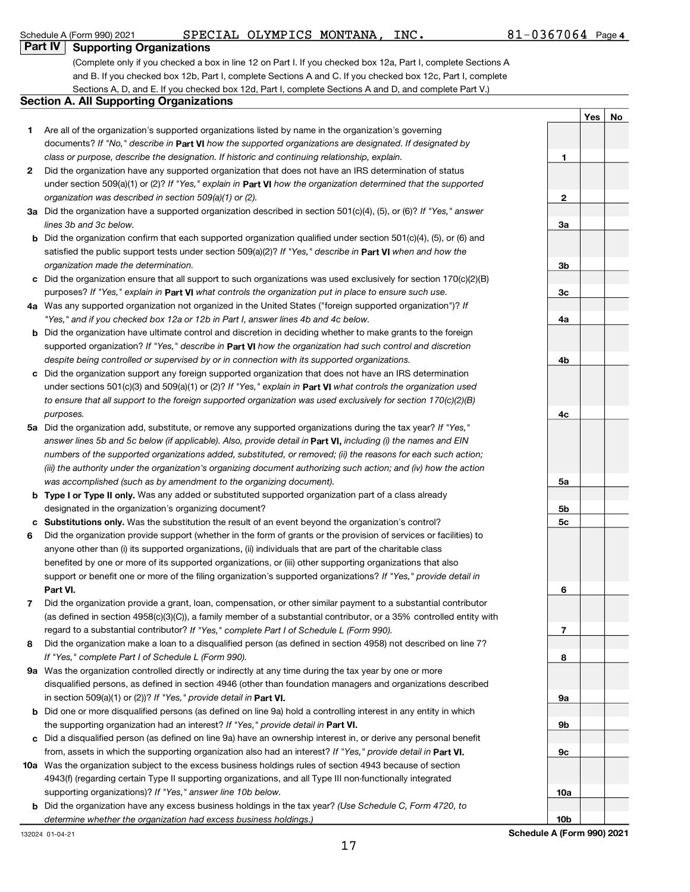### Schedule A (Form 990) 2021 **PECIAL OLYMPICS MONTANA, INC.** 81-0367064 Page

#### Part IV Supporting Organizations

(Complete only if you checked a box in line 12 on Part I. If you checked box 12a, Part I, complete Sections A and B. If you checked box 12b, Part I, complete Sections A and C. If you checked box 12c, Part I, complete Sections A, D, and E. If you checked box 12d, Part I, complete Sections A and D, and complete Part V.)

#### Section A. All Supporting Organizations

- 1 Are all of the organization's supported organizations listed by name in the organization's governing documents? If "No," describe in Part VI how the supported organizations are designated. If designated by class or purpose, describe the designation. If historic and continuing relationship, explain.
- 2 Did the organization have any supported organization that does not have an IRS determination of status under section 509(a)(1) or (2)? If "Yes," explain in Part VI how the organization determined that the supported organization was described in section 509(a)(1) or (2).
- 3a Did the organization have a supported organization described in section 501(c)(4), (5), or (6)? If "Yes," answer lines 3b and 3c below.
- b Did the organization confirm that each supported organization qualified under section 501(c)(4), (5), or (6) and satisfied the public support tests under section 509(a)(2)? If "Yes," describe in Part VI when and how the organization made the determination.
- c Did the organization ensure that all support to such organizations was used exclusively for section 170(c)(2)(B) purposes? If "Yes," explain in Part VI what controls the organization put in place to ensure such use.
- 4a Was any supported organization not organized in the United States ("foreign supported organization")? If "Yes," and if you checked box 12a or 12b in Part I, answer lines 4b and 4c below.
- b Did the organization have ultimate control and discretion in deciding whether to make grants to the foreign supported organization? If "Yes," describe in Part VI how the organization had such control and discretion despite being controlled or supervised by or in connection with its supported organizations.
- c Did the organization support any foreign supported organization that does not have an IRS determination under sections 501(c)(3) and 509(a)(1) or (2)? If "Yes," explain in Part VI what controls the organization used to ensure that all support to the foreign supported organization was used exclusively for section 170(c)(2)(B) purposes.
- 5a Did the organization add, substitute, or remove any supported organizations during the tax year? If "Yes," answer lines 5b and 5c below (if applicable). Also, provide detail in **Part VI,** including (i) the names and EIN numbers of the supported organizations added, substituted, or removed; (ii) the reasons for each such action; (iii) the authority under the organization's organizing document authorizing such action; and (iv) how the action was accomplished (such as by amendment to the organizing document).
- **b** Type I or Type II only. Was any added or substituted supported organization part of a class already designated in the organization's organizing document?
- c Substitutions only. Was the substitution the result of an event beyond the organization's control?
- 6 Part VI. support or benefit one or more of the filing organization's supported organizations? If "Yes," provide detail in Did the organization provide support (whether in the form of grants or the provision of services or facilities) to anyone other than (i) its supported organizations, (ii) individuals that are part of the charitable class benefited by one or more of its supported organizations, or (iii) other supporting organizations that also
- 7 regard to a substantial contributor? If "Yes," complete Part I of Schedule L (Form 990). Did the organization provide a grant, loan, compensation, or other similar payment to a substantial contributor (as defined in section 4958(c)(3)(C)), a family member of a substantial contributor, or a 35% controlled entity with
- 8 If "Yes," complete Part I of Schedule L (Form 990). Did the organization make a loan to a disqualified person (as defined in section 4958) not described on line 7?
- 9a Was the organization controlled directly or indirectly at any time during the tax year by one or more in section 509 $(a)(1)$  or  $(2)$ ? If "Yes," provide detail in Part VI. disqualified persons, as defined in section 4946 (other than foundation managers and organizations described
- b Did one or more disqualified persons (as defined on line 9a) hold a controlling interest in any entity in which the supporting organization had an interest? If "Yes," provide detail in Part VI.
- c Did a disqualified person (as defined on line 9a) have an ownership interest in, or derive any personal benefit from, assets in which the supporting organization also had an interest? If "Yes," provide detail in Part VI.
- 10a Was the organization subject to the excess business holdings rules of section 4943 because of section supporting organizations)? If "Yes," answer line 10b below. 4943(f) (regarding certain Type II supporting organizations, and all Type III non-functionally integrated
	- **b** Did the organization have any excess business holdings in the tax year? (Use Schedule C, Form 4720, to determine whether the organization had excess business holdings.)

Yes No 1 2 3a 3b 3c 4a 4b  $4c$ 5a 5b 5c 6 7 8 9a 9b 9c

10b Schedule A (Form 990) 2021

10a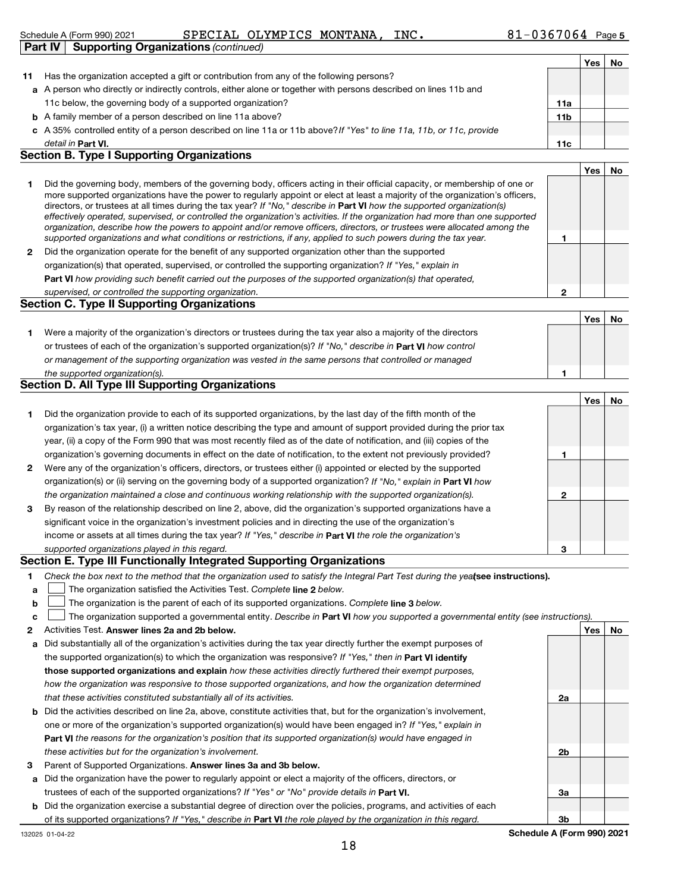#### Schedule A (Form 990) 2021 **Page SPECIAL OLYMPICS MONTANA, INC.** 81-0367064 Page is Schedule A (Form 990) 2021 SPECIAL OL<br> **Part IV** Supporting Organizations (continued)

|    |                                                                                                                      |                 | Yes | No |
|----|----------------------------------------------------------------------------------------------------------------------|-----------------|-----|----|
| 11 | Has the organization accepted a gift or contribution from any of the following persons?                              |                 |     |    |
|    | a A person who directly or indirectly controls, either alone or together with persons described on lines 11b and     |                 |     |    |
|    | 11c below, the governing body of a supported organization?                                                           | 11a             |     |    |
|    | <b>b</b> A family member of a person described on line 11a above?                                                    | 11 <sub>b</sub> |     |    |
|    | c A 35% controlled entity of a person described on line 11a or 11b above? If "Yes" to line 11a, 11b, or 11c, provide |                 |     |    |
|    | detail in Part VI.                                                                                                   | 11c             |     |    |

#### Section B. Type I Supporting Organizations

|   |                                                                                                                                                                                                                                                                                                                                                                                                                                                                                                                                                                                                                                                             |   | Yes |  |
|---|-------------------------------------------------------------------------------------------------------------------------------------------------------------------------------------------------------------------------------------------------------------------------------------------------------------------------------------------------------------------------------------------------------------------------------------------------------------------------------------------------------------------------------------------------------------------------------------------------------------------------------------------------------------|---|-----|--|
|   | Did the governing body, members of the governing body, officers acting in their official capacity, or membership of one or<br>more supported organizations have the power to regularly appoint or elect at least a majority of the organization's officers,<br>directors, or trustees at all times during the tax year? If "No," describe in <b>Part VI</b> how the supported organization(s)<br>effectively operated, supervised, or controlled the organization's activities. If the organization had more than one supported<br>organization, describe how the powers to appoint and/or remove officers, directors, or trustees were allocated among the |   |     |  |
|   | supported organizations and what conditions or restrictions, if any, applied to such powers during the tax year.                                                                                                                                                                                                                                                                                                                                                                                                                                                                                                                                            |   |     |  |
| 2 | Did the organization operate for the benefit of any supported organization other than the supported                                                                                                                                                                                                                                                                                                                                                                                                                                                                                                                                                         |   |     |  |
|   | organization(s) that operated, supervised, or controlled the supporting organization? If "Yes," explain in                                                                                                                                                                                                                                                                                                                                                                                                                                                                                                                                                  |   |     |  |
|   | Part VI how providing such benefit carried out the purposes of the supported organization(s) that operated,                                                                                                                                                                                                                                                                                                                                                                                                                                                                                                                                                 |   |     |  |
|   | supervised, or controlled the supporting organization.                                                                                                                                                                                                                                                                                                                                                                                                                                                                                                                                                                                                      | 0 |     |  |
|   | <b>Section C. Type II Supporting Organizations</b>                                                                                                                                                                                                                                                                                                                                                                                                                                                                                                                                                                                                          |   |     |  |
|   |                                                                                                                                                                                                                                                                                                                                                                                                                                                                                                                                                                                                                                                             |   |     |  |

|                                                                                                                      | Yes | No |
|----------------------------------------------------------------------------------------------------------------------|-----|----|
| Were a majority of the organization's directors or trustees during the tax year also a majority of the directors     |     |    |
| or trustees of each of the organization's supported organization(s)? If "No," describe in <b>Part VI</b> how control |     |    |
| or management of the supporting organization was vested in the same persons that controlled or managed               |     |    |
| the supported organization(s).                                                                                       |     |    |

#### Section D. All Type III Supporting Organizations

|              |                                                                                                                        |   | Yes | No |
|--------------|------------------------------------------------------------------------------------------------------------------------|---|-----|----|
| 1.           | Did the organization provide to each of its supported organizations, by the last day of the fifth month of the         |   |     |    |
|              | organization's tax year, (i) a written notice describing the type and amount of support provided during the prior tax  |   |     |    |
|              | year, (ii) a copy of the Form 990 that was most recently filed as of the date of notification, and (iii) copies of the |   |     |    |
|              | organization's governing documents in effect on the date of notification, to the extent not previously provided?       |   |     |    |
| $\mathbf{2}$ | Were any of the organization's officers, directors, or trustees either (i) appointed or elected by the supported       |   |     |    |
|              | organization(s) or (ii) serving on the governing body of a supported organization? If "No," explain in Part VI how     |   |     |    |
|              | the organization maintained a close and continuous working relationship with the supported organization(s).            | 2 |     |    |
| 3            | By reason of the relationship described on line 2, above, did the organization's supported organizations have a        |   |     |    |
|              | significant voice in the organization's investment policies and in directing the use of the organization's             |   |     |    |
|              | income or assets at all times during the tax year? If "Yes," describe in Part VI the role the organization's           |   |     |    |
|              | supported organizations played in this regard.                                                                         | з |     |    |

#### Section E. Type III Functionally Integrated Supporting Organizations

- 1 Check the box next to the method that the organization used to satisfy the Integral Part Test during the yealsee instructions).
- a The organization satisfied the Activities Test. Complete line 2 below.
- b The organization is the parent of each of its supported organizations. Complete line 3 below.

|  |  |  |  |  |  |  |  |  | c <b>L</b> The organization supported a governmental entity. Describe in Part VI how you supported a governmental entity (see instructions). |  |
|--|--|--|--|--|--|--|--|--|----------------------------------------------------------------------------------------------------------------------------------------------|--|
|--|--|--|--|--|--|--|--|--|----------------------------------------------------------------------------------------------------------------------------------------------|--|

- $\mathfrak{p}$ Activities Test. Answer lines 2a and 2b below. Yes No and the Second Second Second Second Second Second Second S
- a Did substantially all of the organization's activities during the tax year directly further the exempt purposes of the supported organization(s) to which the organization was responsive? If "Yes," then in Part VI identify those supported organizations and explain how these activities directly furthered their exempt purposes, how the organization was responsive to those supported organizations, and how the organization determined that these activities constituted substantially all of its activities.
- b Did the activities described on line 2a, above, constitute activities that, but for the organization's involvement, Part VI the reasons for the organization's position that its supported organization(s) would have engaged in one or more of the organization's supported organization(s) would have been engaged in? If "Yes," explain in these activities but for the organization's involvement.
- 3 Parent of Supported Organizations. Answer lines 3a and 3b below.
- a Did the organization have the power to regularly appoint or elect a majority of the officers, directors, or trustees of each of the supported organizations? If "Yes" or "No" provide details in Part VI.
- b Did the organization exercise a substantial degree of direction over the policies, programs, and activities of each of its supported organizations? If "Yes," describe in Part VI the role played by the organization in this regard.

2a 2b 3a 3b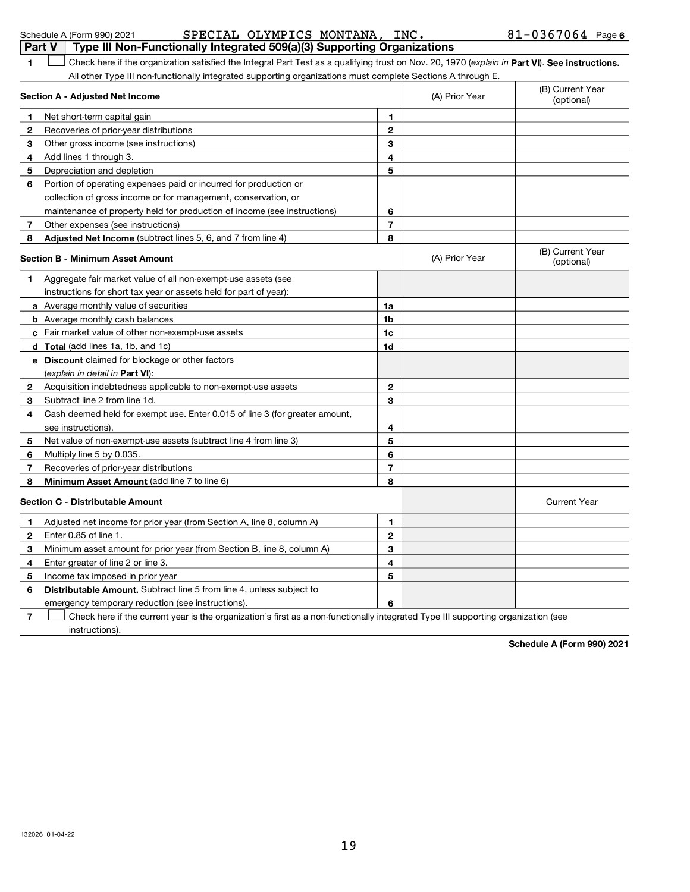| <b>Part V</b>                                                                | SPECIAL OLYMPICS MONTANA, INC.<br>Schedule A (Form 990) 2021<br>Type III Non-Functionally Integrated 509(a)(3) Supporting Organizations        |             |                | $81 - 0367064$ Page 6          |  |  |
|------------------------------------------------------------------------------|------------------------------------------------------------------------------------------------------------------------------------------------|-------------|----------------|--------------------------------|--|--|
| 1                                                                            | Check here if the organization satisfied the Integral Part Test as a qualifying trust on Nov. 20, 1970 (explain in Part VI). See instructions. |             |                |                                |  |  |
|                                                                              | All other Type III non-functionally integrated supporting organizations must complete Sections A through E.                                    |             |                |                                |  |  |
| (B) Current Year<br>(A) Prior Year<br><b>Section A - Adjusted Net Income</b> |                                                                                                                                                |             |                |                                |  |  |
| 1                                                                            | Net short-term capital gain                                                                                                                    | 1           |                |                                |  |  |
| 2                                                                            | Recoveries of prior-year distributions                                                                                                         | $\mathbf 2$ |                |                                |  |  |
| 3                                                                            | Other gross income (see instructions)                                                                                                          | 3           |                |                                |  |  |
| 4                                                                            | Add lines 1 through 3.                                                                                                                         | 4           |                |                                |  |  |
| 5                                                                            | Depreciation and depletion                                                                                                                     | 5           |                |                                |  |  |
| 6                                                                            | Portion of operating expenses paid or incurred for production or                                                                               |             |                |                                |  |  |
|                                                                              | collection of gross income or for management, conservation, or                                                                                 |             |                |                                |  |  |
|                                                                              | maintenance of property held for production of income (see instructions)                                                                       | 6           |                |                                |  |  |
| 7                                                                            | Other expenses (see instructions)                                                                                                              | 7           |                |                                |  |  |
| 8                                                                            | Adjusted Net Income (subtract lines 5, 6, and 7 from line 4)                                                                                   | 8           |                |                                |  |  |
|                                                                              | <b>Section B - Minimum Asset Amount</b>                                                                                                        |             | (A) Prior Year | (B) Current Year<br>(optional) |  |  |
| 1                                                                            | Aggregate fair market value of all non-exempt-use assets (see                                                                                  |             |                |                                |  |  |
|                                                                              | instructions for short tax year or assets held for part of year):                                                                              |             |                |                                |  |  |
|                                                                              | a Average monthly value of securities                                                                                                          | 1a          |                |                                |  |  |
|                                                                              | <b>b</b> Average monthly cash balances                                                                                                         | 1b          |                |                                |  |  |
|                                                                              | c Fair market value of other non-exempt-use assets                                                                                             | 1c          |                |                                |  |  |
|                                                                              | d Total (add lines 1a, 1b, and 1c)                                                                                                             | 1d          |                |                                |  |  |
|                                                                              | e Discount claimed for blockage or other factors                                                                                               |             |                |                                |  |  |
|                                                                              | (explain in detail in <b>Part VI</b> ):                                                                                                        |             |                |                                |  |  |
| 2                                                                            | Acquisition indebtedness applicable to non-exempt-use assets                                                                                   | 2           |                |                                |  |  |
| 3                                                                            | Subtract line 2 from line 1d.                                                                                                                  | 3           |                |                                |  |  |
| 4                                                                            | Cash deemed held for exempt use. Enter 0.015 of line 3 (for greater amount,                                                                    |             |                |                                |  |  |
|                                                                              | see instructions).                                                                                                                             | 4           |                |                                |  |  |
| 5                                                                            | Net value of non-exempt-use assets (subtract line 4 from line 3)                                                                               | 5           |                |                                |  |  |
| 6                                                                            | Multiply line 5 by 0.035.                                                                                                                      | 6           |                |                                |  |  |
| 7                                                                            | Recoveries of prior-year distributions                                                                                                         | 7           |                |                                |  |  |
| 8                                                                            | Minimum Asset Amount (add line 7 to line 6)                                                                                                    | 8           |                |                                |  |  |
|                                                                              | Section C - Distributable Amount                                                                                                               |             |                | <b>Current Year</b>            |  |  |
| 1                                                                            | Adjusted net income for prior year (from Section A, line 8, column A)                                                                          | 1           |                |                                |  |  |
| 2                                                                            | Enter 0.85 of line 1.                                                                                                                          | 2           |                |                                |  |  |
| 3                                                                            | Minimum asset amount for prior year (from Section B, line 8, column A)                                                                         | 3           |                |                                |  |  |
| 4                                                                            | Enter greater of line 2 or line 3.                                                                                                             | 4           |                |                                |  |  |
| 5                                                                            | Income tax imposed in prior year                                                                                                               | 5           |                |                                |  |  |
| 6                                                                            | Distributable Amount. Subtract line 5 from line 4, unless subject to                                                                           |             |                |                                |  |  |
|                                                                              | emergency temporary reduction (see instructions).                                                                                              | 6           |                |                                |  |  |
| 7                                                                            | Check here if the current year is the organization's first as a non-functionally integrated Type III supporting organization (see              |             |                |                                |  |  |
|                                                                              | instructions).                                                                                                                                 |             |                |                                |  |  |

Schedule A (Form 990) 2021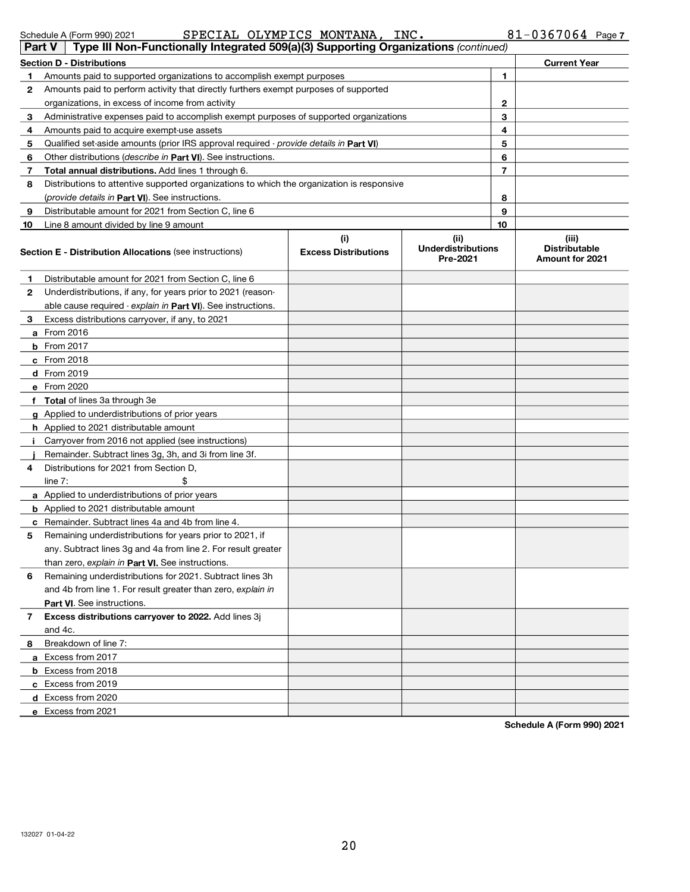| Part V       | Type III Non-Functionally Integrated 509(a)(3) Supporting Organizations (continued)        |                                    |                                               |    |                                                  |
|--------------|--------------------------------------------------------------------------------------------|------------------------------------|-----------------------------------------------|----|--------------------------------------------------|
|              | <b>Section D - Distributions</b>                                                           |                                    | <b>Current Year</b>                           |    |                                                  |
| 1.           | Amounts paid to supported organizations to accomplish exempt purposes                      |                                    | 1                                             |    |                                                  |
| 2            | Amounts paid to perform activity that directly furthers exempt purposes of supported       |                                    |                                               |    |                                                  |
|              | organizations, in excess of income from activity                                           |                                    |                                               | 2  |                                                  |
| 3            | Administrative expenses paid to accomplish exempt purposes of supported organizations      |                                    | 3                                             |    |                                                  |
| 4            | Amounts paid to acquire exempt-use assets                                                  |                                    |                                               | 4  |                                                  |
| 5            | Qualified set-aside amounts (prior IRS approval required - provide details in Part VI)     |                                    |                                               | 5  |                                                  |
| 6            | Other distributions ( <i>describe in Part VI</i> ). See instructions.                      |                                    |                                               | 6  |                                                  |
| 7            | Total annual distributions. Add lines 1 through 6.                                         |                                    |                                               | 7  |                                                  |
| 8            | Distributions to attentive supported organizations to which the organization is responsive |                                    |                                               |    |                                                  |
|              | (provide details in Part VI). See instructions.                                            |                                    |                                               | 8  |                                                  |
| 9            | Distributable amount for 2021 from Section C, line 6                                       |                                    |                                               | 9  |                                                  |
| 10           | Line 8 amount divided by line 9 amount                                                     |                                    |                                               | 10 |                                                  |
|              | <b>Section E - Distribution Allocations (see instructions)</b>                             | (i)<br><b>Excess Distributions</b> | (ii)<br><b>Underdistributions</b><br>Pre-2021 |    | (iii)<br><b>Distributable</b><br>Amount for 2021 |
| $\mathbf{1}$ | Distributable amount for 2021 from Section C, line 6                                       |                                    |                                               |    |                                                  |
| $\mathbf{2}$ | Underdistributions, if any, for years prior to 2021 (reason-                               |                                    |                                               |    |                                                  |
|              | able cause required - explain in Part VI). See instructions.                               |                                    |                                               |    |                                                  |
| 3.           | Excess distributions carryover, if any, to 2021                                            |                                    |                                               |    |                                                  |
|              | a From 2016                                                                                |                                    |                                               |    |                                                  |
|              | <b>b</b> From 2017                                                                         |                                    |                                               |    |                                                  |
|              | $c$ From 2018                                                                              |                                    |                                               |    |                                                  |
|              | d From 2019                                                                                |                                    |                                               |    |                                                  |
|              | e From 2020                                                                                |                                    |                                               |    |                                                  |
|              | f Total of lines 3a through 3e                                                             |                                    |                                               |    |                                                  |
|              | g Applied to underdistributions of prior years                                             |                                    |                                               |    |                                                  |
|              | h Applied to 2021 distributable amount                                                     |                                    |                                               |    |                                                  |
| j.           | Carryover from 2016 not applied (see instructions)                                         |                                    |                                               |    |                                                  |
|              | Remainder. Subtract lines 3g, 3h, and 3i from line 3f.                                     |                                    |                                               |    |                                                  |
| 4            | Distributions for 2021 from Section D,                                                     |                                    |                                               |    |                                                  |
|              | line $7:$<br>\$                                                                            |                                    |                                               |    |                                                  |
|              | <b>a</b> Applied to underdistributions of prior years                                      |                                    |                                               |    |                                                  |
|              | <b>b</b> Applied to 2021 distributable amount                                              |                                    |                                               |    |                                                  |
| c            | Remainder. Subtract lines 4a and 4b from line 4.                                           |                                    |                                               |    |                                                  |
| 5            | Remaining underdistributions for years prior to 2021, if                                   |                                    |                                               |    |                                                  |
|              | any. Subtract lines 3g and 4a from line 2. For result greater                              |                                    |                                               |    |                                                  |
|              | than zero, explain in Part VI. See instructions.                                           |                                    |                                               |    |                                                  |
| 6            | Remaining underdistributions for 2021. Subtract lines 3h                                   |                                    |                                               |    |                                                  |
|              | and 4b from line 1. For result greater than zero, explain in                               |                                    |                                               |    |                                                  |
|              | <b>Part VI.</b> See instructions.                                                          |                                    |                                               |    |                                                  |
| 7            | Excess distributions carryover to 2022. Add lines 3j<br>and 4c.                            |                                    |                                               |    |                                                  |
|              | Breakdown of line 7:                                                                       |                                    |                                               |    |                                                  |
| 8.           | a Excess from 2017                                                                         |                                    |                                               |    |                                                  |
|              | <b>b</b> Excess from 2018                                                                  |                                    |                                               |    |                                                  |
|              |                                                                                            |                                    |                                               |    |                                                  |
|              | c Excess from 2019<br>d Excess from 2020                                                   |                                    |                                               |    |                                                  |
|              |                                                                                            |                                    |                                               |    |                                                  |
|              | e Excess from 2021                                                                         |                                    |                                               |    |                                                  |

Schedule A (Form 990) 2021 **PECIAL OLYMPICS MONTANA, INC.** 81-0367064 Page

Schedule A (Form 990) 2021

81-0367064 Page 7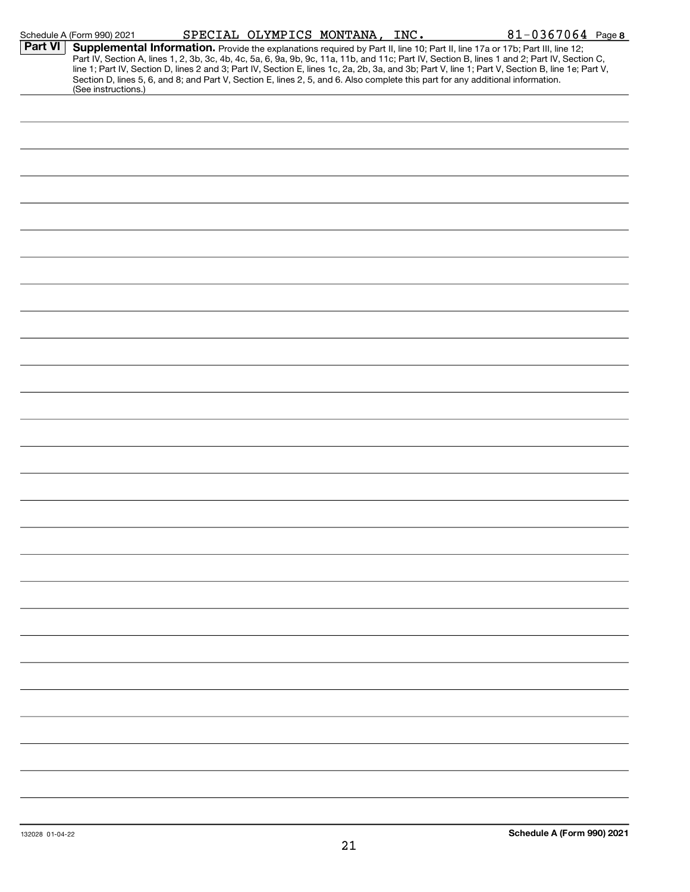|         | Schedule A (Form 990) 2021 | SPECIAL OLYMPICS MONTANA, INC. |                                                                                                                                                                                                                                                                                                                                                                                                                                                                                                                                                                      | 81-0367064 Page 8 |
|---------|----------------------------|--------------------------------|----------------------------------------------------------------------------------------------------------------------------------------------------------------------------------------------------------------------------------------------------------------------------------------------------------------------------------------------------------------------------------------------------------------------------------------------------------------------------------------------------------------------------------------------------------------------|-------------------|
| Part VI | (See instructions.)        |                                | Supplemental Information. Provide the explanations required by Part II, line 10; Part II, line 17a or 17b; Part III, line 12;<br>Part IV, Section A, lines 1, 2, 3b, 3c, 4b, 4c, 5a, 6, 9a, 9b, 9c, 11a, 11b, and 11c; Part IV, Section B, lines 1 and 2; Part IV, Section C,<br>line 1; Part IV, Section D, lines 2 and 3; Part IV, Section E, lines 1c, 2a, 2b, 3a, and 3b; Part V, line 1; Part V, Section B, line 1e; Part V,<br>Section D, lines 5, 6, and 8; and Part V, Section E, lines 2, 5, and 6. Also complete this part for any additional information. |                   |
|         |                            |                                |                                                                                                                                                                                                                                                                                                                                                                                                                                                                                                                                                                      |                   |
|         |                            |                                |                                                                                                                                                                                                                                                                                                                                                                                                                                                                                                                                                                      |                   |
|         |                            |                                |                                                                                                                                                                                                                                                                                                                                                                                                                                                                                                                                                                      |                   |
|         |                            |                                |                                                                                                                                                                                                                                                                                                                                                                                                                                                                                                                                                                      |                   |
|         |                            |                                |                                                                                                                                                                                                                                                                                                                                                                                                                                                                                                                                                                      |                   |
|         |                            |                                |                                                                                                                                                                                                                                                                                                                                                                                                                                                                                                                                                                      |                   |
|         |                            |                                |                                                                                                                                                                                                                                                                                                                                                                                                                                                                                                                                                                      |                   |
|         |                            |                                |                                                                                                                                                                                                                                                                                                                                                                                                                                                                                                                                                                      |                   |
|         |                            |                                |                                                                                                                                                                                                                                                                                                                                                                                                                                                                                                                                                                      |                   |
|         |                            |                                |                                                                                                                                                                                                                                                                                                                                                                                                                                                                                                                                                                      |                   |
|         |                            |                                |                                                                                                                                                                                                                                                                                                                                                                                                                                                                                                                                                                      |                   |
|         |                            |                                |                                                                                                                                                                                                                                                                                                                                                                                                                                                                                                                                                                      |                   |
|         |                            |                                |                                                                                                                                                                                                                                                                                                                                                                                                                                                                                                                                                                      |                   |
|         |                            |                                |                                                                                                                                                                                                                                                                                                                                                                                                                                                                                                                                                                      |                   |
|         |                            |                                |                                                                                                                                                                                                                                                                                                                                                                                                                                                                                                                                                                      |                   |
|         |                            |                                |                                                                                                                                                                                                                                                                                                                                                                                                                                                                                                                                                                      |                   |
|         |                            |                                |                                                                                                                                                                                                                                                                                                                                                                                                                                                                                                                                                                      |                   |
|         |                            |                                |                                                                                                                                                                                                                                                                                                                                                                                                                                                                                                                                                                      |                   |
|         |                            |                                |                                                                                                                                                                                                                                                                                                                                                                                                                                                                                                                                                                      |                   |
|         |                            |                                |                                                                                                                                                                                                                                                                                                                                                                                                                                                                                                                                                                      |                   |
|         |                            |                                |                                                                                                                                                                                                                                                                                                                                                                                                                                                                                                                                                                      |                   |
|         |                            |                                |                                                                                                                                                                                                                                                                                                                                                                                                                                                                                                                                                                      |                   |
|         |                            |                                |                                                                                                                                                                                                                                                                                                                                                                                                                                                                                                                                                                      |                   |
|         |                            |                                |                                                                                                                                                                                                                                                                                                                                                                                                                                                                                                                                                                      |                   |
|         |                            |                                |                                                                                                                                                                                                                                                                                                                                                                                                                                                                                                                                                                      |                   |
|         |                            |                                |                                                                                                                                                                                                                                                                                                                                                                                                                                                                                                                                                                      |                   |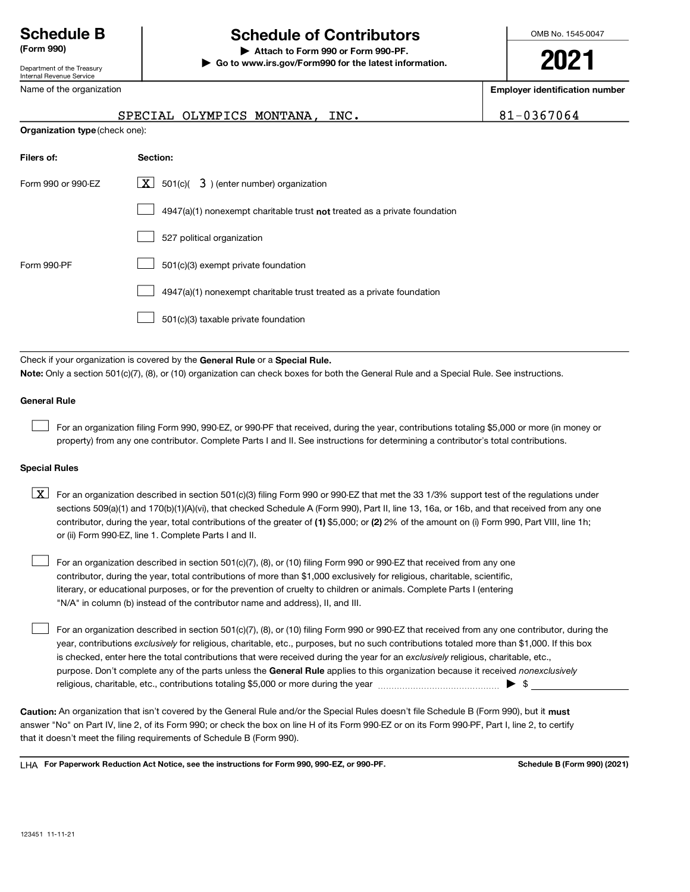#### (Form 990) | Attach to Form 990 or Form 990-PF.

Department of the Treasury Internal Revenue Service

#### Name of the organization

OMB No. 1545-0047

2021

Employer identification number

#### SPECIAL OLYMPICS MONTANA, INC.  $81-0367064$

| Organization type (check one): |  |  |  |
|--------------------------------|--|--|--|
|--------------------------------|--|--|--|

| Filers of:         | Section:                                                                    |
|--------------------|-----------------------------------------------------------------------------|
| Form 990 or 990-EZ | $\boxed{\mathbf{X}}$ 501(c)( 3) (enter number) organization                 |
|                    | $4947(a)(1)$ nonexempt charitable trust not treated as a private foundation |
|                    | 527 political organization                                                  |
| Form 990-PF        | 501(c)(3) exempt private foundation                                         |
|                    | 4947(a)(1) nonexempt charitable trust treated as a private foundation       |
|                    | 501(c)(3) taxable private foundation                                        |

Check if your organization is covered by the General Rule or a Special Rule.

Note: Only a section 501(c)(7), (8), or (10) organization can check boxes for both the General Rule and a Special Rule. See instructions.

#### General Rule

For an organization filing Form 990, 990-EZ, or 990-PF that received, during the year, contributions totaling \$5,000 or more (in money or property) from any one contributor. Complete Parts I and II. See instructions for determining a contributor's total contributions.

| Go to www.irs.gov/Form990 for the latest information.

#### Special Rules

contributor, during the year, total contributions of the greater of (1) \$5,000; or (2) 2% of the amount on (i) Form 990, Part VIII, line 1h;  $\boxed{\text{X}}$  For an organization described in section 501(c)(3) filing Form 990 or 990-EZ that met the 33 1/3% support test of the regulations under sections 509(a)(1) and 170(b)(1)(A)(vi), that checked Schedule A (Form 990), Part II, line 13, 16a, or 16b, and that received from any one or (ii) Form 990-EZ, line 1. Complete Parts I and II.

For an organization described in section 501(c)(7), (8), or (10) filing Form 990 or 990-EZ that received from any one contributor, during the year, total contributions of more than \$1,000 exclusively for religious, charitable, scientific, literary, or educational purposes, or for the prevention of cruelty to children or animals. Complete Parts I (entering "N/A" in column (b) instead of the contributor name and address), II, and III.  $\mathcal{L}(\mathcal{A})$ 

purpose. Don't complete any of the parts unless the General Rule applies to this organization because it received nonexclusively year, contributions exclusively for religious, charitable, etc., purposes, but no such contributions totaled more than \$1,000. If this box is checked, enter here the total contributions that were received during the year for an exclusively religious, charitable, etc., For an organization described in section 501(c)(7), (8), or (10) filing Form 990 or 990-EZ that received from any one contributor, during the religious, charitable, etc., contributions totaling \$5,000 or more during the year  $\ldots$  $\ldots$  $\ldots$  $\ldots$  $\ldots$  $\ldots$  $\mathcal{L}(\mathcal{A})$ 

Caution: An organization that isn't covered by the General Rule and/or the Special Rules doesn't file Schedule B (Form 990), but it must answer "No" on Part IV, line 2, of its Form 990; or check the box on line H of its Form 990-EZ or on its Form 990-PF, Part I, line 2, to certify that it doesn't meet the filing requirements of Schedule B (Form 990).

LHA For Paperwork Reduction Act Notice, see the instructions for Form 990, 990-EZ, or 990-PF. She stated the Schedule B (Form 990) (2021)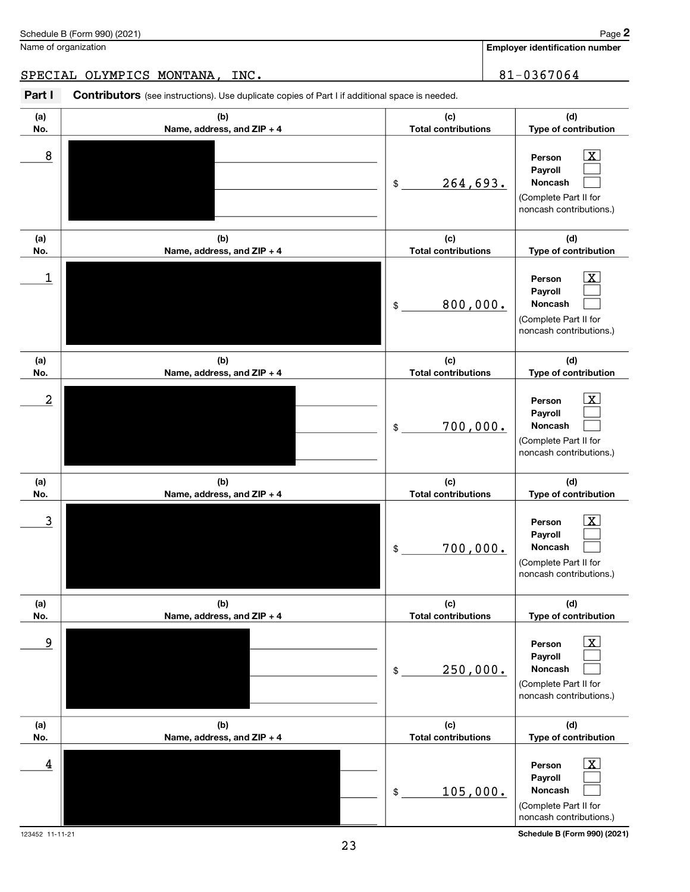|                         | Schedule B (Form 990) (2021)                                                                          |                                   | Page                                                                                                   |
|-------------------------|-------------------------------------------------------------------------------------------------------|-----------------------------------|--------------------------------------------------------------------------------------------------------|
|                         | Name of organization                                                                                  |                                   | <b>Employer identification number</b>                                                                  |
|                         | SPECIAL OLYMPICS MONTANA, INC.                                                                        |                                   | 81-0367064                                                                                             |
|                         |                                                                                                       |                                   |                                                                                                        |
| Part I                  | <b>Contributors</b> (see instructions). Use duplicate copies of Part I if additional space is needed. |                                   |                                                                                                        |
| (a)<br>No.              | (b)<br>Name, address, and ZIP + 4                                                                     | (c)<br><b>Total contributions</b> | (d)<br>Type of contribution                                                                            |
| 8                       |                                                                                                       | 264,693.<br>\$                    | X<br>Person<br>Payroll<br>Noncash<br>(Complete Part II for<br>noncash contributions.)                  |
| (a)                     | (b)                                                                                                   | (c)                               | (d)                                                                                                    |
| No.                     | Name, address, and ZIP + 4                                                                            | <b>Total contributions</b>        | Type of contribution                                                                                   |
| 1                       |                                                                                                       | 800,000.<br>\$                    | x<br>Person<br>Payroll<br><b>Noncash</b><br>(Complete Part II for<br>noncash contributions.)           |
| (a)                     | (b)                                                                                                   | (c)                               | (d)                                                                                                    |
| No.                     | Name, address, and ZIP + 4                                                                            | <b>Total contributions</b>        | Type of contribution                                                                                   |
| $\overline{\mathbf{c}}$ |                                                                                                       | 700,000.<br>\$                    | X<br>Person<br>Payroll<br>Noncash<br>(Complete Part II for<br>noncash contributions.)                  |
| (a)                     | (b)                                                                                                   | (c)                               | (d)                                                                                                    |
| No.                     | Name, address, and ZIP + 4                                                                            | <b>Total contributions</b>        | Type of contribution                                                                                   |
| $\overline{3}$          |                                                                                                       | 700,000.<br>\$                    | $\boxed{\text{X}}$<br>Person<br>Payroll<br>Noncash<br>(Complete Part II for<br>noncash contributions.) |
| (a)                     | (b)                                                                                                   | (c)                               | (d)                                                                                                    |
| No.                     | Name, address, and ZIP + 4                                                                            | <b>Total contributions</b>        | Type of contribution                                                                                   |
| 9                       |                                                                                                       | 250,000.<br>\$                    | $\mathbf{X}$<br>Person<br>Payroll<br>Noncash<br>(Complete Part II for<br>noncash contributions.)       |
| (a)                     | (b)                                                                                                   | (c)                               | (d)                                                                                                    |
| No.                     | Name, address, and ZIP + 4                                                                            | <b>Total contributions</b>        | Type of contribution                                                                                   |

Person Payroll Noncash

105,000.

\$

 $\begin{array}{|c|c|c|c|c|}\hline \textbf{4} & \textbf{Person} & \textbf{X} \\\hline \end{array}$ 

23

 $\mathbf{X}$  $\mathcal{L}(\mathcal{A})$  $\mathcal{L}(\mathcal{A})$ 

123452 11-11-21 Schedule B (Form 990) (2021) noncash contributions.)

(Complete Part II for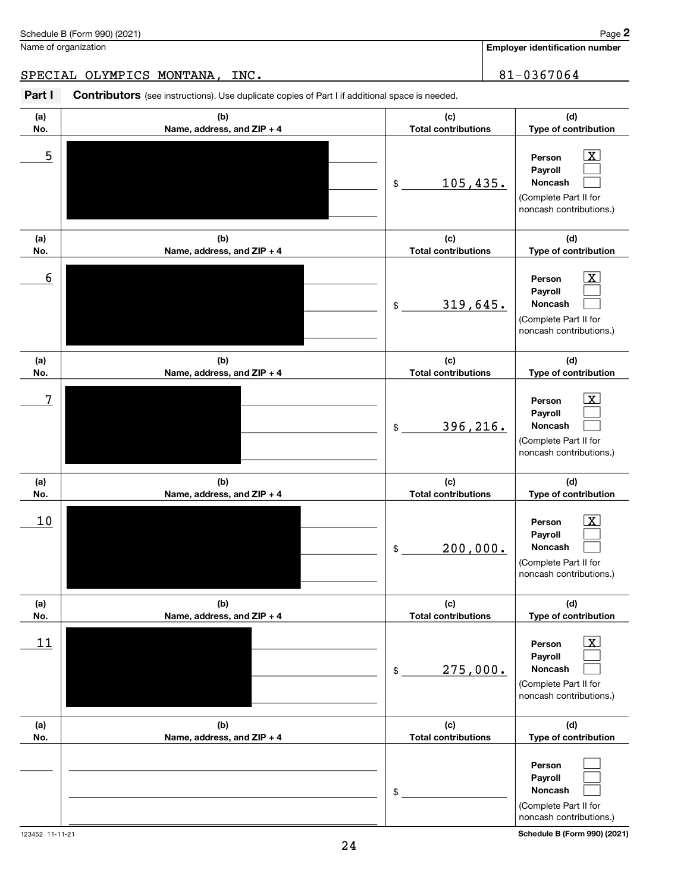|                        |                                   | 319,645.<br>\$                                           | Noncash                                                                                                                                  |
|------------------------|-----------------------------------|----------------------------------------------------------|------------------------------------------------------------------------------------------------------------------------------------------|
|                        |                                   |                                                          | (Complete Part II for<br>noncash contributions.)                                                                                         |
|                        |                                   |                                                          |                                                                                                                                          |
| (a)                    | (b)                               | (c)                                                      | (d)                                                                                                                                      |
| No.                    | Name, address, and ZIP + 4        | <b>Total contributions</b>                               | Type of contribution                                                                                                                     |
| 7                      |                                   | 396, 216.<br>$\mathsf{\$}$                               | $\overline{\mathbf{x}}$<br>Person<br>Payroll<br>Noncash<br>(Complete Part II for<br>noncash contributions.)                              |
| (a)<br>No.             | (b)<br>Name, address, and ZIP + 4 | (c)<br><b>Total contributions</b>                        | (d)<br>Type of contribution                                                                                                              |
| 10                     |                                   | 200,000.<br>\$                                           | $\overline{\mathbf{x}}$<br>Person<br><b>Payroll</b><br>Noncash<br>(Complete Part II for<br>noncash contributions.)                       |
|                        |                                   |                                                          |                                                                                                                                          |
| (a)                    | (b)                               | (c)                                                      | (d)                                                                                                                                      |
| No.<br>11              | Name, address, and ZIP + 4        | <b>Total contributions</b><br>275,000.<br>$\mathfrak{S}$ | Type of contribution<br>X<br>Person<br>Payroll<br>Noncash<br>(Complete Part II for<br>noncash contributions.)                            |
| (a)                    | (b)                               | (c)                                                      | (d)                                                                                                                                      |
| No.<br>123452 11-11-21 | Name, address, and ZIP + 4<br>24  | <b>Total contributions</b><br>\$                         | Type of contribution<br>Person<br>Payroll<br>Noncash<br>(Complete Part II for<br>noncash contributions.)<br>Schedule B (Form 990) (2021) |

#### SPECIAL OLYMPICS MONTANA, INC. 481-0367064

Part I Contributors (see instructions). Use duplicate copies of Part I if additional space is needed.

(b) Name, address, and ZIP + 4

(b) Name, address, and ZIP + 4

Schedule B (Form 990) (2021)

Name of organization

(a) No.

(a) No. Employer identification number

Person Payroll Noncash

Person Payroll

(d) Type of contribution

> $\boxed{\text{X}}$  $\mathcal{L}(\mathcal{A})$  $\mathcal{L}(\mathcal{A})$

> $\boxed{\text{X}}$  $\mathcal{L}(\mathcal{A})$

(d) Type of contribution

(Complete Part II for noncash contributions.)

(c) Total contributions

(c) Total contributions

105,435.

 $$$ 

 $\overline{5}$  Person  $\overline{X}$ 

 $\overline{6}$  Person X

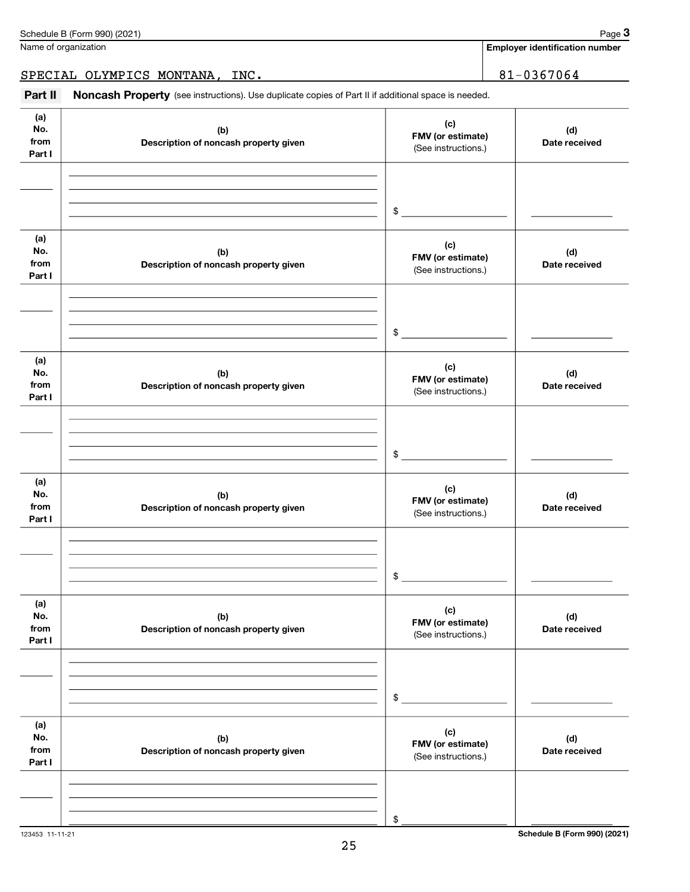| No.             | (b)                                          | (c)<br>FMV (or estimate)                 | (d)                          |
|-----------------|----------------------------------------------|------------------------------------------|------------------------------|
| from<br>Part I  | Description of noncash property given        | (See instructions.)                      | Date received                |
|                 |                                              |                                          |                              |
|                 |                                              |                                          |                              |
|                 |                                              |                                          |                              |
|                 |                                              | \$                                       |                              |
|                 |                                              |                                          |                              |
| (a)<br>No.      | (b)                                          | (c)                                      | (d)                          |
| from            | Description of noncash property given        | FMV (or estimate)<br>(See instructions.) | Date received                |
| Part I          |                                              |                                          |                              |
|                 |                                              |                                          |                              |
|                 |                                              |                                          |                              |
|                 |                                              | $\frac{1}{2}$                            |                              |
|                 |                                              |                                          |                              |
| (a)             |                                              | (c)                                      |                              |
| No.<br>from     | (b)<br>Description of noncash property given | FMV (or estimate)                        | (d)<br>Date received         |
| Part I          |                                              | (See instructions.)                      |                              |
|                 |                                              |                                          |                              |
|                 |                                              |                                          |                              |
|                 |                                              |                                          |                              |
|                 |                                              | $\frac{1}{2}$                            |                              |
| (a)             |                                              |                                          |                              |
| No.             | (b)                                          | (c)<br>FMV (or estimate)                 | (d)                          |
| from<br>Part I  | Description of noncash property given        | (See instructions.)                      | Date received                |
|                 |                                              |                                          |                              |
|                 |                                              |                                          |                              |
|                 |                                              |                                          |                              |
|                 |                                              | $\mathsf{\$}$                            |                              |
|                 |                                              |                                          |                              |
| (a)<br>No.      | (b)                                          | (c)                                      | (d)                          |
| from            | Description of noncash property given        | FMV (or estimate)<br>(See instructions.) | Date received                |
| Part I          |                                              |                                          |                              |
|                 |                                              |                                          |                              |
|                 |                                              |                                          |                              |
|                 |                                              | \$                                       |                              |
|                 |                                              |                                          |                              |
| (a)             |                                              | (c)                                      |                              |
| No.<br>from     | (b)<br>Description of noncash property given | FMV (or estimate)                        | (d)<br>Date received         |
| Part I          |                                              | (See instructions.)                      |                              |
|                 |                                              |                                          |                              |
|                 |                                              |                                          |                              |
|                 |                                              |                                          |                              |
| 123453 11-11-21 |                                              | \$                                       | Schedule B (Form 990) (2021) |

Name of organization

(a)

Part II Noncash Property (see instructions). Use duplicate copies of Part II if additional space is needed.

Employer identification number

(c)

SPECIAL OLYMPICS MONTANA, INC. 81-0367064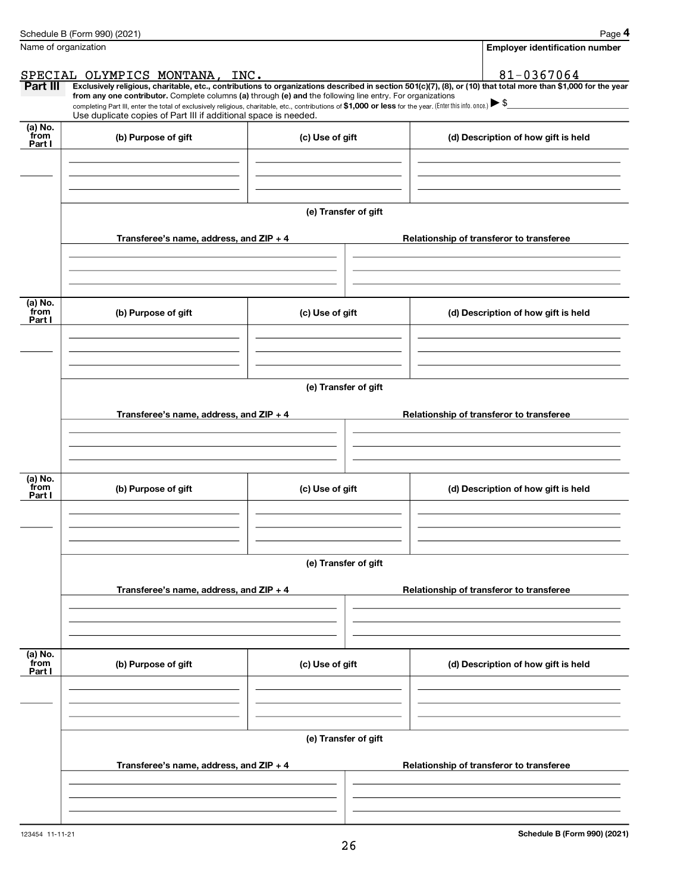|                           | Schedule B (Form 990) (2021)                                                                                                                                                                                                                                                                    |                      | Page 4                                                                                                                                                         |
|---------------------------|-------------------------------------------------------------------------------------------------------------------------------------------------------------------------------------------------------------------------------------------------------------------------------------------------|----------------------|----------------------------------------------------------------------------------------------------------------------------------------------------------------|
| Name of organization      |                                                                                                                                                                                                                                                                                                 |                      | <b>Employer identification number</b>                                                                                                                          |
|                           | SPECIAL OLYMPICS MONTANA, INC.                                                                                                                                                                                                                                                                  |                      | 81-0367064                                                                                                                                                     |
| Part III                  |                                                                                                                                                                                                                                                                                                 |                      | Exclusively religious, charitable, etc., contributions to organizations described in section 501(c)(7), (8), or (10) that total more than \$1,000 for the year |
|                           | from any one contributor. Complete columns (a) through (e) and the following line entry. For organizations<br>completing Part III, enter the total of exclusively religious, charitable, etc., contributions of \$1,000 or less for the year. (Enter this info. once.) $\blacktriangleright$ \$ |                      |                                                                                                                                                                |
|                           | Use duplicate copies of Part III if additional space is needed.                                                                                                                                                                                                                                 |                      |                                                                                                                                                                |
| (a) No.<br>from<br>Part I | (b) Purpose of gift                                                                                                                                                                                                                                                                             | (c) Use of gift      | (d) Description of how gift is held                                                                                                                            |
|                           |                                                                                                                                                                                                                                                                                                 |                      |                                                                                                                                                                |
|                           |                                                                                                                                                                                                                                                                                                 | (e) Transfer of gift |                                                                                                                                                                |
|                           | Transferee's name, address, and ZIP + 4                                                                                                                                                                                                                                                         |                      | Relationship of transferor to transferee                                                                                                                       |
|                           |                                                                                                                                                                                                                                                                                                 |                      |                                                                                                                                                                |
| (a) No.<br>from<br>Part I | (b) Purpose of gift                                                                                                                                                                                                                                                                             | (c) Use of gift      | (d) Description of how gift is held                                                                                                                            |
|                           |                                                                                                                                                                                                                                                                                                 | (e) Transfer of gift |                                                                                                                                                                |
|                           |                                                                                                                                                                                                                                                                                                 |                      |                                                                                                                                                                |
|                           | Transferee's name, address, and $ZIP + 4$                                                                                                                                                                                                                                                       |                      | Relationship of transferor to transferee                                                                                                                       |
| (a) No.<br>from<br>Part I | (b) Purpose of gift                                                                                                                                                                                                                                                                             | (c) Use of gift      | (d) Description of how gift is held                                                                                                                            |
|                           |                                                                                                                                                                                                                                                                                                 | (e) Transfer of gift |                                                                                                                                                                |
|                           | Transferee's name, address, and ZIP + 4                                                                                                                                                                                                                                                         |                      | Relationship of transferor to transferee                                                                                                                       |
| (a) No.<br>from<br>Part I | (b) Purpose of gift                                                                                                                                                                                                                                                                             | (c) Use of gift      | (d) Description of how gift is held                                                                                                                            |
|                           |                                                                                                                                                                                                                                                                                                 |                      |                                                                                                                                                                |
|                           |                                                                                                                                                                                                                                                                                                 | (e) Transfer of gift |                                                                                                                                                                |
|                           | Transferee's name, address, and ZIP + 4                                                                                                                                                                                                                                                         |                      | Relationship of transferor to transferee                                                                                                                       |
|                           |                                                                                                                                                                                                                                                                                                 |                      |                                                                                                                                                                |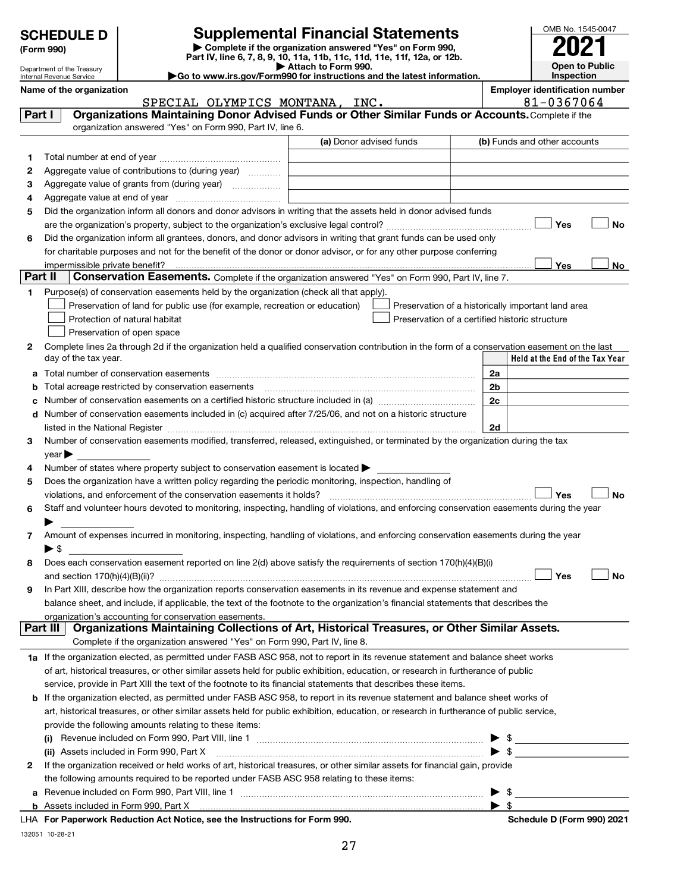| <b>Supplemental Financial Statements</b><br><b>SCHEDULE D</b><br>Complete if the organization answered "Yes" on Form 990,<br>(Form 990)<br>Part IV, line 6, 7, 8, 9, 10, 11a, 11b, 11c, 11d, 11e, 11f, 12a, or 12b.<br>Attach to Form 990.<br>Department of the Treasury<br>Go to www.irs.gov/Form990 for instructions and the latest information. |                                                      |                                                                                                             |                                                                                                                                                                                                                               |                                                     |                | OMB No. 1545-0047<br><b>Open to Public</b>         |
|----------------------------------------------------------------------------------------------------------------------------------------------------------------------------------------------------------------------------------------------------------------------------------------------------------------------------------------------------|------------------------------------------------------|-------------------------------------------------------------------------------------------------------------|-------------------------------------------------------------------------------------------------------------------------------------------------------------------------------------------------------------------------------|-----------------------------------------------------|----------------|----------------------------------------------------|
|                                                                                                                                                                                                                                                                                                                                                    | Internal Revenue Service<br>Name of the organization |                                                                                                             |                                                                                                                                                                                                                               | Inspection<br><b>Employer identification number</b> |                |                                                    |
|                                                                                                                                                                                                                                                                                                                                                    |                                                      | SPECIAL OLYMPICS MONTANA, INC.                                                                              |                                                                                                                                                                                                                               |                                                     |                | 81-0367064                                         |
| Part I                                                                                                                                                                                                                                                                                                                                             |                                                      |                                                                                                             | Organizations Maintaining Donor Advised Funds or Other Similar Funds or Accounts. Complete if the                                                                                                                             |                                                     |                |                                                    |
|                                                                                                                                                                                                                                                                                                                                                    |                                                      | organization answered "Yes" on Form 990, Part IV, line 6.                                                   |                                                                                                                                                                                                                               |                                                     |                |                                                    |
|                                                                                                                                                                                                                                                                                                                                                    |                                                      |                                                                                                             | (a) Donor advised funds                                                                                                                                                                                                       |                                                     |                | (b) Funds and other accounts                       |
| 1                                                                                                                                                                                                                                                                                                                                                  |                                                      |                                                                                                             |                                                                                                                                                                                                                               |                                                     |                |                                                    |
| 2                                                                                                                                                                                                                                                                                                                                                  |                                                      | Aggregate value of contributions to (during year)                                                           |                                                                                                                                                                                                                               |                                                     |                |                                                    |
| з                                                                                                                                                                                                                                                                                                                                                  |                                                      | Aggregate value of grants from (during year)                                                                |                                                                                                                                                                                                                               |                                                     |                |                                                    |
| 4                                                                                                                                                                                                                                                                                                                                                  |                                                      |                                                                                                             |                                                                                                                                                                                                                               |                                                     |                |                                                    |
| 5                                                                                                                                                                                                                                                                                                                                                  |                                                      |                                                                                                             | Did the organization inform all donors and donor advisors in writing that the assets held in donor advised funds                                                                                                              |                                                     |                |                                                    |
|                                                                                                                                                                                                                                                                                                                                                    |                                                      |                                                                                                             |                                                                                                                                                                                                                               |                                                     |                | <b>No</b><br>Yes                                   |
| 6                                                                                                                                                                                                                                                                                                                                                  |                                                      |                                                                                                             | Did the organization inform all grantees, donors, and donor advisors in writing that grant funds can be used only                                                                                                             |                                                     |                |                                                    |
|                                                                                                                                                                                                                                                                                                                                                    |                                                      |                                                                                                             | for charitable purposes and not for the benefit of the donor or donor advisor, or for any other purpose conferring                                                                                                            |                                                     |                |                                                    |
|                                                                                                                                                                                                                                                                                                                                                    | impermissible private benefit?                       |                                                                                                             |                                                                                                                                                                                                                               |                                                     |                | Yes<br>No                                          |
| Part II                                                                                                                                                                                                                                                                                                                                            |                                                      |                                                                                                             | Conservation Easements. Complete if the organization answered "Yes" on Form 990, Part IV, line 7.                                                                                                                             |                                                     |                |                                                    |
| 1.                                                                                                                                                                                                                                                                                                                                                 |                                                      | Purpose(s) of conservation easements held by the organization (check all that apply).                       |                                                                                                                                                                                                                               |                                                     |                |                                                    |
|                                                                                                                                                                                                                                                                                                                                                    |                                                      | Preservation of land for public use (for example, recreation or education)<br>Protection of natural habitat |                                                                                                                                                                                                                               |                                                     |                | Preservation of a historically important land area |
|                                                                                                                                                                                                                                                                                                                                                    |                                                      |                                                                                                             | Preservation of a certified historic structure                                                                                                                                                                                |                                                     |                |                                                    |
|                                                                                                                                                                                                                                                                                                                                                    |                                                      | Preservation of open space                                                                                  |                                                                                                                                                                                                                               |                                                     |                |                                                    |
| 2                                                                                                                                                                                                                                                                                                                                                  | day of the tax year.                                 |                                                                                                             | Complete lines 2a through 2d if the organization held a qualified conservation contribution in the form of a conservation easement on the last                                                                                |                                                     |                | Held at the End of the Tax Year                    |
|                                                                                                                                                                                                                                                                                                                                                    |                                                      |                                                                                                             |                                                                                                                                                                                                                               |                                                     | 2a             |                                                    |
|                                                                                                                                                                                                                                                                                                                                                    |                                                      |                                                                                                             |                                                                                                                                                                                                                               |                                                     | 2 <sub>b</sub> |                                                    |
|                                                                                                                                                                                                                                                                                                                                                    |                                                      |                                                                                                             |                                                                                                                                                                                                                               |                                                     | 2c             |                                                    |
| d                                                                                                                                                                                                                                                                                                                                                  |                                                      |                                                                                                             | Number of conservation easements included in (c) acquired after 7/25/06, and not on a historic structure                                                                                                                      |                                                     |                |                                                    |
|                                                                                                                                                                                                                                                                                                                                                    |                                                      |                                                                                                             | listed in the National Register [111] Marshall Register [11] Marshall Register [11] Marshall Register [11] Marshall Register [11] Marshall Register [11] Marshall Register [11] Marshall Register [11] Marshall Register [11] |                                                     | 2d             |                                                    |
| 3                                                                                                                                                                                                                                                                                                                                                  |                                                      |                                                                                                             | Number of conservation easements modified, transferred, released, extinguished, or terminated by the organization during the tax                                                                                              |                                                     |                |                                                    |
|                                                                                                                                                                                                                                                                                                                                                    | $\vee$ ear $\blacktriangleright$                     |                                                                                                             |                                                                                                                                                                                                                               |                                                     |                |                                                    |
| 4                                                                                                                                                                                                                                                                                                                                                  |                                                      | Number of states where property subject to conservation easement is located $\blacktriangleright$           |                                                                                                                                                                                                                               |                                                     |                |                                                    |
| 5                                                                                                                                                                                                                                                                                                                                                  |                                                      | Does the organization have a written policy regarding the periodic monitoring, inspection, handling of      |                                                                                                                                                                                                                               |                                                     |                |                                                    |
|                                                                                                                                                                                                                                                                                                                                                    |                                                      | violations, and enforcement of the conservation easements it holds?                                         |                                                                                                                                                                                                                               |                                                     |                | Yes<br>No                                          |
|                                                                                                                                                                                                                                                                                                                                                    |                                                      |                                                                                                             | Staff and volunteer hours devoted to monitoring, inspecting, handling of violations, and enforcing conservation easements during the year                                                                                     |                                                     |                |                                                    |
|                                                                                                                                                                                                                                                                                                                                                    |                                                      |                                                                                                             |                                                                                                                                                                                                                               |                                                     |                |                                                    |
| 7                                                                                                                                                                                                                                                                                                                                                  | $\blacktriangleright$ \$                             |                                                                                                             | Amount of expenses incurred in monitoring, inspecting, handling of violations, and enforcing conservation easements during the year                                                                                           |                                                     |                |                                                    |
| 8                                                                                                                                                                                                                                                                                                                                                  |                                                      |                                                                                                             | Does each conservation easement reported on line 2(d) above satisfy the requirements of section 170(h)(4)(B)(i)                                                                                                               |                                                     |                |                                                    |
|                                                                                                                                                                                                                                                                                                                                                    |                                                      |                                                                                                             |                                                                                                                                                                                                                               |                                                     |                | Yes<br>No                                          |
| 9                                                                                                                                                                                                                                                                                                                                                  |                                                      |                                                                                                             | In Part XIII, describe how the organization reports conservation easements in its revenue and expense statement and                                                                                                           |                                                     |                |                                                    |
|                                                                                                                                                                                                                                                                                                                                                    |                                                      |                                                                                                             | balance sheet, and include, if applicable, the text of the footnote to the organization's financial statements that describes the                                                                                             |                                                     |                |                                                    |
|                                                                                                                                                                                                                                                                                                                                                    |                                                      | organization's accounting for conservation easements.                                                       |                                                                                                                                                                                                                               |                                                     |                |                                                    |
|                                                                                                                                                                                                                                                                                                                                                    | Part III                                             |                                                                                                             | Organizations Maintaining Collections of Art, Historical Treasures, or Other Similar Assets.                                                                                                                                  |                                                     |                |                                                    |
|                                                                                                                                                                                                                                                                                                                                                    |                                                      | Complete if the organization answered "Yes" on Form 990, Part IV, line 8.                                   |                                                                                                                                                                                                                               |                                                     |                |                                                    |
|                                                                                                                                                                                                                                                                                                                                                    |                                                      |                                                                                                             | 1a If the organization elected, as permitted under FASB ASC 958, not to report in its revenue statement and balance sheet works                                                                                               |                                                     |                |                                                    |
|                                                                                                                                                                                                                                                                                                                                                    |                                                      |                                                                                                             | of art, historical treasures, or other similar assets held for public exhibition, education, or research in furtherance of public                                                                                             |                                                     |                |                                                    |
|                                                                                                                                                                                                                                                                                                                                                    |                                                      |                                                                                                             | service, provide in Part XIII the text of the footnote to its financial statements that describes these items.                                                                                                                |                                                     |                |                                                    |
|                                                                                                                                                                                                                                                                                                                                                    |                                                      |                                                                                                             | <b>b</b> If the organization elected, as permitted under FASB ASC 958, to report in its revenue statement and balance sheet works of                                                                                          |                                                     |                |                                                    |
|                                                                                                                                                                                                                                                                                                                                                    |                                                      |                                                                                                             | art, historical treasures, or other similar assets held for public exhibition, education, or research in furtherance of public service,                                                                                       |                                                     |                |                                                    |
|                                                                                                                                                                                                                                                                                                                                                    |                                                      | provide the following amounts relating to these items:                                                      |                                                                                                                                                                                                                               |                                                     |                |                                                    |
|                                                                                                                                                                                                                                                                                                                                                    | (i)                                                  |                                                                                                             |                                                                                                                                                                                                                               |                                                     |                |                                                    |
|                                                                                                                                                                                                                                                                                                                                                    |                                                      | (ii) Assets included in Form 990, Part X                                                                    |                                                                                                                                                                                                                               |                                                     |                | $\triangleright$ \$                                |
| 2                                                                                                                                                                                                                                                                                                                                                  |                                                      |                                                                                                             | If the organization received or held works of art, historical treasures, or other similar assets for financial gain, provide                                                                                                  |                                                     |                |                                                    |
|                                                                                                                                                                                                                                                                                                                                                    |                                                      | the following amounts required to be reported under FASB ASC 958 relating to these items:                   |                                                                                                                                                                                                                               |                                                     |                |                                                    |
| a                                                                                                                                                                                                                                                                                                                                                  |                                                      |                                                                                                             |                                                                                                                                                                                                                               |                                                     | ▶              |                                                    |
|                                                                                                                                                                                                                                                                                                                                                    |                                                      |                                                                                                             |                                                                                                                                                                                                                               |                                                     |                |                                                    |
|                                                                                                                                                                                                                                                                                                                                                    |                                                      | LHA For Paperwork Reduction Act Notice, see the Instructions for Form 990.                                  |                                                                                                                                                                                                                               |                                                     |                | Schedule D (Form 990) 2021                         |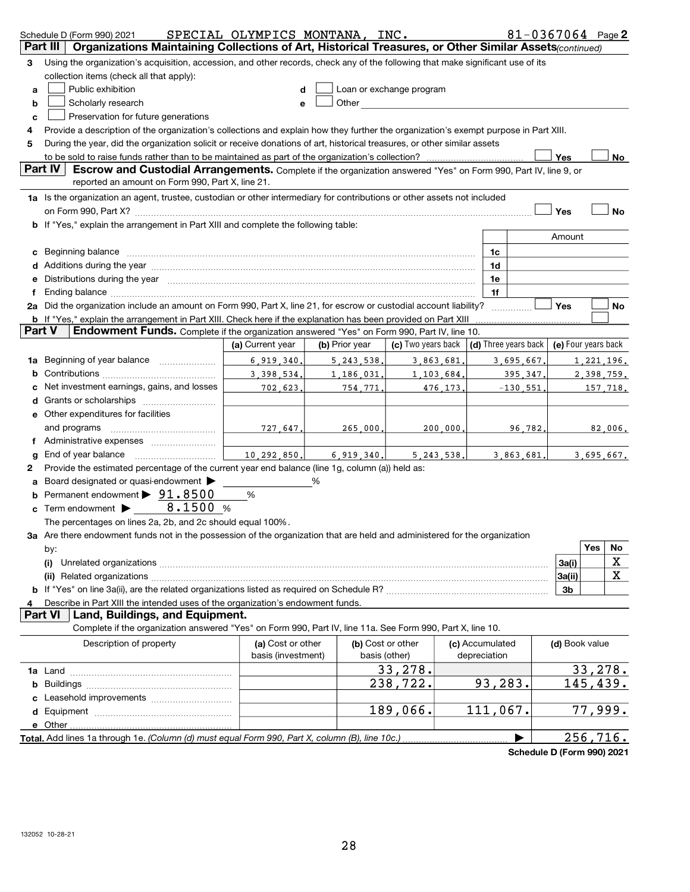| Organizations Maintaining Collections of Art, Historical Treasures, or Other Similar Assets(continued)<br>Part III<br>Using the organization's acquisition, accession, and other records, check any of the following that make significant use of its<br>з<br>collection items (check all that apply):<br>Public exhibition<br>Loan or exchange program<br>a<br>Other and the control of the control of the control of the control of the control of the control of the control of the control of the control of the control of the control of the control of the control of the control of th<br>Scholarly research<br>b<br>е<br>Preservation for future generations<br>с<br>Provide a description of the organization's collections and explain how they further the organization's exempt purpose in Part XIII.<br>4<br>During the year, did the organization solicit or receive donations of art, historical treasures, or other similar assets<br>5<br>to be sold to raise funds rather than to be maintained as part of the organization's collection?<br>Yes<br>No<br>Part IV<br>Escrow and Custodial Arrangements. Complete if the organization answered "Yes" on Form 990, Part IV, line 9, or<br>reported an amount on Form 990, Part X, line 21.<br>1a Is the organization an agent, trustee, custodian or other intermediary for contributions or other assets not included<br><b>No</b><br>Yes<br>b If "Yes," explain the arrangement in Part XIII and complete the following table:<br>Amount<br>Beginning balance measurements and contain the contract of the contract of the contract of the contract of the<br>1c<br>c<br>Additions during the year manufactured and an annual contract the year manufactured and all the year manufactured and all the year manufactured and all the year manufactured and all the year manufactured and all the year m<br>1d<br>Distributions during the year measurement contains and all the year measurement of the state of the state of the state of the state of the state of the state of the state of the state of the state of the state of the state<br>1e<br>1f<br>2a Did the organization include an amount on Form 990, Part X, line 21, for escrow or custodial account liability?<br>Yes<br>No<br>.<br><b>b</b> If "Yes," explain the arrangement in Part XIII. Check here if the explanation has been provided on Part XIII<br><b>Endowment Funds.</b> Complete if the organization answered "Yes" on Form 990, Part IV, line 10.<br>Part V<br>$(d)$ Three years back $(e)$ Four years back<br>(c) Two years back<br>(a) Current year<br>(b) Prior year<br>Beginning of year balance<br>6.919.340.<br>3,863,681.<br>5, 243, 538.<br>3,695,667.<br>1,221,196.<br>1a<br>3.398.534.<br>1,186,031.<br>1,103,684.<br>2,398,759.<br>395, 347,<br>Net investment earnings, gains, and losses<br>702,623.<br>754,771.<br>476,173.<br>$-130,551$<br><u>157,718.</u><br>e Other expenditures for facilities<br>and programs<br>727,647.<br>265,000.<br>200,000.<br>96,782.<br>82,006.<br>End of year balance<br>10.292.850.<br>6.919.340.<br>5.243.538.<br>3,863,681.<br>3,695,667.<br>g<br>Provide the estimated percentage of the current year end balance (line 1g, column (a)) held as:<br>2<br>Board designated or quasi-endowment<br>%<br>Permanent endowment > 91.8500<br>%<br>8.1500 %<br>Term endowment ><br>c<br>The percentages on lines 2a, 2b, and 2c should equal 100%.<br>3a Are there endowment funds not in the possession of the organization that are held and administered for the organization<br>No<br>Yes<br>by:<br>X<br>3a(i)<br>(i)<br>X<br>3a(ii)<br>3b<br>Describe in Part XIII the intended uses of the organization's endowment funds.<br>Land, Buildings, and Equipment.<br><b>Part VI</b><br>Complete if the organization answered "Yes" on Form 990, Part IV, line 11a. See Form 990, Part X, line 10.<br>Description of property<br>(a) Cost or other<br>(b) Cost or other<br>(c) Accumulated<br>(d) Book value<br>basis (investment)<br>basis (other)<br>depreciation<br>33,278.<br>33,278.<br>238,722.<br>93,283.<br>145,439.<br>b<br>77,999.<br>189,066.<br>111,067.<br>e Other.<br>256, 716.<br>Total. Add lines 1a through 1e. (Column (d) must equal Form 990, Part X, column (B), line 10c.). | Schedule D (Form 990) 2021 | SPECIAL OLYMPICS MONTANA, INC. |  |  | 81-0367064 Page 2 |  |  |
|-------------------------------------------------------------------------------------------------------------------------------------------------------------------------------------------------------------------------------------------------------------------------------------------------------------------------------------------------------------------------------------------------------------------------------------------------------------------------------------------------------------------------------------------------------------------------------------------------------------------------------------------------------------------------------------------------------------------------------------------------------------------------------------------------------------------------------------------------------------------------------------------------------------------------------------------------------------------------------------------------------------------------------------------------------------------------------------------------------------------------------------------------------------------------------------------------------------------------------------------------------------------------------------------------------------------------------------------------------------------------------------------------------------------------------------------------------------------------------------------------------------------------------------------------------------------------------------------------------------------------------------------------------------------------------------------------------------------------------------------------------------------------------------------------------------------------------------------------------------------------------------------------------------------------------------------------------------------------------------------------------------------------------------------------------------------------------------------------------------------------------------------------------------------------------------------------------------------------------------------------------------------------------------------------------------------------------------------------------------------------------------------------------------------------------------------------------------------------------------------------------------------------------------------------------------------------------------------------------------------------------------------------------------------------------------------------------------------------------------------------------------------------------------------------------------------------------------------------------------------------------------------------------------------------------------------------------------------------------------------------------------------------------------------------------------------------------------------------------------------------------------------------------------------------------------------------------------------------------------------------------------------------------------------------------------------------------------------------------------------------------------------------------------------------------------------------------------------------------------------------------------------------------------------------------------------------------------------------------------------------------------------------------------------------------------------------------------------------------------------------------------------------------------------------------------------------------------------------------------------------------------------------------------------------------------------------------------------------------------------------------------------------------------------------------------------------------------------------------------------------------------------------------------------------------------------------------------------------------------------------------------------------------------------------|----------------------------|--------------------------------|--|--|-------------------|--|--|
|                                                                                                                                                                                                                                                                                                                                                                                                                                                                                                                                                                                                                                                                                                                                                                                                                                                                                                                                                                                                                                                                                                                                                                                                                                                                                                                                                                                                                                                                                                                                                                                                                                                                                                                                                                                                                                                                                                                                                                                                                                                                                                                                                                                                                                                                                                                                                                                                                                                                                                                                                                                                                                                                                                                                                                                                                                                                                                                                                                                                                                                                                                                                                                                                                                                                                                                                                                                                                                                                                                                                                                                                                                                                                                                                                                                                                                                                                                                                                                                                                                                                                                                                                                                                                                                                                                 |                            |                                |  |  |                   |  |  |
|                                                                                                                                                                                                                                                                                                                                                                                                                                                                                                                                                                                                                                                                                                                                                                                                                                                                                                                                                                                                                                                                                                                                                                                                                                                                                                                                                                                                                                                                                                                                                                                                                                                                                                                                                                                                                                                                                                                                                                                                                                                                                                                                                                                                                                                                                                                                                                                                                                                                                                                                                                                                                                                                                                                                                                                                                                                                                                                                                                                                                                                                                                                                                                                                                                                                                                                                                                                                                                                                                                                                                                                                                                                                                                                                                                                                                                                                                                                                                                                                                                                                                                                                                                                                                                                                                                 |                            |                                |  |  |                   |  |  |
|                                                                                                                                                                                                                                                                                                                                                                                                                                                                                                                                                                                                                                                                                                                                                                                                                                                                                                                                                                                                                                                                                                                                                                                                                                                                                                                                                                                                                                                                                                                                                                                                                                                                                                                                                                                                                                                                                                                                                                                                                                                                                                                                                                                                                                                                                                                                                                                                                                                                                                                                                                                                                                                                                                                                                                                                                                                                                                                                                                                                                                                                                                                                                                                                                                                                                                                                                                                                                                                                                                                                                                                                                                                                                                                                                                                                                                                                                                                                                                                                                                                                                                                                                                                                                                                                                                 |                            |                                |  |  |                   |  |  |
|                                                                                                                                                                                                                                                                                                                                                                                                                                                                                                                                                                                                                                                                                                                                                                                                                                                                                                                                                                                                                                                                                                                                                                                                                                                                                                                                                                                                                                                                                                                                                                                                                                                                                                                                                                                                                                                                                                                                                                                                                                                                                                                                                                                                                                                                                                                                                                                                                                                                                                                                                                                                                                                                                                                                                                                                                                                                                                                                                                                                                                                                                                                                                                                                                                                                                                                                                                                                                                                                                                                                                                                                                                                                                                                                                                                                                                                                                                                                                                                                                                                                                                                                                                                                                                                                                                 |                            |                                |  |  |                   |  |  |
|                                                                                                                                                                                                                                                                                                                                                                                                                                                                                                                                                                                                                                                                                                                                                                                                                                                                                                                                                                                                                                                                                                                                                                                                                                                                                                                                                                                                                                                                                                                                                                                                                                                                                                                                                                                                                                                                                                                                                                                                                                                                                                                                                                                                                                                                                                                                                                                                                                                                                                                                                                                                                                                                                                                                                                                                                                                                                                                                                                                                                                                                                                                                                                                                                                                                                                                                                                                                                                                                                                                                                                                                                                                                                                                                                                                                                                                                                                                                                                                                                                                                                                                                                                                                                                                                                                 |                            |                                |  |  |                   |  |  |
|                                                                                                                                                                                                                                                                                                                                                                                                                                                                                                                                                                                                                                                                                                                                                                                                                                                                                                                                                                                                                                                                                                                                                                                                                                                                                                                                                                                                                                                                                                                                                                                                                                                                                                                                                                                                                                                                                                                                                                                                                                                                                                                                                                                                                                                                                                                                                                                                                                                                                                                                                                                                                                                                                                                                                                                                                                                                                                                                                                                                                                                                                                                                                                                                                                                                                                                                                                                                                                                                                                                                                                                                                                                                                                                                                                                                                                                                                                                                                                                                                                                                                                                                                                                                                                                                                                 |                            |                                |  |  |                   |  |  |
|                                                                                                                                                                                                                                                                                                                                                                                                                                                                                                                                                                                                                                                                                                                                                                                                                                                                                                                                                                                                                                                                                                                                                                                                                                                                                                                                                                                                                                                                                                                                                                                                                                                                                                                                                                                                                                                                                                                                                                                                                                                                                                                                                                                                                                                                                                                                                                                                                                                                                                                                                                                                                                                                                                                                                                                                                                                                                                                                                                                                                                                                                                                                                                                                                                                                                                                                                                                                                                                                                                                                                                                                                                                                                                                                                                                                                                                                                                                                                                                                                                                                                                                                                                                                                                                                                                 |                            |                                |  |  |                   |  |  |
|                                                                                                                                                                                                                                                                                                                                                                                                                                                                                                                                                                                                                                                                                                                                                                                                                                                                                                                                                                                                                                                                                                                                                                                                                                                                                                                                                                                                                                                                                                                                                                                                                                                                                                                                                                                                                                                                                                                                                                                                                                                                                                                                                                                                                                                                                                                                                                                                                                                                                                                                                                                                                                                                                                                                                                                                                                                                                                                                                                                                                                                                                                                                                                                                                                                                                                                                                                                                                                                                                                                                                                                                                                                                                                                                                                                                                                                                                                                                                                                                                                                                                                                                                                                                                                                                                                 |                            |                                |  |  |                   |  |  |
|                                                                                                                                                                                                                                                                                                                                                                                                                                                                                                                                                                                                                                                                                                                                                                                                                                                                                                                                                                                                                                                                                                                                                                                                                                                                                                                                                                                                                                                                                                                                                                                                                                                                                                                                                                                                                                                                                                                                                                                                                                                                                                                                                                                                                                                                                                                                                                                                                                                                                                                                                                                                                                                                                                                                                                                                                                                                                                                                                                                                                                                                                                                                                                                                                                                                                                                                                                                                                                                                                                                                                                                                                                                                                                                                                                                                                                                                                                                                                                                                                                                                                                                                                                                                                                                                                                 |                            |                                |  |  |                   |  |  |
|                                                                                                                                                                                                                                                                                                                                                                                                                                                                                                                                                                                                                                                                                                                                                                                                                                                                                                                                                                                                                                                                                                                                                                                                                                                                                                                                                                                                                                                                                                                                                                                                                                                                                                                                                                                                                                                                                                                                                                                                                                                                                                                                                                                                                                                                                                                                                                                                                                                                                                                                                                                                                                                                                                                                                                                                                                                                                                                                                                                                                                                                                                                                                                                                                                                                                                                                                                                                                                                                                                                                                                                                                                                                                                                                                                                                                                                                                                                                                                                                                                                                                                                                                                                                                                                                                                 |                            |                                |  |  |                   |  |  |
|                                                                                                                                                                                                                                                                                                                                                                                                                                                                                                                                                                                                                                                                                                                                                                                                                                                                                                                                                                                                                                                                                                                                                                                                                                                                                                                                                                                                                                                                                                                                                                                                                                                                                                                                                                                                                                                                                                                                                                                                                                                                                                                                                                                                                                                                                                                                                                                                                                                                                                                                                                                                                                                                                                                                                                                                                                                                                                                                                                                                                                                                                                                                                                                                                                                                                                                                                                                                                                                                                                                                                                                                                                                                                                                                                                                                                                                                                                                                                                                                                                                                                                                                                                                                                                                                                                 |                            |                                |  |  |                   |  |  |
|                                                                                                                                                                                                                                                                                                                                                                                                                                                                                                                                                                                                                                                                                                                                                                                                                                                                                                                                                                                                                                                                                                                                                                                                                                                                                                                                                                                                                                                                                                                                                                                                                                                                                                                                                                                                                                                                                                                                                                                                                                                                                                                                                                                                                                                                                                                                                                                                                                                                                                                                                                                                                                                                                                                                                                                                                                                                                                                                                                                                                                                                                                                                                                                                                                                                                                                                                                                                                                                                                                                                                                                                                                                                                                                                                                                                                                                                                                                                                                                                                                                                                                                                                                                                                                                                                                 |                            |                                |  |  |                   |  |  |
|                                                                                                                                                                                                                                                                                                                                                                                                                                                                                                                                                                                                                                                                                                                                                                                                                                                                                                                                                                                                                                                                                                                                                                                                                                                                                                                                                                                                                                                                                                                                                                                                                                                                                                                                                                                                                                                                                                                                                                                                                                                                                                                                                                                                                                                                                                                                                                                                                                                                                                                                                                                                                                                                                                                                                                                                                                                                                                                                                                                                                                                                                                                                                                                                                                                                                                                                                                                                                                                                                                                                                                                                                                                                                                                                                                                                                                                                                                                                                                                                                                                                                                                                                                                                                                                                                                 |                            |                                |  |  |                   |  |  |
|                                                                                                                                                                                                                                                                                                                                                                                                                                                                                                                                                                                                                                                                                                                                                                                                                                                                                                                                                                                                                                                                                                                                                                                                                                                                                                                                                                                                                                                                                                                                                                                                                                                                                                                                                                                                                                                                                                                                                                                                                                                                                                                                                                                                                                                                                                                                                                                                                                                                                                                                                                                                                                                                                                                                                                                                                                                                                                                                                                                                                                                                                                                                                                                                                                                                                                                                                                                                                                                                                                                                                                                                                                                                                                                                                                                                                                                                                                                                                                                                                                                                                                                                                                                                                                                                                                 |                            |                                |  |  |                   |  |  |
|                                                                                                                                                                                                                                                                                                                                                                                                                                                                                                                                                                                                                                                                                                                                                                                                                                                                                                                                                                                                                                                                                                                                                                                                                                                                                                                                                                                                                                                                                                                                                                                                                                                                                                                                                                                                                                                                                                                                                                                                                                                                                                                                                                                                                                                                                                                                                                                                                                                                                                                                                                                                                                                                                                                                                                                                                                                                                                                                                                                                                                                                                                                                                                                                                                                                                                                                                                                                                                                                                                                                                                                                                                                                                                                                                                                                                                                                                                                                                                                                                                                                                                                                                                                                                                                                                                 |                            |                                |  |  |                   |  |  |
|                                                                                                                                                                                                                                                                                                                                                                                                                                                                                                                                                                                                                                                                                                                                                                                                                                                                                                                                                                                                                                                                                                                                                                                                                                                                                                                                                                                                                                                                                                                                                                                                                                                                                                                                                                                                                                                                                                                                                                                                                                                                                                                                                                                                                                                                                                                                                                                                                                                                                                                                                                                                                                                                                                                                                                                                                                                                                                                                                                                                                                                                                                                                                                                                                                                                                                                                                                                                                                                                                                                                                                                                                                                                                                                                                                                                                                                                                                                                                                                                                                                                                                                                                                                                                                                                                                 |                            |                                |  |  |                   |  |  |
|                                                                                                                                                                                                                                                                                                                                                                                                                                                                                                                                                                                                                                                                                                                                                                                                                                                                                                                                                                                                                                                                                                                                                                                                                                                                                                                                                                                                                                                                                                                                                                                                                                                                                                                                                                                                                                                                                                                                                                                                                                                                                                                                                                                                                                                                                                                                                                                                                                                                                                                                                                                                                                                                                                                                                                                                                                                                                                                                                                                                                                                                                                                                                                                                                                                                                                                                                                                                                                                                                                                                                                                                                                                                                                                                                                                                                                                                                                                                                                                                                                                                                                                                                                                                                                                                                                 |                            |                                |  |  |                   |  |  |
|                                                                                                                                                                                                                                                                                                                                                                                                                                                                                                                                                                                                                                                                                                                                                                                                                                                                                                                                                                                                                                                                                                                                                                                                                                                                                                                                                                                                                                                                                                                                                                                                                                                                                                                                                                                                                                                                                                                                                                                                                                                                                                                                                                                                                                                                                                                                                                                                                                                                                                                                                                                                                                                                                                                                                                                                                                                                                                                                                                                                                                                                                                                                                                                                                                                                                                                                                                                                                                                                                                                                                                                                                                                                                                                                                                                                                                                                                                                                                                                                                                                                                                                                                                                                                                                                                                 |                            |                                |  |  |                   |  |  |
|                                                                                                                                                                                                                                                                                                                                                                                                                                                                                                                                                                                                                                                                                                                                                                                                                                                                                                                                                                                                                                                                                                                                                                                                                                                                                                                                                                                                                                                                                                                                                                                                                                                                                                                                                                                                                                                                                                                                                                                                                                                                                                                                                                                                                                                                                                                                                                                                                                                                                                                                                                                                                                                                                                                                                                                                                                                                                                                                                                                                                                                                                                                                                                                                                                                                                                                                                                                                                                                                                                                                                                                                                                                                                                                                                                                                                                                                                                                                                                                                                                                                                                                                                                                                                                                                                                 |                            |                                |  |  |                   |  |  |
|                                                                                                                                                                                                                                                                                                                                                                                                                                                                                                                                                                                                                                                                                                                                                                                                                                                                                                                                                                                                                                                                                                                                                                                                                                                                                                                                                                                                                                                                                                                                                                                                                                                                                                                                                                                                                                                                                                                                                                                                                                                                                                                                                                                                                                                                                                                                                                                                                                                                                                                                                                                                                                                                                                                                                                                                                                                                                                                                                                                                                                                                                                                                                                                                                                                                                                                                                                                                                                                                                                                                                                                                                                                                                                                                                                                                                                                                                                                                                                                                                                                                                                                                                                                                                                                                                                 |                            |                                |  |  |                   |  |  |
|                                                                                                                                                                                                                                                                                                                                                                                                                                                                                                                                                                                                                                                                                                                                                                                                                                                                                                                                                                                                                                                                                                                                                                                                                                                                                                                                                                                                                                                                                                                                                                                                                                                                                                                                                                                                                                                                                                                                                                                                                                                                                                                                                                                                                                                                                                                                                                                                                                                                                                                                                                                                                                                                                                                                                                                                                                                                                                                                                                                                                                                                                                                                                                                                                                                                                                                                                                                                                                                                                                                                                                                                                                                                                                                                                                                                                                                                                                                                                                                                                                                                                                                                                                                                                                                                                                 |                            |                                |  |  |                   |  |  |
|                                                                                                                                                                                                                                                                                                                                                                                                                                                                                                                                                                                                                                                                                                                                                                                                                                                                                                                                                                                                                                                                                                                                                                                                                                                                                                                                                                                                                                                                                                                                                                                                                                                                                                                                                                                                                                                                                                                                                                                                                                                                                                                                                                                                                                                                                                                                                                                                                                                                                                                                                                                                                                                                                                                                                                                                                                                                                                                                                                                                                                                                                                                                                                                                                                                                                                                                                                                                                                                                                                                                                                                                                                                                                                                                                                                                                                                                                                                                                                                                                                                                                                                                                                                                                                                                                                 |                            |                                |  |  |                   |  |  |
|                                                                                                                                                                                                                                                                                                                                                                                                                                                                                                                                                                                                                                                                                                                                                                                                                                                                                                                                                                                                                                                                                                                                                                                                                                                                                                                                                                                                                                                                                                                                                                                                                                                                                                                                                                                                                                                                                                                                                                                                                                                                                                                                                                                                                                                                                                                                                                                                                                                                                                                                                                                                                                                                                                                                                                                                                                                                                                                                                                                                                                                                                                                                                                                                                                                                                                                                                                                                                                                                                                                                                                                                                                                                                                                                                                                                                                                                                                                                                                                                                                                                                                                                                                                                                                                                                                 |                            |                                |  |  |                   |  |  |
|                                                                                                                                                                                                                                                                                                                                                                                                                                                                                                                                                                                                                                                                                                                                                                                                                                                                                                                                                                                                                                                                                                                                                                                                                                                                                                                                                                                                                                                                                                                                                                                                                                                                                                                                                                                                                                                                                                                                                                                                                                                                                                                                                                                                                                                                                                                                                                                                                                                                                                                                                                                                                                                                                                                                                                                                                                                                                                                                                                                                                                                                                                                                                                                                                                                                                                                                                                                                                                                                                                                                                                                                                                                                                                                                                                                                                                                                                                                                                                                                                                                                                                                                                                                                                                                                                                 |                            |                                |  |  |                   |  |  |
|                                                                                                                                                                                                                                                                                                                                                                                                                                                                                                                                                                                                                                                                                                                                                                                                                                                                                                                                                                                                                                                                                                                                                                                                                                                                                                                                                                                                                                                                                                                                                                                                                                                                                                                                                                                                                                                                                                                                                                                                                                                                                                                                                                                                                                                                                                                                                                                                                                                                                                                                                                                                                                                                                                                                                                                                                                                                                                                                                                                                                                                                                                                                                                                                                                                                                                                                                                                                                                                                                                                                                                                                                                                                                                                                                                                                                                                                                                                                                                                                                                                                                                                                                                                                                                                                                                 |                            |                                |  |  |                   |  |  |
|                                                                                                                                                                                                                                                                                                                                                                                                                                                                                                                                                                                                                                                                                                                                                                                                                                                                                                                                                                                                                                                                                                                                                                                                                                                                                                                                                                                                                                                                                                                                                                                                                                                                                                                                                                                                                                                                                                                                                                                                                                                                                                                                                                                                                                                                                                                                                                                                                                                                                                                                                                                                                                                                                                                                                                                                                                                                                                                                                                                                                                                                                                                                                                                                                                                                                                                                                                                                                                                                                                                                                                                                                                                                                                                                                                                                                                                                                                                                                                                                                                                                                                                                                                                                                                                                                                 |                            |                                |  |  |                   |  |  |
|                                                                                                                                                                                                                                                                                                                                                                                                                                                                                                                                                                                                                                                                                                                                                                                                                                                                                                                                                                                                                                                                                                                                                                                                                                                                                                                                                                                                                                                                                                                                                                                                                                                                                                                                                                                                                                                                                                                                                                                                                                                                                                                                                                                                                                                                                                                                                                                                                                                                                                                                                                                                                                                                                                                                                                                                                                                                                                                                                                                                                                                                                                                                                                                                                                                                                                                                                                                                                                                                                                                                                                                                                                                                                                                                                                                                                                                                                                                                                                                                                                                                                                                                                                                                                                                                                                 |                            |                                |  |  |                   |  |  |
|                                                                                                                                                                                                                                                                                                                                                                                                                                                                                                                                                                                                                                                                                                                                                                                                                                                                                                                                                                                                                                                                                                                                                                                                                                                                                                                                                                                                                                                                                                                                                                                                                                                                                                                                                                                                                                                                                                                                                                                                                                                                                                                                                                                                                                                                                                                                                                                                                                                                                                                                                                                                                                                                                                                                                                                                                                                                                                                                                                                                                                                                                                                                                                                                                                                                                                                                                                                                                                                                                                                                                                                                                                                                                                                                                                                                                                                                                                                                                                                                                                                                                                                                                                                                                                                                                                 |                            |                                |  |  |                   |  |  |
|                                                                                                                                                                                                                                                                                                                                                                                                                                                                                                                                                                                                                                                                                                                                                                                                                                                                                                                                                                                                                                                                                                                                                                                                                                                                                                                                                                                                                                                                                                                                                                                                                                                                                                                                                                                                                                                                                                                                                                                                                                                                                                                                                                                                                                                                                                                                                                                                                                                                                                                                                                                                                                                                                                                                                                                                                                                                                                                                                                                                                                                                                                                                                                                                                                                                                                                                                                                                                                                                                                                                                                                                                                                                                                                                                                                                                                                                                                                                                                                                                                                                                                                                                                                                                                                                                                 |                            |                                |  |  |                   |  |  |
|                                                                                                                                                                                                                                                                                                                                                                                                                                                                                                                                                                                                                                                                                                                                                                                                                                                                                                                                                                                                                                                                                                                                                                                                                                                                                                                                                                                                                                                                                                                                                                                                                                                                                                                                                                                                                                                                                                                                                                                                                                                                                                                                                                                                                                                                                                                                                                                                                                                                                                                                                                                                                                                                                                                                                                                                                                                                                                                                                                                                                                                                                                                                                                                                                                                                                                                                                                                                                                                                                                                                                                                                                                                                                                                                                                                                                                                                                                                                                                                                                                                                                                                                                                                                                                                                                                 |                            |                                |  |  |                   |  |  |
|                                                                                                                                                                                                                                                                                                                                                                                                                                                                                                                                                                                                                                                                                                                                                                                                                                                                                                                                                                                                                                                                                                                                                                                                                                                                                                                                                                                                                                                                                                                                                                                                                                                                                                                                                                                                                                                                                                                                                                                                                                                                                                                                                                                                                                                                                                                                                                                                                                                                                                                                                                                                                                                                                                                                                                                                                                                                                                                                                                                                                                                                                                                                                                                                                                                                                                                                                                                                                                                                                                                                                                                                                                                                                                                                                                                                                                                                                                                                                                                                                                                                                                                                                                                                                                                                                                 |                            |                                |  |  |                   |  |  |
|                                                                                                                                                                                                                                                                                                                                                                                                                                                                                                                                                                                                                                                                                                                                                                                                                                                                                                                                                                                                                                                                                                                                                                                                                                                                                                                                                                                                                                                                                                                                                                                                                                                                                                                                                                                                                                                                                                                                                                                                                                                                                                                                                                                                                                                                                                                                                                                                                                                                                                                                                                                                                                                                                                                                                                                                                                                                                                                                                                                                                                                                                                                                                                                                                                                                                                                                                                                                                                                                                                                                                                                                                                                                                                                                                                                                                                                                                                                                                                                                                                                                                                                                                                                                                                                                                                 |                            |                                |  |  |                   |  |  |
|                                                                                                                                                                                                                                                                                                                                                                                                                                                                                                                                                                                                                                                                                                                                                                                                                                                                                                                                                                                                                                                                                                                                                                                                                                                                                                                                                                                                                                                                                                                                                                                                                                                                                                                                                                                                                                                                                                                                                                                                                                                                                                                                                                                                                                                                                                                                                                                                                                                                                                                                                                                                                                                                                                                                                                                                                                                                                                                                                                                                                                                                                                                                                                                                                                                                                                                                                                                                                                                                                                                                                                                                                                                                                                                                                                                                                                                                                                                                                                                                                                                                                                                                                                                                                                                                                                 |                            |                                |  |  |                   |  |  |
|                                                                                                                                                                                                                                                                                                                                                                                                                                                                                                                                                                                                                                                                                                                                                                                                                                                                                                                                                                                                                                                                                                                                                                                                                                                                                                                                                                                                                                                                                                                                                                                                                                                                                                                                                                                                                                                                                                                                                                                                                                                                                                                                                                                                                                                                                                                                                                                                                                                                                                                                                                                                                                                                                                                                                                                                                                                                                                                                                                                                                                                                                                                                                                                                                                                                                                                                                                                                                                                                                                                                                                                                                                                                                                                                                                                                                                                                                                                                                                                                                                                                                                                                                                                                                                                                                                 |                            |                                |  |  |                   |  |  |
|                                                                                                                                                                                                                                                                                                                                                                                                                                                                                                                                                                                                                                                                                                                                                                                                                                                                                                                                                                                                                                                                                                                                                                                                                                                                                                                                                                                                                                                                                                                                                                                                                                                                                                                                                                                                                                                                                                                                                                                                                                                                                                                                                                                                                                                                                                                                                                                                                                                                                                                                                                                                                                                                                                                                                                                                                                                                                                                                                                                                                                                                                                                                                                                                                                                                                                                                                                                                                                                                                                                                                                                                                                                                                                                                                                                                                                                                                                                                                                                                                                                                                                                                                                                                                                                                                                 |                            |                                |  |  |                   |  |  |
|                                                                                                                                                                                                                                                                                                                                                                                                                                                                                                                                                                                                                                                                                                                                                                                                                                                                                                                                                                                                                                                                                                                                                                                                                                                                                                                                                                                                                                                                                                                                                                                                                                                                                                                                                                                                                                                                                                                                                                                                                                                                                                                                                                                                                                                                                                                                                                                                                                                                                                                                                                                                                                                                                                                                                                                                                                                                                                                                                                                                                                                                                                                                                                                                                                                                                                                                                                                                                                                                                                                                                                                                                                                                                                                                                                                                                                                                                                                                                                                                                                                                                                                                                                                                                                                                                                 |                            |                                |  |  |                   |  |  |
|                                                                                                                                                                                                                                                                                                                                                                                                                                                                                                                                                                                                                                                                                                                                                                                                                                                                                                                                                                                                                                                                                                                                                                                                                                                                                                                                                                                                                                                                                                                                                                                                                                                                                                                                                                                                                                                                                                                                                                                                                                                                                                                                                                                                                                                                                                                                                                                                                                                                                                                                                                                                                                                                                                                                                                                                                                                                                                                                                                                                                                                                                                                                                                                                                                                                                                                                                                                                                                                                                                                                                                                                                                                                                                                                                                                                                                                                                                                                                                                                                                                                                                                                                                                                                                                                                                 |                            |                                |  |  |                   |  |  |
|                                                                                                                                                                                                                                                                                                                                                                                                                                                                                                                                                                                                                                                                                                                                                                                                                                                                                                                                                                                                                                                                                                                                                                                                                                                                                                                                                                                                                                                                                                                                                                                                                                                                                                                                                                                                                                                                                                                                                                                                                                                                                                                                                                                                                                                                                                                                                                                                                                                                                                                                                                                                                                                                                                                                                                                                                                                                                                                                                                                                                                                                                                                                                                                                                                                                                                                                                                                                                                                                                                                                                                                                                                                                                                                                                                                                                                                                                                                                                                                                                                                                                                                                                                                                                                                                                                 |                            |                                |  |  |                   |  |  |
|                                                                                                                                                                                                                                                                                                                                                                                                                                                                                                                                                                                                                                                                                                                                                                                                                                                                                                                                                                                                                                                                                                                                                                                                                                                                                                                                                                                                                                                                                                                                                                                                                                                                                                                                                                                                                                                                                                                                                                                                                                                                                                                                                                                                                                                                                                                                                                                                                                                                                                                                                                                                                                                                                                                                                                                                                                                                                                                                                                                                                                                                                                                                                                                                                                                                                                                                                                                                                                                                                                                                                                                                                                                                                                                                                                                                                                                                                                                                                                                                                                                                                                                                                                                                                                                                                                 |                            |                                |  |  |                   |  |  |
|                                                                                                                                                                                                                                                                                                                                                                                                                                                                                                                                                                                                                                                                                                                                                                                                                                                                                                                                                                                                                                                                                                                                                                                                                                                                                                                                                                                                                                                                                                                                                                                                                                                                                                                                                                                                                                                                                                                                                                                                                                                                                                                                                                                                                                                                                                                                                                                                                                                                                                                                                                                                                                                                                                                                                                                                                                                                                                                                                                                                                                                                                                                                                                                                                                                                                                                                                                                                                                                                                                                                                                                                                                                                                                                                                                                                                                                                                                                                                                                                                                                                                                                                                                                                                                                                                                 |                            |                                |  |  |                   |  |  |
|                                                                                                                                                                                                                                                                                                                                                                                                                                                                                                                                                                                                                                                                                                                                                                                                                                                                                                                                                                                                                                                                                                                                                                                                                                                                                                                                                                                                                                                                                                                                                                                                                                                                                                                                                                                                                                                                                                                                                                                                                                                                                                                                                                                                                                                                                                                                                                                                                                                                                                                                                                                                                                                                                                                                                                                                                                                                                                                                                                                                                                                                                                                                                                                                                                                                                                                                                                                                                                                                                                                                                                                                                                                                                                                                                                                                                                                                                                                                                                                                                                                                                                                                                                                                                                                                                                 |                            |                                |  |  |                   |  |  |
|                                                                                                                                                                                                                                                                                                                                                                                                                                                                                                                                                                                                                                                                                                                                                                                                                                                                                                                                                                                                                                                                                                                                                                                                                                                                                                                                                                                                                                                                                                                                                                                                                                                                                                                                                                                                                                                                                                                                                                                                                                                                                                                                                                                                                                                                                                                                                                                                                                                                                                                                                                                                                                                                                                                                                                                                                                                                                                                                                                                                                                                                                                                                                                                                                                                                                                                                                                                                                                                                                                                                                                                                                                                                                                                                                                                                                                                                                                                                                                                                                                                                                                                                                                                                                                                                                                 |                            |                                |  |  |                   |  |  |
|                                                                                                                                                                                                                                                                                                                                                                                                                                                                                                                                                                                                                                                                                                                                                                                                                                                                                                                                                                                                                                                                                                                                                                                                                                                                                                                                                                                                                                                                                                                                                                                                                                                                                                                                                                                                                                                                                                                                                                                                                                                                                                                                                                                                                                                                                                                                                                                                                                                                                                                                                                                                                                                                                                                                                                                                                                                                                                                                                                                                                                                                                                                                                                                                                                                                                                                                                                                                                                                                                                                                                                                                                                                                                                                                                                                                                                                                                                                                                                                                                                                                                                                                                                                                                                                                                                 |                            |                                |  |  |                   |  |  |
|                                                                                                                                                                                                                                                                                                                                                                                                                                                                                                                                                                                                                                                                                                                                                                                                                                                                                                                                                                                                                                                                                                                                                                                                                                                                                                                                                                                                                                                                                                                                                                                                                                                                                                                                                                                                                                                                                                                                                                                                                                                                                                                                                                                                                                                                                                                                                                                                                                                                                                                                                                                                                                                                                                                                                                                                                                                                                                                                                                                                                                                                                                                                                                                                                                                                                                                                                                                                                                                                                                                                                                                                                                                                                                                                                                                                                                                                                                                                                                                                                                                                                                                                                                                                                                                                                                 |                            |                                |  |  |                   |  |  |
|                                                                                                                                                                                                                                                                                                                                                                                                                                                                                                                                                                                                                                                                                                                                                                                                                                                                                                                                                                                                                                                                                                                                                                                                                                                                                                                                                                                                                                                                                                                                                                                                                                                                                                                                                                                                                                                                                                                                                                                                                                                                                                                                                                                                                                                                                                                                                                                                                                                                                                                                                                                                                                                                                                                                                                                                                                                                                                                                                                                                                                                                                                                                                                                                                                                                                                                                                                                                                                                                                                                                                                                                                                                                                                                                                                                                                                                                                                                                                                                                                                                                                                                                                                                                                                                                                                 |                            |                                |  |  |                   |  |  |
|                                                                                                                                                                                                                                                                                                                                                                                                                                                                                                                                                                                                                                                                                                                                                                                                                                                                                                                                                                                                                                                                                                                                                                                                                                                                                                                                                                                                                                                                                                                                                                                                                                                                                                                                                                                                                                                                                                                                                                                                                                                                                                                                                                                                                                                                                                                                                                                                                                                                                                                                                                                                                                                                                                                                                                                                                                                                                                                                                                                                                                                                                                                                                                                                                                                                                                                                                                                                                                                                                                                                                                                                                                                                                                                                                                                                                                                                                                                                                                                                                                                                                                                                                                                                                                                                                                 |                            |                                |  |  |                   |  |  |
|                                                                                                                                                                                                                                                                                                                                                                                                                                                                                                                                                                                                                                                                                                                                                                                                                                                                                                                                                                                                                                                                                                                                                                                                                                                                                                                                                                                                                                                                                                                                                                                                                                                                                                                                                                                                                                                                                                                                                                                                                                                                                                                                                                                                                                                                                                                                                                                                                                                                                                                                                                                                                                                                                                                                                                                                                                                                                                                                                                                                                                                                                                                                                                                                                                                                                                                                                                                                                                                                                                                                                                                                                                                                                                                                                                                                                                                                                                                                                                                                                                                                                                                                                                                                                                                                                                 |                            |                                |  |  |                   |  |  |
|                                                                                                                                                                                                                                                                                                                                                                                                                                                                                                                                                                                                                                                                                                                                                                                                                                                                                                                                                                                                                                                                                                                                                                                                                                                                                                                                                                                                                                                                                                                                                                                                                                                                                                                                                                                                                                                                                                                                                                                                                                                                                                                                                                                                                                                                                                                                                                                                                                                                                                                                                                                                                                                                                                                                                                                                                                                                                                                                                                                                                                                                                                                                                                                                                                                                                                                                                                                                                                                                                                                                                                                                                                                                                                                                                                                                                                                                                                                                                                                                                                                                                                                                                                                                                                                                                                 |                            |                                |  |  |                   |  |  |
|                                                                                                                                                                                                                                                                                                                                                                                                                                                                                                                                                                                                                                                                                                                                                                                                                                                                                                                                                                                                                                                                                                                                                                                                                                                                                                                                                                                                                                                                                                                                                                                                                                                                                                                                                                                                                                                                                                                                                                                                                                                                                                                                                                                                                                                                                                                                                                                                                                                                                                                                                                                                                                                                                                                                                                                                                                                                                                                                                                                                                                                                                                                                                                                                                                                                                                                                                                                                                                                                                                                                                                                                                                                                                                                                                                                                                                                                                                                                                                                                                                                                                                                                                                                                                                                                                                 |                            |                                |  |  |                   |  |  |
|                                                                                                                                                                                                                                                                                                                                                                                                                                                                                                                                                                                                                                                                                                                                                                                                                                                                                                                                                                                                                                                                                                                                                                                                                                                                                                                                                                                                                                                                                                                                                                                                                                                                                                                                                                                                                                                                                                                                                                                                                                                                                                                                                                                                                                                                                                                                                                                                                                                                                                                                                                                                                                                                                                                                                                                                                                                                                                                                                                                                                                                                                                                                                                                                                                                                                                                                                                                                                                                                                                                                                                                                                                                                                                                                                                                                                                                                                                                                                                                                                                                                                                                                                                                                                                                                                                 |                            |                                |  |  |                   |  |  |
|                                                                                                                                                                                                                                                                                                                                                                                                                                                                                                                                                                                                                                                                                                                                                                                                                                                                                                                                                                                                                                                                                                                                                                                                                                                                                                                                                                                                                                                                                                                                                                                                                                                                                                                                                                                                                                                                                                                                                                                                                                                                                                                                                                                                                                                                                                                                                                                                                                                                                                                                                                                                                                                                                                                                                                                                                                                                                                                                                                                                                                                                                                                                                                                                                                                                                                                                                                                                                                                                                                                                                                                                                                                                                                                                                                                                                                                                                                                                                                                                                                                                                                                                                                                                                                                                                                 |                            |                                |  |  |                   |  |  |
|                                                                                                                                                                                                                                                                                                                                                                                                                                                                                                                                                                                                                                                                                                                                                                                                                                                                                                                                                                                                                                                                                                                                                                                                                                                                                                                                                                                                                                                                                                                                                                                                                                                                                                                                                                                                                                                                                                                                                                                                                                                                                                                                                                                                                                                                                                                                                                                                                                                                                                                                                                                                                                                                                                                                                                                                                                                                                                                                                                                                                                                                                                                                                                                                                                                                                                                                                                                                                                                                                                                                                                                                                                                                                                                                                                                                                                                                                                                                                                                                                                                                                                                                                                                                                                                                                                 |                            |                                |  |  |                   |  |  |

Schedule D (Form 990) 2021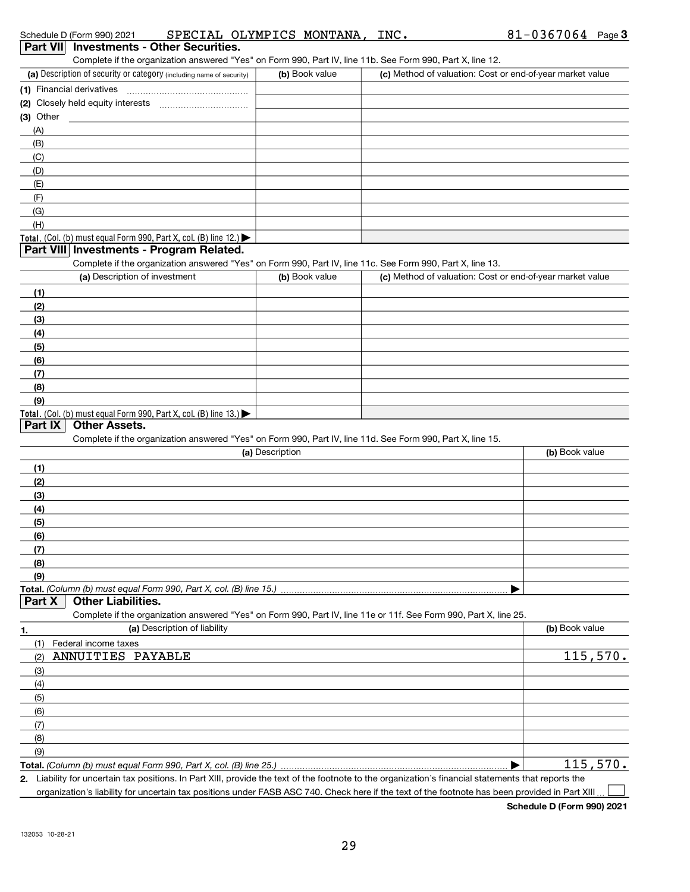| (a) Description of security or category (including name of security)                                                                                    | (b) Book value  | (c) Method of valuation: Cost or end-of-year market value |                            |
|---------------------------------------------------------------------------------------------------------------------------------------------------------|-----------------|-----------------------------------------------------------|----------------------------|
| (1) Financial derivatives                                                                                                                               |                 |                                                           |                            |
|                                                                                                                                                         |                 |                                                           |                            |
| $(3)$ Other                                                                                                                                             |                 |                                                           |                            |
| (A)                                                                                                                                                     |                 |                                                           |                            |
| (B)                                                                                                                                                     |                 |                                                           |                            |
| (C)                                                                                                                                                     |                 |                                                           |                            |
| (D)                                                                                                                                                     |                 |                                                           |                            |
| (E)                                                                                                                                                     |                 |                                                           |                            |
| (F)                                                                                                                                                     |                 |                                                           |                            |
| (G)                                                                                                                                                     |                 |                                                           |                            |
| (H)                                                                                                                                                     |                 |                                                           |                            |
| Total. (Col. (b) must equal Form 990, Part X, col. (B) line $12$ .)                                                                                     |                 |                                                           |                            |
| Part VIII Investments - Program Related.                                                                                                                |                 |                                                           |                            |
| Complete if the organization answered "Yes" on Form 990, Part IV, line 11c. See Form 990, Part X, line 13.                                              |                 |                                                           |                            |
| (a) Description of investment                                                                                                                           | (b) Book value  | (c) Method of valuation: Cost or end-of-year market value |                            |
| (1)                                                                                                                                                     |                 |                                                           |                            |
| (2)                                                                                                                                                     |                 |                                                           |                            |
| (3)                                                                                                                                                     |                 |                                                           |                            |
| (4)                                                                                                                                                     |                 |                                                           |                            |
| (5)                                                                                                                                                     |                 |                                                           |                            |
| (6)                                                                                                                                                     |                 |                                                           |                            |
| (7)                                                                                                                                                     |                 |                                                           |                            |
| (8)                                                                                                                                                     |                 |                                                           |                            |
| (9)                                                                                                                                                     |                 |                                                           |                            |
| Total. (Col. (b) must equal Form 990, Part X, col. (B) line 13.)                                                                                        |                 |                                                           |                            |
| Part IX<br><b>Other Assets.</b>                                                                                                                         |                 |                                                           |                            |
| Complete if the organization answered "Yes" on Form 990, Part IV, line 11d. See Form 990, Part X, line 15.                                              |                 |                                                           |                            |
|                                                                                                                                                         | (a) Description |                                                           | (b) Book value             |
| (1)                                                                                                                                                     |                 |                                                           |                            |
| (2)                                                                                                                                                     |                 |                                                           |                            |
| (3)                                                                                                                                                     |                 |                                                           |                            |
| (4)                                                                                                                                                     |                 |                                                           |                            |
| (5)                                                                                                                                                     |                 |                                                           |                            |
| (6)                                                                                                                                                     |                 |                                                           |                            |
| (7)                                                                                                                                                     |                 |                                                           |                            |
| (8)                                                                                                                                                     |                 |                                                           |                            |
| (9)                                                                                                                                                     |                 |                                                           |                            |
|                                                                                                                                                         |                 |                                                           |                            |
| <b>Other Liabilities.</b><br>Part X                                                                                                                     |                 |                                                           |                            |
| Complete if the organization answered "Yes" on Form 990, Part IV, line 11e or 11f. See Form 990, Part X, line 25.                                       |                 |                                                           |                            |
| (a) Description of liability<br>1.                                                                                                                      |                 |                                                           | (b) Book value             |
| Federal income taxes<br>(1)                                                                                                                             |                 |                                                           |                            |
| ANNUITIES PAYABLE<br>(2)                                                                                                                                |                 |                                                           | <u>115,570.</u>            |
| (3)                                                                                                                                                     |                 |                                                           |                            |
| (4)                                                                                                                                                     |                 |                                                           |                            |
| (5)                                                                                                                                                     |                 |                                                           |                            |
| (6)                                                                                                                                                     |                 |                                                           |                            |
| (7)                                                                                                                                                     |                 |                                                           |                            |
| (8)                                                                                                                                                     |                 |                                                           |                            |
| (9)                                                                                                                                                     |                 |                                                           |                            |
|                                                                                                                                                         |                 |                                                           | 115,570.                   |
| Liability for uncertain tax positions. In Part XIII, provide the text of the footnote to the organization's financial statements that reports the<br>2. |                 |                                                           |                            |
| organization's liability for uncertain tax positions under FASB ASC 740. Check here if the text of the footnote has been provided in Part XIII          |                 |                                                           |                            |
|                                                                                                                                                         |                 |                                                           | Schedule D (Form 990) 2021 |

Complete if the organization answered "Yes" on Form 990, Part IV, line 11b. See Form 990, Part X, line 12.

Schedule D (Form 990) 2021 SPECIAL OI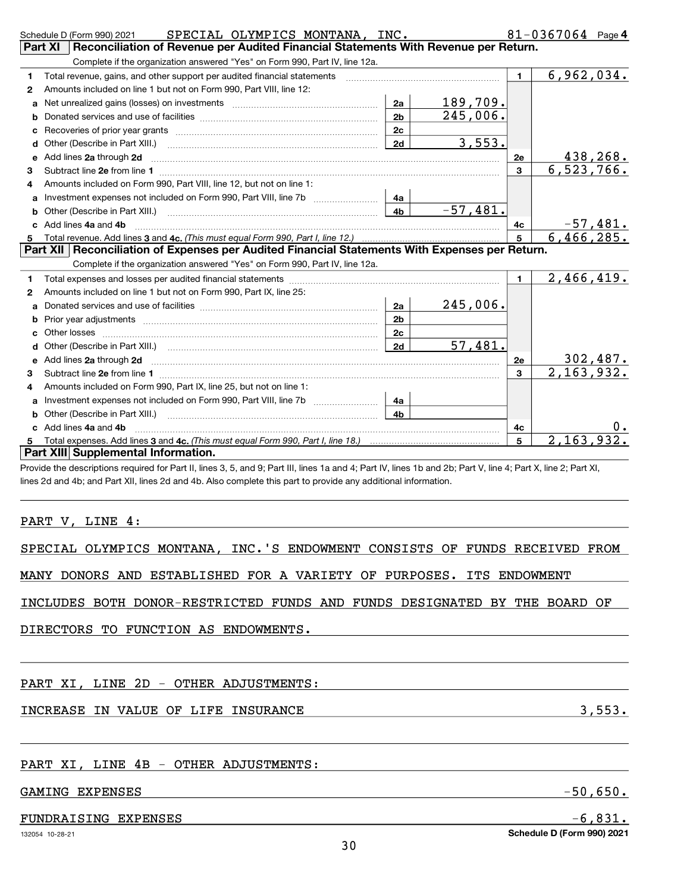|    |                                                                            |                |          | $\mathbf{1}$ | 2,466,419.      |
|----|----------------------------------------------------------------------------|----------------|----------|--------------|-----------------|
| 1. |                                                                            |                |          |              |                 |
| 2  | Amounts included on line 1 but not on Form 990, Part IX, line 25:          |                |          |              |                 |
| a  |                                                                            | 2a             | 245,006. |              |                 |
| b  | Prior year adjustments <i>www.www.www.www.www.www.www.www.www.</i> ww.     | 2 <sub>b</sub> |          |              |                 |
| C  |                                                                            | 2с             |          |              |                 |
| d  |                                                                            | 2d             | 57,481.  |              |                 |
| е  |                                                                            |                |          | 2e           | <u>302,487.</u> |
| 3  |                                                                            |                |          | 3            | 2, 163, 932.    |
| 4  | Amounts included on Form 990, Part IX, line 25, but not on line 1:         |                |          |              |                 |
| a  | Investment expenses not included on Form 990, Part VIII, line 7b           | - 4a           |          |              |                 |
| b  |                                                                            | 4 <sub>b</sub> |          |              |                 |
|    | c Add lines 4a and 4b                                                      |                |          | 4c           |                 |
| 5  |                                                                            |                |          | 5            | 2,163,932.      |
|    | Part XIII Supplemental Information.                                        |                |          |              |                 |
|    | PART V, LINE 4:                                                            |                |          |              |                 |
|    | SPECIAL OLYMPICS MONTANA, INC.'S ENDOWMENT CONSISTS OF FUNDS RECEIVED FROM |                |          |              |                 |
|    | MANY DONORS AND ESTABLISHED FOR A VARIETY OF PURPOSES. ITS ENDOWMENT       |                |          |              |                 |
|    | INCLUDES BOTH DONOR-RESTRICTED FUNDS AND FUNDS DESIGNATED BY THE BOARD OF  |                |          |              |                 |
|    | DIRECTORS TO FUNCTION AS ENDOWMENTS.                                       |                |          |              |                 |
|    |                                                                            |                |          |              |                 |

| adula D (Earm 000) 2021 | SPECIAL OLVMPICS MONTANA |  |
|-------------------------|--------------------------|--|

a Net unrealized gains (losses) on investments ~~~~~~~~~~~~~~~~~~ b Donated services and use of facilities ~~~~~~~~~~~~~~~~~~~~~~ c Recoveries of prior year grants ~~~~~~~~~~~~~~~~~~~~~~~~~ d Other (Describe in Part XIII.) ~~~~~~~~~~~~~~~~~~~~~~~~~~

Amounts included on line 1 but not on Form 990, Part VIII, line 12:

Amounts included on Form 990, Part VIII, line 12, but not on line 1:

a Investment expenses not included on Form 990, Part VIII, line 7b ~~~~~~~~ b Other (Describe in Part XIII.) ~~~~~~~~~~~~~~~~~~~~~~~~~~

Total revenue. Add lines 3 and 4c. (This must equal Form 990, Part I, line 12.)

Complete if the organization answered "Yes" on Form 990, Part IV, line 12a.

Schedule D (Form 990) 2021 SPECIAL OLYMPICS MONTANA, INC.  $81-0367064$  Page Complete if the organization answered "Yes" on Form 990, Part IV, line 12a. Part XI Reconciliation of Revenue per Audited Financial Statements With Revenue per Return.

> $2a$ 2b 2c 2d

4a 4b

e 2a 2d 2e Add lines through ~~~~~~~~~~~~~~~~~~~~~~~~~~~~~~~~~~~~~~~~~~~

Total revenue, gains, and other support per audited financial statements [100011111111111111111111111111111111

c 4a 4b Add lines and ~~~~~~~~~~~~~~~~~~~~~~~~~~~~~~~~~~~~~~~~~~~~~

Subtract line  $2$ e from line  $1$   $\ldots$   $\ldots$   $\ldots$   $\ldots$   $\ldots$   $\ldots$   $\ldots$   $\ldots$   $\ldots$   $\ldots$   $\ldots$   $\ldots$   $\ldots$   $\ldots$   $\ldots$   $\ldots$   $\ldots$   $\ldots$   $\ldots$   $\ldots$   $\ldots$   $\ldots$   $\ldots$ 

Part XII Reconciliation of Expenses per Audited Financial Statements With Expenses per Return.

# INCREASE IN VALUE OF LIFE INSURANCE **3,553.**

## PART XI, LINE 4B - OTHER ADJUSTMENTS:

#### GAMING EXPENSES -50, 2008 -50, 2009 - 50, 2009 - 50, 2009 - 50, 2009 - 50, 2009 - 50, 2009 - 50, 2009 - 50, 20

## FUNDRAISING EXPENSES  $-6,831$ .

1  $\overline{2}$ 

3 4

5

Schedule D (Form 990) 2021

6,962,034.

438,268. 6,523,766.

-57,481. 6,466,285.

1

189,709. 245,006.

3,553.

-57,481.

4c 5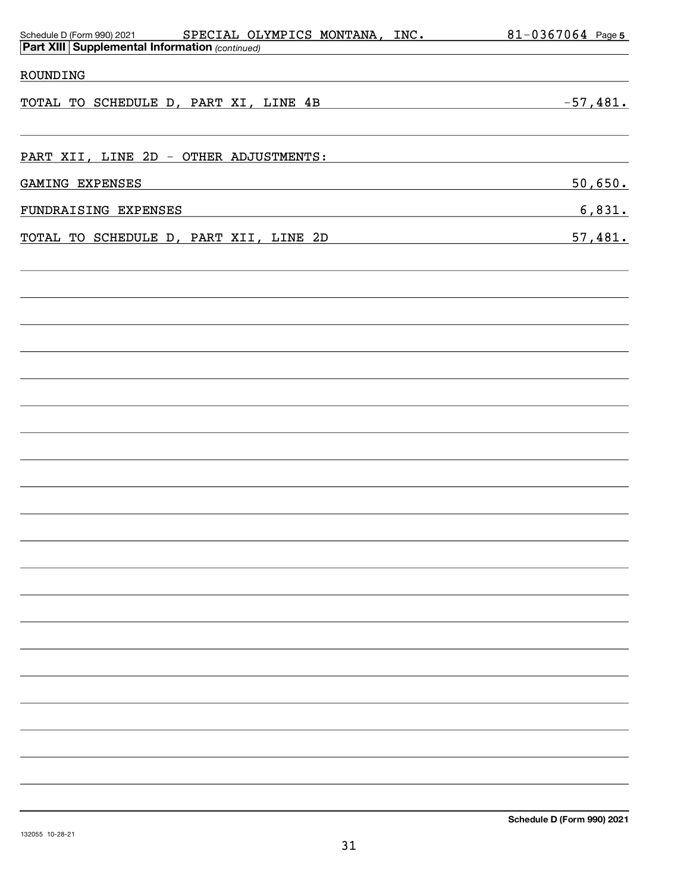| Schedule D (Form 990) 2021 SPECIAL OLYMPICS MONTANA, INC. 81-0367064 Page 5<br><b>Part XIII Supplemental Information (continued)</b>         |            |
|----------------------------------------------------------------------------------------------------------------------------------------------|------------|
| ROUNDING<br><u> 1989 - Jan Sterlinger, skriuwer fan it ferstjer fan it ferstjer fan it ferstjer fan it ferstjer fan it fers</u>              |            |
| TOTAL TO SCHEDULE D, PART XI, LINE 4B                                                                                                        | $-57,481.$ |
| PART XII, LINE 2D - OTHER ADJUSTMENTS:                                                                                                       |            |
| GAMING EXPENSES<br><u> 1989 - Johann Stoff, deutscher Stoff, der Stoff, der Stoff, der Stoff, der Stoff, der Stoff, der Stoff, der S</u>     | 50,650.    |
| FUNDRAISING EXPENSES<br><u> 1989 - Johann Stein, mars an deutscher Stein und der Stein und der Stein und der Stein und der Stein und der</u> | 6,831.     |
| TOTAL TO SCHEDULE D, PART XII, LINE 2D                                                                                                       | 57,481.    |
|                                                                                                                                              |            |
|                                                                                                                                              |            |
|                                                                                                                                              |            |
|                                                                                                                                              |            |
|                                                                                                                                              |            |
|                                                                                                                                              |            |
|                                                                                                                                              |            |
|                                                                                                                                              |            |
|                                                                                                                                              |            |
|                                                                                                                                              |            |
|                                                                                                                                              |            |
|                                                                                                                                              |            |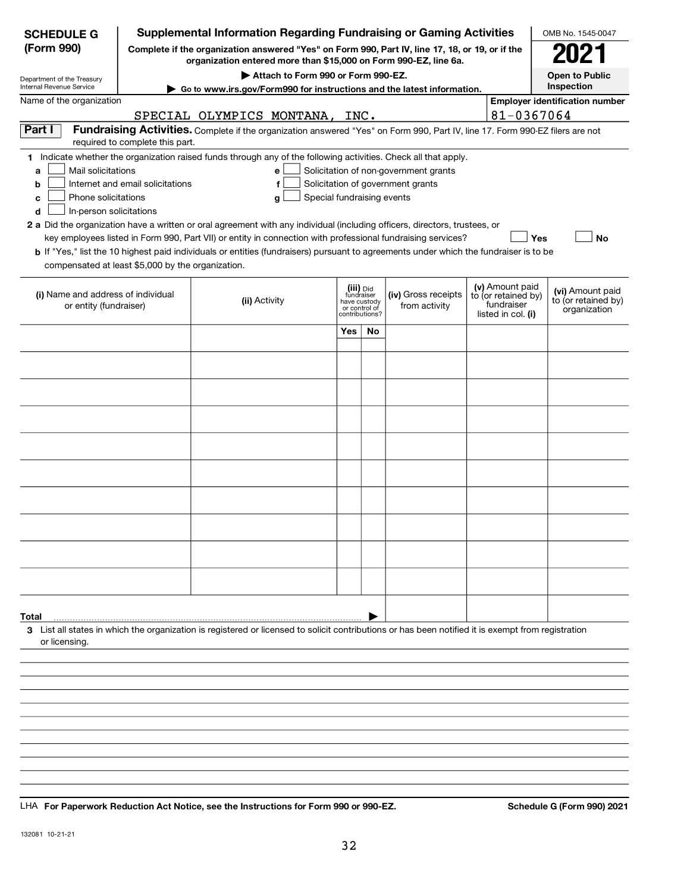| <b>SCHEDULE G</b>                                                                        |                                  | <b>Supplemental Information Regarding Fundraising or Gaming Activities</b>                                                                                                                                                                           |                                                           |               |                                                                            |                                                                            | OMB No. 1545-0047                                       |
|------------------------------------------------------------------------------------------|----------------------------------|------------------------------------------------------------------------------------------------------------------------------------------------------------------------------------------------------------------------------------------------------|-----------------------------------------------------------|---------------|----------------------------------------------------------------------------|----------------------------------------------------------------------------|---------------------------------------------------------|
| (Form 990)                                                                               |                                  | Complete if the organization answered "Yes" on Form 990, Part IV, line 17, 18, or 19, or if the<br>organization entered more than \$15,000 on Form 990-EZ, line 6a.                                                                                  |                                                           |               |                                                                            |                                                                            | 2021                                                    |
| Department of the Treasury                                                               |                                  | <b>Open to Public</b>                                                                                                                                                                                                                                |                                                           |               |                                                                            |                                                                            |                                                         |
| Internal Revenue Service<br>Name of the organization                                     |                                  | Go to www.irs.gov/Form990 for instructions and the latest information.                                                                                                                                                                               |                                                           |               |                                                                            |                                                                            | Inspection<br><b>Employer identification number</b>     |
|                                                                                          |                                  | <u>SPECIAL OLYMPICS MONTANA,</u>                                                                                                                                                                                                                     | INC.                                                      |               |                                                                            | 81-0367064                                                                 |                                                         |
| Part I                                                                                   |                                  | Fundraising Activities. Complete if the organization answered "Yes" on Form 990, Part IV, line 17. Form 990-EZ filers are not                                                                                                                        |                                                           |               |                                                                            |                                                                            |                                                         |
|                                                                                          | required to complete this part.  |                                                                                                                                                                                                                                                      |                                                           |               |                                                                            |                                                                            |                                                         |
| Mail solicitations<br>a<br>b<br>Phone solicitations<br>c<br>In-person solicitations<br>d | Internet and email solicitations | 1 Indicate whether the organization raised funds through any of the following activities. Check all that apply.<br>e<br>f<br>Special fundraising events<br>g                                                                                         |                                                           |               | Solicitation of non-government grants<br>Solicitation of government grants |                                                                            |                                                         |
|                                                                                          |                                  | 2 a Did the organization have a written or oral agreement with any individual (including officers, directors, trustees, or                                                                                                                           |                                                           |               |                                                                            |                                                                            |                                                         |
|                                                                                          |                                  | key employees listed in Form 990, Part VII) or entity in connection with professional fundraising services?<br>b If "Yes," list the 10 highest paid individuals or entities (fundraisers) pursuant to agreements under which the fundraiser is to be |                                                           |               |                                                                            |                                                                            | <b>Yes</b><br><b>No</b>                                 |
| compensated at least \$5,000 by the organization.                                        |                                  |                                                                                                                                                                                                                                                      |                                                           |               |                                                                            |                                                                            |                                                         |
| (i) Name and address of individual<br>or entity (fundraiser)                             |                                  | (ii) Activity                                                                                                                                                                                                                                        | (iii) Did<br>fundraiser<br>have custody<br>contributions? | or control of | (iv) Gross receipts<br>from activity                                       | (v) Amount paid<br>to (or retained by)<br>fundraiser<br>listed in col. (i) | (vi) Amount paid<br>to (or retained by)<br>organization |
|                                                                                          |                                  |                                                                                                                                                                                                                                                      | <b>Yes</b>                                                | No            |                                                                            |                                                                            |                                                         |
|                                                                                          |                                  |                                                                                                                                                                                                                                                      |                                                           |               |                                                                            |                                                                            |                                                         |
|                                                                                          |                                  |                                                                                                                                                                                                                                                      |                                                           |               |                                                                            |                                                                            |                                                         |
|                                                                                          |                                  |                                                                                                                                                                                                                                                      |                                                           |               |                                                                            |                                                                            |                                                         |
|                                                                                          |                                  |                                                                                                                                                                                                                                                      |                                                           |               |                                                                            |                                                                            |                                                         |
|                                                                                          |                                  |                                                                                                                                                                                                                                                      |                                                           |               |                                                                            |                                                                            |                                                         |
|                                                                                          |                                  |                                                                                                                                                                                                                                                      |                                                           |               |                                                                            |                                                                            |                                                         |
|                                                                                          |                                  |                                                                                                                                                                                                                                                      |                                                           |               |                                                                            |                                                                            |                                                         |
|                                                                                          |                                  |                                                                                                                                                                                                                                                      |                                                           |               |                                                                            |                                                                            |                                                         |
|                                                                                          |                                  |                                                                                                                                                                                                                                                      |                                                           |               |                                                                            |                                                                            |                                                         |
| Total                                                                                    |                                  |                                                                                                                                                                                                                                                      |                                                           |               |                                                                            |                                                                            |                                                         |
| or licensing.                                                                            |                                  | 3 List all states in which the organization is registered or licensed to solicit contributions or has been notified it is exempt from registration                                                                                                   |                                                           |               |                                                                            |                                                                            |                                                         |
|                                                                                          |                                  |                                                                                                                                                                                                                                                      |                                                           |               |                                                                            |                                                                            |                                                         |
|                                                                                          |                                  |                                                                                                                                                                                                                                                      |                                                           |               |                                                                            |                                                                            |                                                         |
|                                                                                          |                                  |                                                                                                                                                                                                                                                      |                                                           |               |                                                                            |                                                                            |                                                         |
|                                                                                          |                                  |                                                                                                                                                                                                                                                      |                                                           |               |                                                                            |                                                                            |                                                         |
|                                                                                          |                                  |                                                                                                                                                                                                                                                      |                                                           |               |                                                                            |                                                                            |                                                         |
|                                                                                          |                                  |                                                                                                                                                                                                                                                      |                                                           |               |                                                                            |                                                                            |                                                         |
|                                                                                          |                                  |                                                                                                                                                                                                                                                      |                                                           |               |                                                                            |                                                                            |                                                         |
|                                                                                          |                                  |                                                                                                                                                                                                                                                      |                                                           |               |                                                                            |                                                                            |                                                         |

LHA For Paperwork Reduction Act Notice, see the Instructions for Form 990 or 990-EZ. Schedule G (Form 990) 2021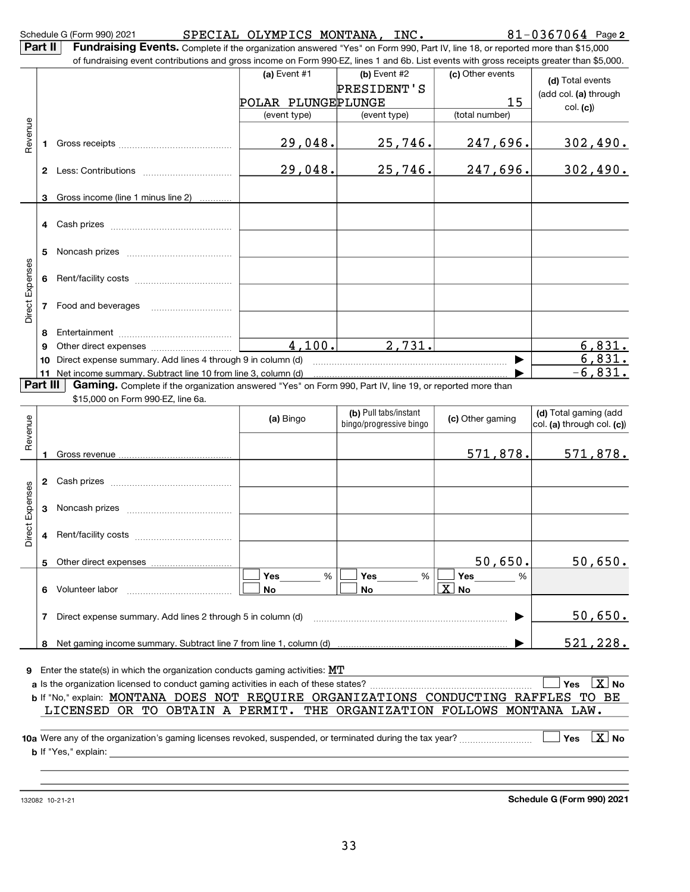|                           |    | Schedule G (Form 990) 2021                                                                                                                                                                                                                                                 | SPECIAL OLYMPICS MONTANA, INC. |                                                                                                                 |                           | $81 - 0367064$ Page 2                                  |
|---------------------------|----|----------------------------------------------------------------------------------------------------------------------------------------------------------------------------------------------------------------------------------------------------------------------------|--------------------------------|-----------------------------------------------------------------------------------------------------------------|---------------------------|--------------------------------------------------------|
| Part II                   |    | Fundraising Events. Complete if the organization answered "Yes" on Form 990, Part IV, line 18, or reported more than \$15,000<br>of fundraising event contributions and gross income on Form 990-EZ, lines 1 and 6b. List events with gross receipts greater than \$5,000. |                                |                                                                                                                 |                           |                                                        |
|                           |    |                                                                                                                                                                                                                                                                            | (a) Event $#1$                 | (b) Event #2                                                                                                    | (c) Other events          | (d) Total events                                       |
|                           |    |                                                                                                                                                                                                                                                                            |                                | PRESIDENT'S                                                                                                     |                           | (add col. (a) through                                  |
|                           |    |                                                                                                                                                                                                                                                                            | POLAR PLUNGEPLUNGE             |                                                                                                                 | 15                        | col. (c)                                               |
|                           |    |                                                                                                                                                                                                                                                                            | (event type)                   | (event type)                                                                                                    | (total number)            |                                                        |
| Revenue                   | 1. |                                                                                                                                                                                                                                                                            | 29,048.                        | 25,746.                                                                                                         | 247,696.                  | 302,490.                                               |
|                           |    |                                                                                                                                                                                                                                                                            | 29,048.                        | <u>25,746.</u>                                                                                                  | 247,696.                  | <u>302,490.</u>                                        |
|                           | 3  | Gross income (line 1 minus line 2)                                                                                                                                                                                                                                         |                                |                                                                                                                 |                           |                                                        |
|                           |    |                                                                                                                                                                                                                                                                            |                                |                                                                                                                 |                           |                                                        |
|                           | 4  |                                                                                                                                                                                                                                                                            |                                |                                                                                                                 |                           |                                                        |
|                           | 5  |                                                                                                                                                                                                                                                                            |                                |                                                                                                                 |                           |                                                        |
| Direct Expenses           | 6  |                                                                                                                                                                                                                                                                            |                                |                                                                                                                 |                           |                                                        |
|                           | 7  |                                                                                                                                                                                                                                                                            |                                |                                                                                                                 |                           |                                                        |
|                           | 8  |                                                                                                                                                                                                                                                                            |                                |                                                                                                                 |                           |                                                        |
|                           | 9  |                                                                                                                                                                                                                                                                            | 4, 100.                        | 2,731.                                                                                                          |                           | 6,831.                                                 |
|                           | 10 | Direct expense summary. Add lines 4 through 9 in column (d)                                                                                                                                                                                                                |                                |                                                                                                                 |                           | 6,831.                                                 |
|                           |    | 11 Net income summary. Subtract line 10 from line 3, column (d)                                                                                                                                                                                                            |                                |                                                                                                                 |                           | $-6,831.$                                              |
| Part III                  |    | Gaming. Complete if the organization answered "Yes" on Form 990, Part IV, line 19, or reported more than<br>\$15,000 on Form 990-EZ, line 6a.                                                                                                                              |                                |                                                                                                                 |                           |                                                        |
| Revenue                   |    |                                                                                                                                                                                                                                                                            | (a) Bingo                      | (b) Pull tabs/instant<br>bingo/progressive bingo                                                                | (c) Other gaming          | (d) Total gaming (add<br>$ col.$ (a) through col. (c)) |
|                           | 1. |                                                                                                                                                                                                                                                                            |                                |                                                                                                                 | 571,878.                  | 571,878.                                               |
|                           |    |                                                                                                                                                                                                                                                                            |                                |                                                                                                                 |                           |                                                        |
| Expenses                  | 3  |                                                                                                                                                                                                                                                                            |                                |                                                                                                                 |                           |                                                        |
| $\ddot{\circ}$<br>e<br>Öi | 4  |                                                                                                                                                                                                                                                                            |                                |                                                                                                                 |                           |                                                        |
|                           | 5  |                                                                                                                                                                                                                                                                            |                                |                                                                                                                 | 50,650.                   | 50,650.                                                |
|                           |    |                                                                                                                                                                                                                                                                            | Yes<br>%                       | Yes<br>%                                                                                                        | <b>Yes</b><br>%           |                                                        |
|                           | 6  | Volunteer labor                                                                                                                                                                                                                                                            | No                             | No                                                                                                              | $\lfloor x \rfloor$<br>No |                                                        |
|                           | 7  | Direct expense summary. Add lines 2 through 5 in column (d)                                                                                                                                                                                                                |                                | the contract of the contract of the contract of the contract of the contract of the contract of the contract of |                           | <u>50,650.</u>                                         |
|                           | 8  |                                                                                                                                                                                                                                                                            |                                |                                                                                                                 |                           | <u>521,228.</u>                                        |
|                           |    |                                                                                                                                                                                                                                                                            |                                |                                                                                                                 |                           |                                                        |
| 9.                        |    | Enter the state(s) in which the organization conducts gaming activities: $MT$                                                                                                                                                                                              |                                |                                                                                                                 |                           |                                                        |
|                           |    |                                                                                                                                                                                                                                                                            |                                |                                                                                                                 |                           | $\boxed{\mathbf{X}}$ No<br>Yes                         |
|                           |    | b If "No," explain: MONTANA DOES NOT REQUIRE ORGANIZATIONS CONDUCTING RAFFLES TO BE<br>LICENSED OR TO OBTAIN A PERMIT. THE ORGANIZATION FOLLOWS MONTANA LAW.                                                                                                               |                                |                                                                                                                 |                           |                                                        |
|                           |    |                                                                                                                                                                                                                                                                            |                                |                                                                                                                 |                           |                                                        |
|                           |    | <b>b</b> If "Yes," explain:                                                                                                                                                                                                                                                |                                |                                                                                                                 |                           | $\lfloor x \rfloor$ No<br>Yes                          |
|                           |    |                                                                                                                                                                                                                                                                            |                                |                                                                                                                 |                           |                                                        |

Schedule G (Form 990) 2021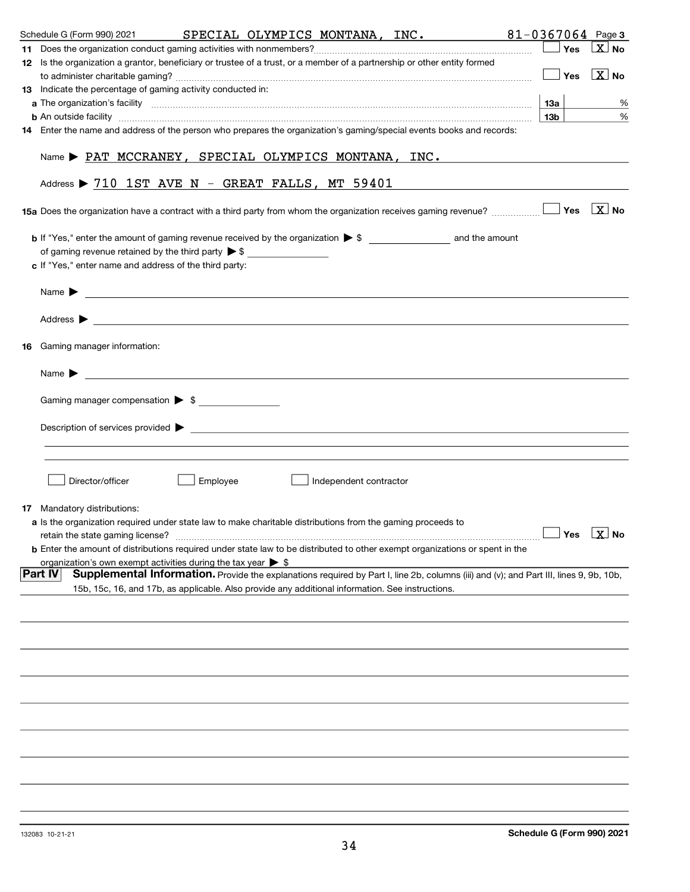| Schedule G (Form 990) 2021         |                                                                                                                                     | SPECIAL OLYMPICS MONTANA, INC. |                        |                                                                                                                                                                                                                                                | $81 - 0367064$ Page 3       |                         |
|------------------------------------|-------------------------------------------------------------------------------------------------------------------------------------|--------------------------------|------------------------|------------------------------------------------------------------------------------------------------------------------------------------------------------------------------------------------------------------------------------------------|-----------------------------|-------------------------|
|                                    |                                                                                                                                     |                                |                        |                                                                                                                                                                                                                                                | Yes                         | $ X $ No                |
|                                    | 12 Is the organization a grantor, beneficiary or trustee of a trust, or a member of a partnership or other entity formed            |                                |                        |                                                                                                                                                                                                                                                |                             |                         |
|                                    |                                                                                                                                     |                                |                        |                                                                                                                                                                                                                                                | $\sqrt{}$ Yes $\sqrt{X}$ No |                         |
|                                    | 13 Indicate the percentage of gaming activity conducted in:                                                                         |                                |                        |                                                                                                                                                                                                                                                |                             |                         |
|                                    |                                                                                                                                     |                                |                        |                                                                                                                                                                                                                                                |                             | %                       |
|                                    |                                                                                                                                     |                                |                        | <b>b</b> An outside facility <i>[[[[[[[[[[[[[[[]]]</i> ] An outside facility <i>[[[[[[[[[[[[[[[]]]]]</i> and an anti-manufacture of the state of the state of the state of the state of the state of the state of the state of the state of th | 13b                         | $\%$                    |
|                                    | 14 Enter the name and address of the person who prepares the organization's gaming/special events books and records:                |                                |                        |                                                                                                                                                                                                                                                |                             |                         |
|                                    | Name $\blacktriangleright$ PAT MCCRANEY, SPECIAL OLYMPICS MONTANA, INC.                                                             |                                |                        |                                                                                                                                                                                                                                                |                             |                         |
|                                    | Address $\triangleright$ 710 1ST AVE N - GREAT FALLS, MT 59401                                                                      |                                |                        |                                                                                                                                                                                                                                                |                             |                         |
|                                    |                                                                                                                                     |                                |                        | <b>15a</b> Does the organization have a contract with a third party from whom the organization receives gaming revenue? <b>COMAT THEOT ASSEM</b> No                                                                                            |                             |                         |
|                                    |                                                                                                                                     |                                |                        |                                                                                                                                                                                                                                                |                             |                         |
|                                    | of gaming revenue retained by the third party $\triangleright$ \$                                                                   |                                |                        |                                                                                                                                                                                                                                                |                             |                         |
|                                    | c If "Yes," enter name and address of the third party:                                                                              |                                |                        |                                                                                                                                                                                                                                                |                             |                         |
|                                    |                                                                                                                                     |                                |                        |                                                                                                                                                                                                                                                |                             |                         |
|                                    | Name $\blacktriangleright$                                                                                                          |                                |                        |                                                                                                                                                                                                                                                |                             |                         |
|                                    |                                                                                                                                     |                                |                        |                                                                                                                                                                                                                                                |                             |                         |
| 16 Gaming manager information:     |                                                                                                                                     |                                |                        |                                                                                                                                                                                                                                                |                             |                         |
| Name $\blacktriangleright$         | <u> 1989 - Johann Barbara, martin amerikan basal dan berasal dan berasal dalam basal dan berasal dan berasal dan</u>                |                                |                        |                                                                                                                                                                                                                                                |                             |                         |
|                                    | Gaming manager compensation > \$                                                                                                    |                                |                        |                                                                                                                                                                                                                                                |                             |                         |
|                                    |                                                                                                                                     |                                |                        |                                                                                                                                                                                                                                                |                             |                         |
|                                    |                                                                                                                                     |                                |                        | Description of services provided states and the service of the service of the services provided states are serviced to the service of the services provided states are services of the services of the services of the service                 |                             |                         |
|                                    |                                                                                                                                     |                                |                        |                                                                                                                                                                                                                                                |                             |                         |
|                                    |                                                                                                                                     |                                |                        |                                                                                                                                                                                                                                                |                             |                         |
|                                    | Director/officer                                                                                                                    | Employee                       | Independent contractor |                                                                                                                                                                                                                                                |                             |                         |
| <b>17</b> Mandatory distributions: |                                                                                                                                     |                                |                        |                                                                                                                                                                                                                                                |                             |                         |
|                                    | a Is the organization required under state law to make charitable distributions from the gaming proceeds to                         |                                |                        |                                                                                                                                                                                                                                                |                             |                         |
|                                    | retain the state gaming license?                                                                                                    |                                |                        |                                                                                                                                                                                                                                                | $\Box$ Yes                  | $\boxed{\mathbf{X}}$ No |
|                                    | <b>b</b> Enter the amount of distributions required under state law to be distributed to other exempt organizations or spent in the |                                |                        |                                                                                                                                                                                                                                                |                             |                         |
|                                    | organization's own exempt activities during the tax year $\triangleright$ \$                                                        |                                |                        |                                                                                                                                                                                                                                                |                             |                         |
| Part IV                            |                                                                                                                                     |                                |                        | Supplemental Information. Provide the explanations required by Part I, line 2b, columns (iii) and (v); and Part III, lines 9, 9b, 10b,                                                                                                         |                             |                         |
|                                    | 15b, 15c, 16, and 17b, as applicable. Also provide any additional information. See instructions.                                    |                                |                        |                                                                                                                                                                                                                                                |                             |                         |
|                                    |                                                                                                                                     |                                |                        |                                                                                                                                                                                                                                                |                             |                         |
|                                    |                                                                                                                                     |                                |                        |                                                                                                                                                                                                                                                |                             |                         |
|                                    |                                                                                                                                     |                                |                        |                                                                                                                                                                                                                                                |                             |                         |
|                                    |                                                                                                                                     |                                |                        |                                                                                                                                                                                                                                                |                             |                         |
|                                    |                                                                                                                                     |                                |                        |                                                                                                                                                                                                                                                |                             |                         |
|                                    |                                                                                                                                     |                                |                        |                                                                                                                                                                                                                                                |                             |                         |
|                                    |                                                                                                                                     |                                |                        |                                                                                                                                                                                                                                                |                             |                         |
|                                    |                                                                                                                                     |                                |                        |                                                                                                                                                                                                                                                |                             |                         |
|                                    |                                                                                                                                     |                                |                        |                                                                                                                                                                                                                                                |                             |                         |
|                                    |                                                                                                                                     |                                |                        |                                                                                                                                                                                                                                                |                             |                         |
|                                    |                                                                                                                                     |                                |                        |                                                                                                                                                                                                                                                |                             |                         |
|                                    |                                                                                                                                     |                                |                        |                                                                                                                                                                                                                                                |                             |                         |
|                                    |                                                                                                                                     |                                |                        |                                                                                                                                                                                                                                                |                             |                         |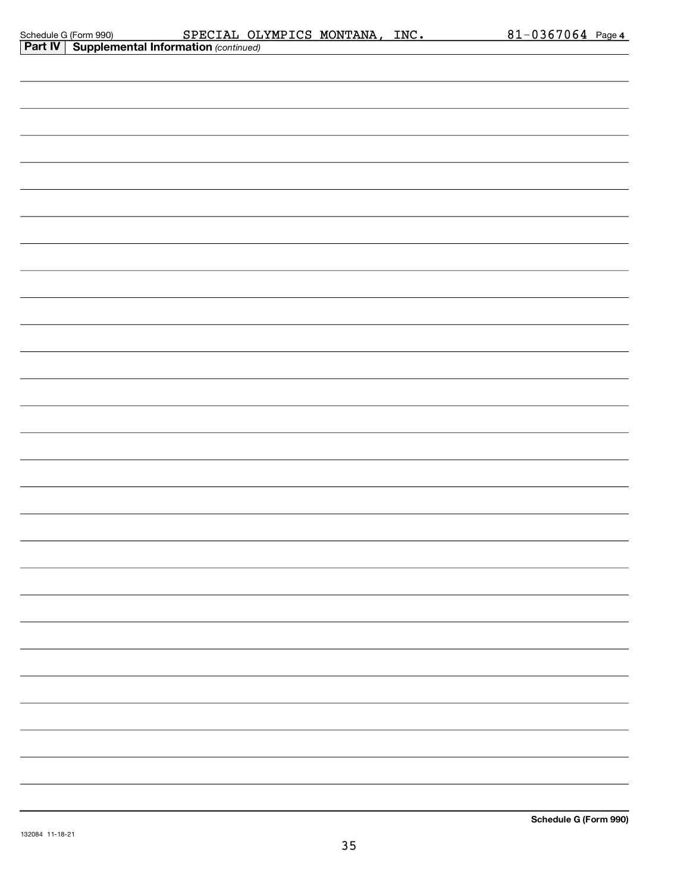| Schedule G (Form 990) |  |
|-----------------------|--|
| $R = 1.1$             |  |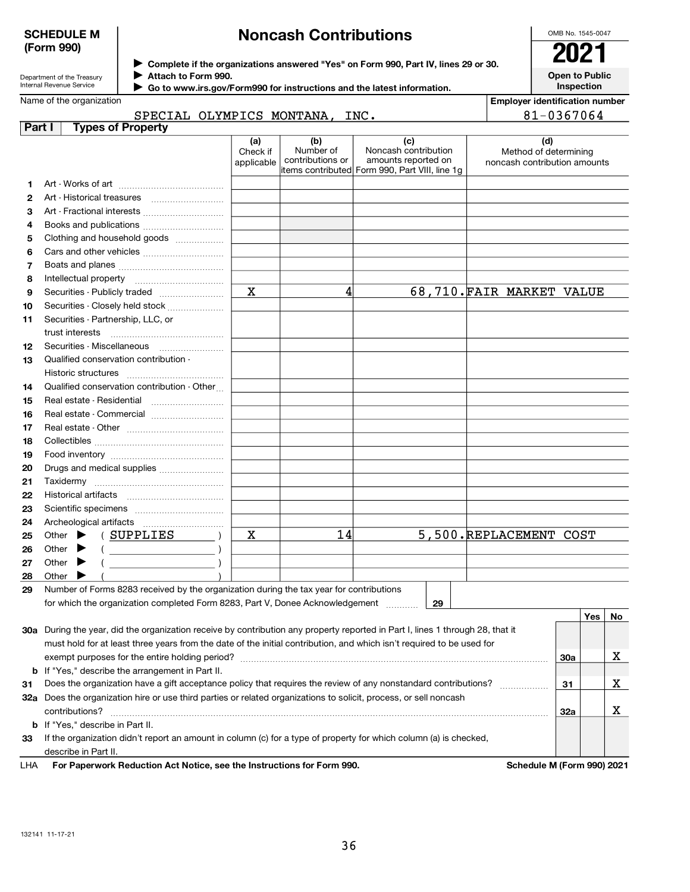Department of the Treasury Internal Revenue Service

# Noncash Contributions

| OMB No 1545-0047             |
|------------------------------|
| 02                           |
| Open to Public<br>Inspection |

Employer identification number

Name of the organization

Complete if the organizations answered "Yes" on Form 990, Part IV, lines 29 or 30.

Attach to Form 990.

▶ Go to www.irs.gov/Form990 for instructions and the latest information.

#### **Part I** Types of Property SPECIAL OLYMPICS MONTANA, INC. 81-0367064

|                |                                                                                                                                | (a)<br>Check if<br>applicable | (b)<br>Number of<br>contributions or | (c)<br>Noncash contribution<br>amounts reported on<br>items contributed Form 990, Part VIII, line 1g | (d)<br>Method of determining<br>noncash contribution amounts |     |            |    |
|----------------|--------------------------------------------------------------------------------------------------------------------------------|-------------------------------|--------------------------------------|------------------------------------------------------------------------------------------------------|--------------------------------------------------------------|-----|------------|----|
| 1.             |                                                                                                                                |                               |                                      |                                                                                                      |                                                              |     |            |    |
| $\mathbf{2}$   | Art - Historical treasures                                                                                                     |                               |                                      |                                                                                                      |                                                              |     |            |    |
| З              | Art - Fractional interests                                                                                                     |                               |                                      |                                                                                                      |                                                              |     |            |    |
| 4              |                                                                                                                                |                               |                                      |                                                                                                      |                                                              |     |            |    |
| 5              | Clothing and household goods                                                                                                   |                               |                                      |                                                                                                      |                                                              |     |            |    |
| 6              |                                                                                                                                |                               |                                      |                                                                                                      |                                                              |     |            |    |
| $\overline{7}$ |                                                                                                                                |                               |                                      |                                                                                                      |                                                              |     |            |    |
| 8              |                                                                                                                                |                               |                                      |                                                                                                      |                                                              |     |            |    |
| 9              |                                                                                                                                | $\mathbf X$                   | 4                                    |                                                                                                      | 68,710. FAIR MARKET VALUE                                    |     |            |    |
| 10             | Securities - Closely held stock                                                                                                |                               |                                      |                                                                                                      |                                                              |     |            |    |
| 11             | Securities - Partnership, LLC, or                                                                                              |                               |                                      |                                                                                                      |                                                              |     |            |    |
|                |                                                                                                                                |                               |                                      |                                                                                                      |                                                              |     |            |    |
| 12             | Securities - Miscellaneous                                                                                                     |                               |                                      |                                                                                                      |                                                              |     |            |    |
| 13             | Qualified conservation contribution -                                                                                          |                               |                                      |                                                                                                      |                                                              |     |            |    |
|                | Historic structures                                                                                                            |                               |                                      |                                                                                                      |                                                              |     |            |    |
| 14             | Qualified conservation contribution - Other                                                                                    |                               |                                      |                                                                                                      |                                                              |     |            |    |
| 15             | Real estate - Residential                                                                                                      |                               |                                      |                                                                                                      |                                                              |     |            |    |
| 16             | Real estate - Commercial                                                                                                       |                               |                                      |                                                                                                      |                                                              |     |            |    |
| 17             |                                                                                                                                |                               |                                      |                                                                                                      |                                                              |     |            |    |
| 18             |                                                                                                                                |                               |                                      |                                                                                                      |                                                              |     |            |    |
| 19             |                                                                                                                                |                               |                                      |                                                                                                      |                                                              |     |            |    |
| 20             | Drugs and medical supplies                                                                                                     |                               |                                      |                                                                                                      |                                                              |     |            |    |
| 21             |                                                                                                                                |                               |                                      |                                                                                                      |                                                              |     |            |    |
| 22             |                                                                                                                                |                               |                                      |                                                                                                      |                                                              |     |            |    |
| 23             |                                                                                                                                |                               |                                      |                                                                                                      |                                                              |     |            |    |
| 24             |                                                                                                                                |                               |                                      |                                                                                                      |                                                              |     |            |    |
| 25             | (SUPPLIES<br>Other $\blacktriangleright$                                                                                       | х                             | 14                                   |                                                                                                      | 5,500.REPLACEMENT COST                                       |     |            |    |
| 26             | $($ $)$<br>Other $\blacktriangleright$                                                                                         |                               |                                      |                                                                                                      |                                                              |     |            |    |
| 27             | Other $\blacktriangleright$                                                                                                    |                               |                                      |                                                                                                      |                                                              |     |            |    |
| 28             | Other $\blacktriangleright$                                                                                                    |                               |                                      |                                                                                                      |                                                              |     |            |    |
| 29             | Number of Forms 8283 received by the organization during the tax year for contributions                                        |                               |                                      |                                                                                                      |                                                              |     |            |    |
|                | for which the organization completed Form 8283, Part V, Donee Acknowledgement                                                  |                               |                                      | 29                                                                                                   |                                                              |     |            |    |
|                |                                                                                                                                |                               |                                      |                                                                                                      |                                                              |     | <b>Yes</b> | No |
|                | 30a During the year, did the organization receive by contribution any property reported in Part I, lines 1 through 28, that it |                               |                                      |                                                                                                      |                                                              |     |            |    |
|                | must hold for at least three years from the date of the initial contribution, and which isn't required to be used for          |                               |                                      |                                                                                                      |                                                              |     |            |    |
|                |                                                                                                                                |                               |                                      |                                                                                                      |                                                              | 30a |            | X  |
|                | <b>b</b> If "Yes," describe the arrangement in Part II.                                                                        |                               |                                      |                                                                                                      |                                                              |     |            |    |
| 31             | Does the organization have a gift acceptance policy that requires the review of any nonstandard contributions?                 |                               |                                      |                                                                                                      |                                                              | 31  |            | х  |

**31** Does the organization have a gift acceptance policy that requires the review of any nonstandard contributions?  $\ldots\ldots\ldots\ldots\ldots$ 32a Does the organization hire or use third parties or related organizations to solicit, process, or sell noncash 33 b If "Yes," describe in Part II.  $\text{contributions?}$   $\ldots$   $\ldots$   $\ldots$   $\ldots$   $\ldots$   $\ldots$   $\ldots$   $\ldots$   $\ldots$   $\ldots$   $\ldots$   $\ldots$   $\ldots$   $\ldots$   $\ldots$   $\ldots$   $\ldots$   $\ldots$   $\ldots$   $\ldots$   $\ldots$   $\ldots$   $\ldots$   $\ldots$   $\ldots$   $\ldots$   $\ldots$   $\ldots$   $\ldots$   $\ldots$   $\ldots$   $\ldots$   $\ldots$   $\ldots$   $\ldots$  If the organization didn't report an amount in column (c) for a type of property for which column (a) is checked,

For Paperwork Reduction Act Notice, see the Instructions for Form 990. Schedule M (Form 990) 2021 LHA

32a

X

describe in Part II.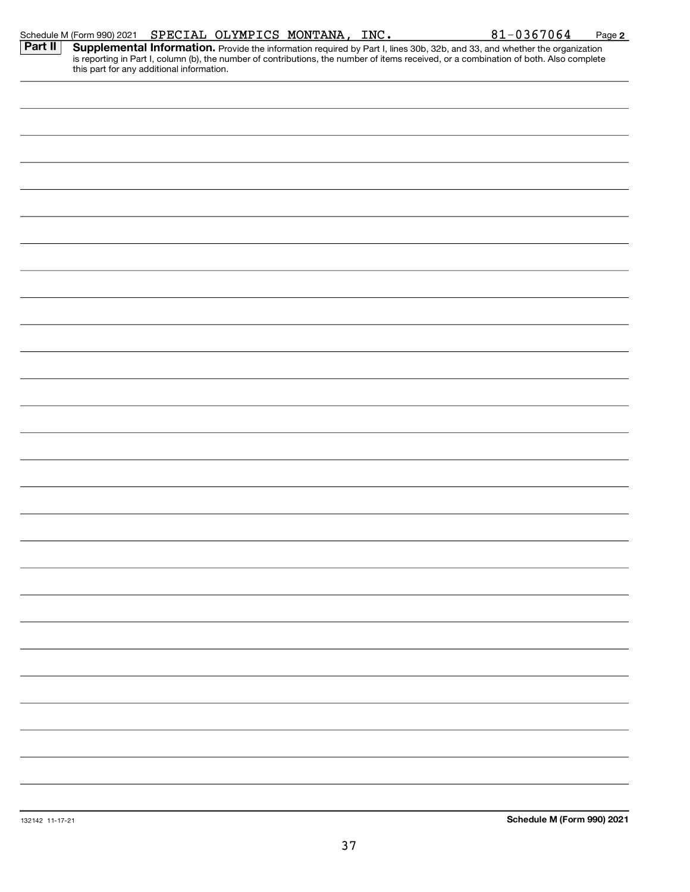|         | Schedule M (Form 990) 2021 SPECIAL OLYMPICS MONTANA, INC. |  |  | $81 - 0367064$                                                                                                                                                                                                                      | Page 2 |
|---------|-----------------------------------------------------------|--|--|-------------------------------------------------------------------------------------------------------------------------------------------------------------------------------------------------------------------------------------|--------|
| Part II | this part for any additional information.                 |  |  | <b>Supplemental Information.</b> Provide the information required by Part I, lines 30b, 32b, and 33, and whether the organization is reporting in Part I, column (b), the number of contributions, the number of items received, or |        |
|         |                                                           |  |  |                                                                                                                                                                                                                                     |        |
|         |                                                           |  |  |                                                                                                                                                                                                                                     |        |
|         |                                                           |  |  |                                                                                                                                                                                                                                     |        |
|         |                                                           |  |  |                                                                                                                                                                                                                                     |        |
|         |                                                           |  |  |                                                                                                                                                                                                                                     |        |
|         |                                                           |  |  |                                                                                                                                                                                                                                     |        |
|         |                                                           |  |  |                                                                                                                                                                                                                                     |        |
|         |                                                           |  |  |                                                                                                                                                                                                                                     |        |
|         |                                                           |  |  |                                                                                                                                                                                                                                     |        |
|         |                                                           |  |  |                                                                                                                                                                                                                                     |        |
|         |                                                           |  |  |                                                                                                                                                                                                                                     |        |
|         |                                                           |  |  |                                                                                                                                                                                                                                     |        |
|         |                                                           |  |  |                                                                                                                                                                                                                                     |        |
|         |                                                           |  |  |                                                                                                                                                                                                                                     |        |
|         |                                                           |  |  |                                                                                                                                                                                                                                     |        |
|         |                                                           |  |  |                                                                                                                                                                                                                                     |        |
|         |                                                           |  |  |                                                                                                                                                                                                                                     |        |
|         |                                                           |  |  |                                                                                                                                                                                                                                     |        |
|         |                                                           |  |  |                                                                                                                                                                                                                                     |        |
|         |                                                           |  |  |                                                                                                                                                                                                                                     |        |
|         |                                                           |  |  |                                                                                                                                                                                                                                     |        |
|         |                                                           |  |  |                                                                                                                                                                                                                                     |        |
|         |                                                           |  |  |                                                                                                                                                                                                                                     |        |
|         |                                                           |  |  |                                                                                                                                                                                                                                     |        |
|         |                                                           |  |  |                                                                                                                                                                                                                                     |        |
|         |                                                           |  |  |                                                                                                                                                                                                                                     |        |
|         |                                                           |  |  |                                                                                                                                                                                                                                     |        |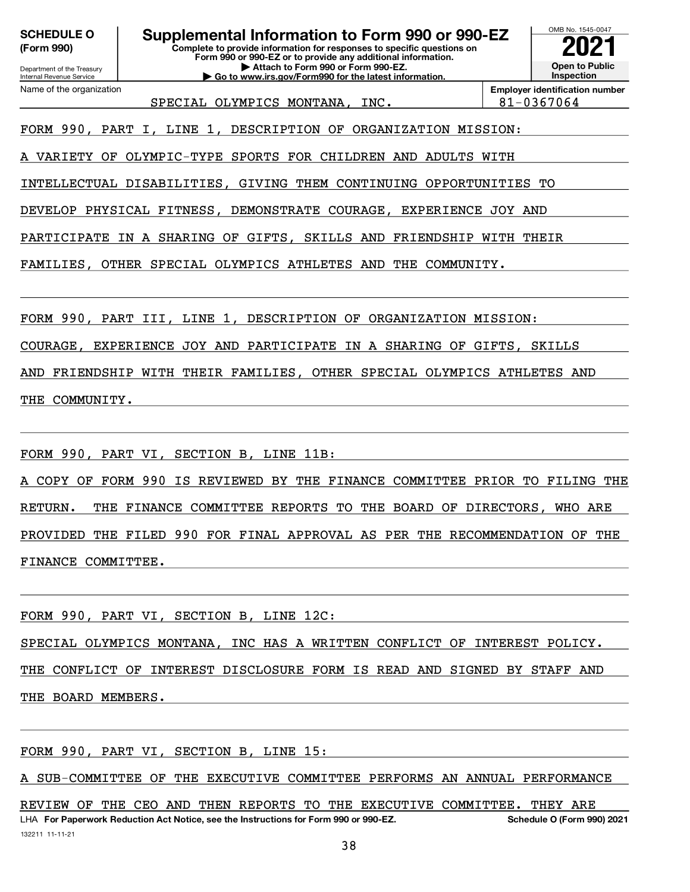(Form 990)

Department of the Treasury Internal Revenue Service

Name of the organization

Complete to provide information for responses to specific questions on Form 990 or 990-EZ or to provide any additional information. | Attach to Form 990 or Form 990-EZ. SCHEDULE 0 | Supplemental Information to Form 990 or 990-EZ

| Go to www.irs.gov/Form990 for the latest information.



Employer identification number SPECIAL OLYMPICS MONTANA, INC. 81-0367064

FORM 990, PART I, LINE 1, DESCRIPTION OF ORGANIZATION MISSION:

A VARIETY OF OLYMPIC-TYPE SPORTS FOR CHILDREN AND ADULTS WITH

INTELLECTUAL DISABILITIES, GIVING THEM CONTINUING OPPORTUNITIES TO

DEVELOP PHYSICAL FITNESS, DEMONSTRATE COURAGE, EXPERIENCE JOY AND

PARTICIPATE IN A SHARING OF GIFTS, SKILLS AND FRIENDSHIP WITH THEIR

FAMILIES, OTHER SPECIAL OLYMPICS ATHLETES AND THE COMMUNITY.

FORM 990, PART III, LINE 1, DESCRIPTION OF ORGANIZATION MISSION:

COURAGE, EXPERIENCE JOY AND PARTICIPATE IN A SHARING OF GIFTS, SKILLS

AND FRIENDSHIP WITH THEIR FAMILIES, OTHER SPECIAL OLYMPICS ATHLETES AND THE COMMUNITY.

FORM 990, PART VI, SECTION B, LINE 11B:

A COPY OF FORM 990 IS REVIEWED BY THE FINANCE COMMITTEE PRIOR TO FILING THE RETURN. THE FINANCE COMMITTEE REPORTS TO THE BOARD OF DIRECTORS, WHO ARE PROVIDED THE FILED 990 FOR FINAL APPROVAL AS PER THE RECOMMENDATION OF THE FINANCE COMMITTEE.

FORM 990, PART VI, SECTION B, LINE 12C:

SPECIAL OLYMPICS MONTANA, INC HAS A WRITTEN CONFLICT OF INTEREST POLICY. THE CONFLICT OF INTEREST DISCLOSURE FORM IS READ AND SIGNED BY STAFF AND

THE BOARD MEMBERS.

FORM 990, PART VI, SECTION B, LINE 15:

A SUB-COMMITTEE OF THE EXECUTIVE COMMITTEE PERFORMS AN ANNUAL PERFORMANCE

132211 11-11-21 LHA For Paperwork Reduction Act Notice, see the Instructions for Form 990 or 990-EZ. Schedule O (Form 990) 2021 REVIEW OF THE CEO AND THEN REPORTS TO THE EXECUTIVE COMMITTEE. THEY ARE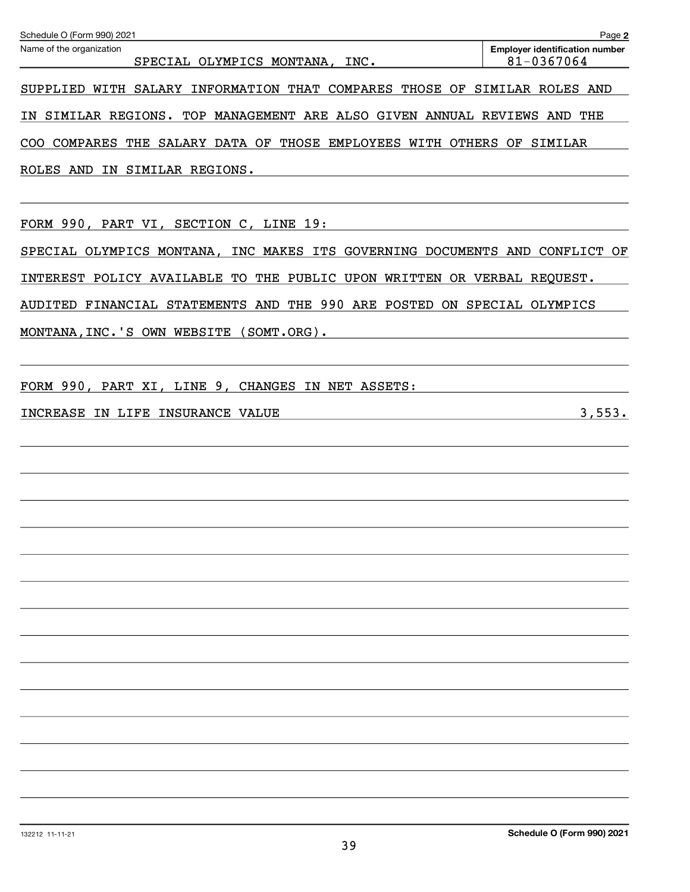| Schedule O (Form 990) 2021                                                                                                                                 | Page 2                                              |
|------------------------------------------------------------------------------------------------------------------------------------------------------------|-----------------------------------------------------|
| Name of the organization<br>SPECIAL OLYMPICS MONTANA, INC.                                                                                                 | <b>Employer identification number</b><br>81-0367064 |
| SUPPLIED WITH SALARY INFORMATION THAT COMPARES THOSE OF SIMILAR ROLES AND                                                                                  |                                                     |
| SIMILAR REGIONS. TOP MANAGEMENT ARE ALSO GIVEN ANNUAL REVIEWS AND THE<br>IN.                                                                               |                                                     |
| COMPARES THE SALARY DATA OF THOSE EMPLOYEES WITH OTHERS OF SIMILAR<br>COO                                                                                  |                                                     |
| ROLES AND IN SIMILAR REGIONS.                                                                                                                              |                                                     |
| FORM 990, PART VI, SECTION C, LINE 19:                                                                                                                     |                                                     |
| SPECIAL OLYMPICS MONTANA, INC MAKES ITS GOVERNING DOCUMENTS AND CONFLICT OF                                                                                |                                                     |
| INTEREST POLICY AVAILABLE TO THE PUBLIC UPON WRITTEN OR VERBAL REQUEST.                                                                                    |                                                     |
| AUDITED FINANCIAL STATEMENTS AND THE 990 ARE POSTED ON SPECIAL OLYMPICS                                                                                    |                                                     |
| MONTANA, INC. 'S OWN WEBSITE (SOMT.ORG).                                                                                                                   |                                                     |
|                                                                                                                                                            |                                                     |
| FORM 990, PART XI, LINE 9, CHANGES IN NET ASSETS:                                                                                                          |                                                     |
| INCREASE IN LIFE INSURANCE VALUE<br><u> 1989 - Johann Stoff, deutscher Stoffen und der Stoffen und der Stoffen und der Stoffen und der Stoffen und der</u> | 3,553.                                              |
|                                                                                                                                                            |                                                     |
|                                                                                                                                                            |                                                     |
|                                                                                                                                                            |                                                     |
|                                                                                                                                                            |                                                     |
|                                                                                                                                                            |                                                     |
|                                                                                                                                                            |                                                     |
|                                                                                                                                                            |                                                     |
|                                                                                                                                                            |                                                     |
|                                                                                                                                                            |                                                     |
|                                                                                                                                                            |                                                     |
|                                                                                                                                                            |                                                     |
|                                                                                                                                                            |                                                     |
|                                                                                                                                                            |                                                     |
|                                                                                                                                                            |                                                     |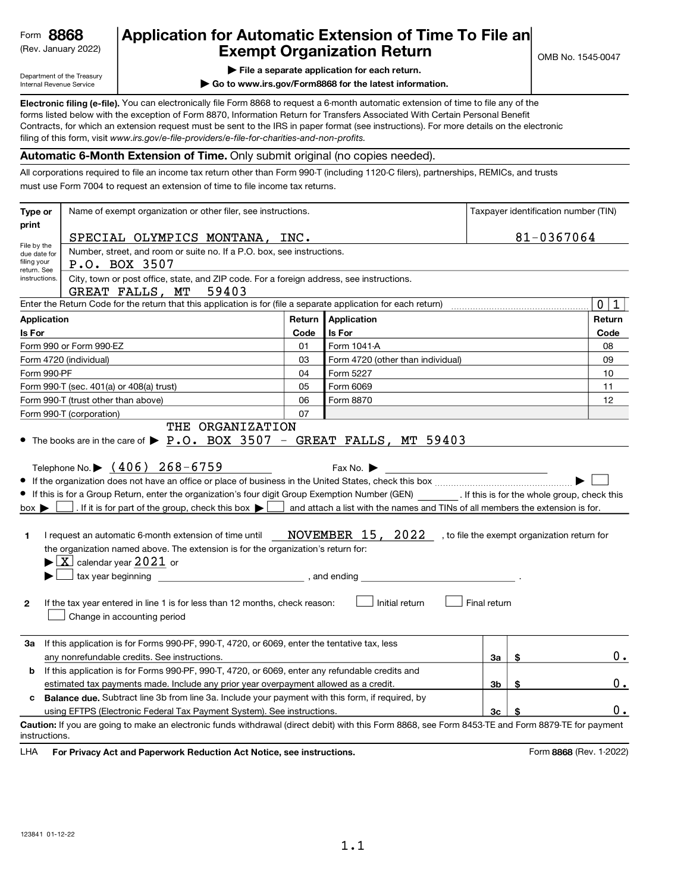# (Rev. January 2022)  $\begin{array}{|c|c|c|c|c|}\n\hline\n\textbf{Example} & \textbf{Exempt Organization Return} & \textbf{S} & \textbf{S} & \textbf{S} & \textbf{S} & \textbf{S} & \textbf{S} & \textbf{S} & \textbf{S} & \textbf{S} & \textbf{S} & \textbf{S} & \textbf{S} & \textbf{S} & \textbf{S} & \textbf{S} & \textbf{S} & \textbf{S} & \textbf{S} & \textbf{S} & \textbf{S} & \textbf{S} & \textbf{S} & \textbf{S} &$ Form 8868 Application for Automatic Extension of Time To File an **Automatic Extension of Time To File an**

Department of the Treasury Internal Revenue Service

| File a separate application for each return.

| Go to www.irs.gov/Form8868 for the latest information.

Electronic filing (e-file). You can electronically file Form 8868 to request a 6-month automatic extension of time to file any of the filing of this form, visit www.irs.gov/e-file-providers/e-file-for-charities-and-non-profits. forms listed below with the exception of Form 8870, Information Return for Transfers Associated With Certain Personal Benefit Contracts, for which an extension request must be sent to the IRS in paper format (see instructions). For more details on the electronic

#### Automatic 6-Month Extension of Time. Only submit original (no copies needed).

All corporations required to file an income tax return other than Form 990-T (including 1120-C filers), partnerships, REMICs, and trusts must use Form 7004 to request an extension of time to file income tax returns.

| Type or                                                   | Name of exempt organization or other filer, see instructions.                                                                                                                                                                                                                                                                                                                                                                                                                                                                                                                                                                                  |              |                                                                                                                                                                                                                                                                                                  | Taxpayer identification number (TIN) |       |                             |
|-----------------------------------------------------------|------------------------------------------------------------------------------------------------------------------------------------------------------------------------------------------------------------------------------------------------------------------------------------------------------------------------------------------------------------------------------------------------------------------------------------------------------------------------------------------------------------------------------------------------------------------------------------------------------------------------------------------------|--------------|--------------------------------------------------------------------------------------------------------------------------------------------------------------------------------------------------------------------------------------------------------------------------------------------------|--------------------------------------|-------|-----------------------------|
| print                                                     | SPECIAL OLYMPICS MONTANA, INC.                                                                                                                                                                                                                                                                                                                                                                                                                                                                                                                                                                                                                 |              |                                                                                                                                                                                                                                                                                                  | 81-0367064                           |       |                             |
| File by the<br>due date for<br>filing your<br>return. See | Number, street, and room or suite no. If a P.O. box, see instructions.<br>P.O. BOX 3507                                                                                                                                                                                                                                                                                                                                                                                                                                                                                                                                                        |              |                                                                                                                                                                                                                                                                                                  |                                      |       |                             |
| instructions.                                             | City, town or post office, state, and ZIP code. For a foreign address, see instructions.<br>59403<br>GREAT FALLS, MT                                                                                                                                                                                                                                                                                                                                                                                                                                                                                                                           |              |                                                                                                                                                                                                                                                                                                  |                                      |       |                             |
|                                                           | Enter the Return Code for the return that this application is for (file a separate application for each return)                                                                                                                                                                                                                                                                                                                                                                                                                                                                                                                                |              |                                                                                                                                                                                                                                                                                                  |                                      |       | $\mathbf 0$<br>$\mathbf{1}$ |
| <b>Application</b>                                        |                                                                                                                                                                                                                                                                                                                                                                                                                                                                                                                                                                                                                                                | Return       | Application                                                                                                                                                                                                                                                                                      |                                      |       | Return                      |
| Is For                                                    |                                                                                                                                                                                                                                                                                                                                                                                                                                                                                                                                                                                                                                                | Code         | Is For                                                                                                                                                                                                                                                                                           |                                      |       | Code                        |
|                                                           | Form 990 or Form 990-EZ                                                                                                                                                                                                                                                                                                                                                                                                                                                                                                                                                                                                                        | 01           | Form 1041-A                                                                                                                                                                                                                                                                                      |                                      |       | 08                          |
|                                                           | Form 4720 (individual)                                                                                                                                                                                                                                                                                                                                                                                                                                                                                                                                                                                                                         | 03           | Form 4720 (other than individual)                                                                                                                                                                                                                                                                |                                      |       | 09                          |
| Form 990-PF                                               |                                                                                                                                                                                                                                                                                                                                                                                                                                                                                                                                                                                                                                                | 04           | Form 5227                                                                                                                                                                                                                                                                                        |                                      |       | 10                          |
|                                                           | Form 990-T (sec. 401(a) or 408(a) trust)                                                                                                                                                                                                                                                                                                                                                                                                                                                                                                                                                                                                       | 05           | Form 6069                                                                                                                                                                                                                                                                                        |                                      |       | 11                          |
|                                                           | Form 990-T (trust other than above)                                                                                                                                                                                                                                                                                                                                                                                                                                                                                                                                                                                                            | 06           | Form 8870                                                                                                                                                                                                                                                                                        |                                      |       | 12                          |
|                                                           | Form 990-T (corporation)<br>THE ORGANIZATION                                                                                                                                                                                                                                                                                                                                                                                                                                                                                                                                                                                                   | 07           |                                                                                                                                                                                                                                                                                                  |                                      |       |                             |
| $box \blacktriangleright$<br>1<br>$\mathbf{2}$            | Telephone No. $\blacktriangleright$ (406) 268-6759<br>• If this is for a Group Return, enter the organization's four digit Group Exemption Number (GEN) [16] If this is for the whole group, check this<br>. If it is for part of the group, check this box $\blacktriangleright$<br>I request an automatic 6-month extension of time until<br>the organization named above. The extension is for the organization's return for:<br>$\blacktriangleright$ $\lfloor$ X $\rfloor$ calendar year 2021 or<br>tax year beginning<br>▶<br>If the tax year entered in line 1 is for less than 12 months, check reason:<br>Change in accounting period | , and ending | Fax No. $\blacktriangleright$<br>the control of the control of the control of the control of the control of the control of<br>and attach a list with the names and TINs of all members the extension is for.<br>NOVEMBER 15, 2022 , to file the exempt organization return for<br>Initial return | Final return                         |       |                             |
| За                                                        | If this application is for Forms 990-PF, 990-T, 4720, or 6069, enter the tentative tax, less<br>any nonrefundable credits. See instructions.                                                                                                                                                                                                                                                                                                                                                                                                                                                                                                   |              |                                                                                                                                                                                                                                                                                                  | За                                   | \$    | 0.                          |
| b                                                         | If this application is for Forms 990-PF, 990-T, 4720, or 6069, enter any refundable credits and                                                                                                                                                                                                                                                                                                                                                                                                                                                                                                                                                |              |                                                                                                                                                                                                                                                                                                  |                                      |       |                             |
|                                                           | estimated tax payments made. Include any prior year overpayment allowed as a credit.                                                                                                                                                                                                                                                                                                                                                                                                                                                                                                                                                           |              | 3b                                                                                                                                                                                                                                                                                               |                                      | $0$ . |                             |
| c                                                         | <b>Balance due.</b> Subtract line 3b from line 3a. Include your payment with this form, if required, by                                                                                                                                                                                                                                                                                                                                                                                                                                                                                                                                        |              |                                                                                                                                                                                                                                                                                                  |                                      |       |                             |
|                                                           | using EFTPS (Electronic Federal Tax Payment System). See instructions.                                                                                                                                                                                                                                                                                                                                                                                                                                                                                                                                                                         |              |                                                                                                                                                                                                                                                                                                  | Зc                                   |       | 0.                          |
| instructions.<br>LHA                                      | Caution: If you are going to make an electronic funds withdrawal (direct debit) with this Form 8868, see Form 8453-TE and Form 8879-TE for payment<br>For Privacy Act and Paperwork Reduction Act Notice, see instructions.                                                                                                                                                                                                                                                                                                                                                                                                                    |              |                                                                                                                                                                                                                                                                                                  |                                      |       | Form 8868 (Rev. 1-2022)     |